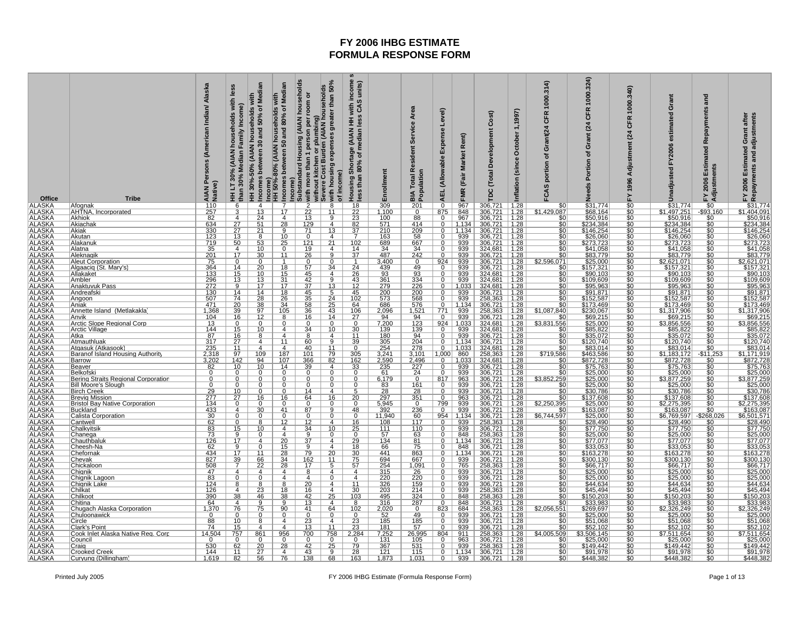| Office                                                                                                                                                                                                                                                                                                                      | <b>Tribe</b>                                               | Alaska<br>Persons (American Indian/<br>AIAN P<br>Native)                                             | les<br>households with<br>Income)<br>Family<br><b>AIAN</b><br>than 30% Median<br>HH LT 30% | households with<br>0 and 50% of Median<br>HH 30%-50% (AIAN hous<br>Incomes between 30 and | Median<br>with<br>Incomes between 50 and 80% of<br>Income)<br>HH 50%-80% (AIAN households | (AIAN households<br>greater than 50%<br>with more than 1 person per room or<br>without kitchen or plumbing)<br>Severe Cost Burden (AIAN households<br>with housing expenses<br>Income)<br>Substandard Housing | with income :<br>s CAS units)<br>units)<br>Housing Shortage (AIAN HH v<br>less than 80% of median less<br>of income) | Enrollment                                                                                  | <b>Total Resident Service Area</b><br><b>BIA Total Report</b>                                                              | Level)<br>Expense<br><b>AEL</b> (Allowable | (Fair Market Rent)<br><b>FMR</b>      | Development Cost)<br><b>TDC</b> (Total                                                                                                                                                  | October 1,1997)<br>Inflation (since                                                                                                                                                                                                                                                                           | 1000.314<br><b>CFR</b><br>portion of Grant(24<br>FCAS                                | 1000.324)<br>œ<br>ხ<br>(24)<br>rant<br>O<br>৳<br>ortion                | 1000.340)<br>CFR<br>$\overline{a}$<br>Adjustment<br>FY 1996 | Grant<br>estimated<br>FY2006<br>Unadjusted                    | and<br>Repayments<br>Estimated<br>FY 2006 Estin<br>Adjustments | Grant after<br>Repayments and adjustments<br>Estimated<br>FY 2006                                  |
|-----------------------------------------------------------------------------------------------------------------------------------------------------------------------------------------------------------------------------------------------------------------------------------------------------------------------------|------------------------------------------------------------|------------------------------------------------------------------------------------------------------|--------------------------------------------------------------------------------------------|-------------------------------------------------------------------------------------------|-------------------------------------------------------------------------------------------|---------------------------------------------------------------------------------------------------------------------------------------------------------------------------------------------------------------|----------------------------------------------------------------------------------------------------------------------|---------------------------------------------------------------------------------------------|----------------------------------------------------------------------------------------------------------------------------|--------------------------------------------|---------------------------------------|-----------------------------------------------------------------------------------------------------------------------------------------------------------------------------------------|---------------------------------------------------------------------------------------------------------------------------------------------------------------------------------------------------------------------------------------------------------------------------------------------------------------|--------------------------------------------------------------------------------------|------------------------------------------------------------------------|-------------------------------------------------------------|---------------------------------------------------------------|----------------------------------------------------------------|----------------------------------------------------------------------------------------------------|
| <b>ALASKA</b>                                                                                                                                                                                                                                                                                                               | Afognak<br>AHTNA, Incorporated                             | $\frac{110}{257}$                                                                                    |                                                                                            | $\overline{4}$                                                                            |                                                                                           | $\frac{2}{22}$<br>13<br>$\overline{8}$<br>$\overline{11}$                                                                                                                                                     |                                                                                                                      | $\frac{309}{1,100}$                                                                         | $\frac{201}{0}$                                                                                                            | $\overline{\mathfrak{o}}$                  | $\frac{967}{848}$<br>967              | 306,721<br>306,721<br>306,721                                                                                                                                                           | $\frac{1.28}{1.28}$ $\frac{1.28}{1.28}$                                                                                                                                                                                                                                                                       | $$0$ \$1,429,087                                                                     | $\frac{$31,774}{$68,164}$<br>$$50,916$<br>$$234,384$<br>$$146,254$     | $\frac{1}{30}$<br>$\frac{50}{50}$                           | \$31,774<br>1,497,251<br>\$50,916                             | $-$ \$0<br>$-$ \$93.160<br>\$0                                 | \$31,774<br>404,091                                                                                |
| ALASKA<br>ALASKA<br>ALASKA<br>ALASKA<br>ALASKA<br>ALASKA<br>ALASKA<br>ALASKA<br>ALASKA<br>ALASKA<br>ALASKA<br>ALASKA<br>ALASKA<br>ALASKA<br>ALASKA<br>ALASKA<br>ALASKA<br>ALASKA<br>ALASKA<br>ALASKA<br>ALASKA<br>ALASKA<br>ALASKA<br>ALASKA<br>ALASKA<br>ALASKA<br>ALASKA<br>ALASKA<br>ALASKA<br>ALASKA<br>ALASKA<br>ALASK | <b>Akhiok</b>                                              |                                                                                                      | 4                                                                                          | $\overline{13}$<br>$\overline{24}$                                                        | 17<br>$\overline{4}$                                                                      | $\overline{9}$                                                                                                                                                                                                | $\frac{18}{22}$<br>$\frac{22}{23}$                                                                                   | 100                                                                                         | 88                                                                                                                         | $\frac{\frac{875}{0}}{0}$                  |                                       |                                                                                                                                                                                         |                                                                                                                                                                                                                                                                                                               |                                                                                      |                                                                        |                                                             | \$1                                                           |                                                                | ፍ                                                                                                  |
|                                                                                                                                                                                                                                                                                                                             | Akiachak                                                   | $\frac{634}{330}$<br>123                                                                             | $\frac{27}{27}$<br>13                                                                      |                                                                                           | 28                                                                                        | $\frac{129}{71}$<br>$\overline{4}$                                                                                                                                                                            | $\frac{82}{37}$                                                                                                      | $\frac{571}{210}$                                                                           | $\frac{414}{209}$                                                                                                          | $\overline{0}$                             | $\frac{1,134}{1,134}$                 | $\frac{306,721}{306,721}$<br>$\frac{306,721}{306,721}$                                                                                                                                  | $\frac{1.28}{1.28}$<br>1.28                                                                                                                                                                                                                                                                                   | \$0<br>\$0<br>\$0<br>\$0                                                             |                                                                        | \$0<br>\$0<br>\$0                                           | \$234,384<br>\$146,254                                        |                                                                | $7,494,091$<br>$$50,916$<br>$$234,384$<br>$$146,254$<br>$$26,060$                                  |
|                                                                                                                                                                                                                                                                                                                             | Akiak<br>Akutan                                            |                                                                                                      |                                                                                            | $\frac{51}{21}$                                                                           | 10                                                                                        | 13<br>4                                                                                                                                                                                                       |                                                                                                                      | 163                                                                                         |                                                                                                                            | 0                                          |                                       |                                                                                                                                                                                         |                                                                                                                                                                                                                                                                                                               |                                                                                      | \$26,060                                                               |                                                             | \$26,060                                                      | \$0                                                            |                                                                                                    |
|                                                                                                                                                                                                                                                                                                                             | Alakanu                                                    | $\frac{719}{719}$ $\frac{35}{201}$ $\frac{201}{75}$ $\frac{364}{101}$                                | $\frac{18}{17}$                                                                            | 53                                                                                        | $\frac{25}{0}$                                                                            | $\frac{121}{19}$<br>$\frac{19}{26}$<br>$\frac{21}{4}$                                                                                                                                                         | $\frac{102}{14}$<br>37                                                                                               | $\frac{689}{34}$                                                                            | $\frac{667}{34}$<br>242                                                                                                    | $\overline{0}$                             | 939<br>939<br>939<br>939<br>939       | $\frac{306,721}{324,681}$ $\frac{306,721}{306,721}$                                                                                                                                     | $\begin{array}{r} 1.28 \\ 1.28 \\ 1.28 \\ 1.28 \\ 1.28 \\ 1.28 \\ 1.28 \\ 1.28 \\ \hline \end{array}$                                                                                                                                                                                                         | $\frac{60}{100}$<br>\$0<br>\$2,596,071                                               | \$273,723<br>\$41,058<br>\$83,779<br>\$25,000<br>\$157,321<br>\$90,103 |                                                             | \$273,723<br>\$41,058<br>\$83,779<br>\$2,621,071<br>\$157,321 |                                                                | $\frac{$273,723}{$41,058$}$ $\$273,723$ $\$41,058$ $\$33,779$ $\$2,621,071$ $\$157,321$ $\$90,103$ |
|                                                                                                                                                                                                                                                                                                                             | Alatna<br><u>Aleknagik</u>                                 |                                                                                                      |                                                                                            | $\frac{10}{30}$                                                                           | 11                                                                                        | 9                                                                                                                                                                                                             |                                                                                                                      | 487                                                                                         |                                                                                                                            |                                            |                                       |                                                                                                                                                                                         |                                                                                                                                                                                                                                                                                                               |                                                                                      |                                                                        | \$0<br>\$0<br>\$0<br>\$0<br>\$0<br>\$0                      |                                                               | $\frac{\frac{60}{30}}{\frac{60}{30}}$                          |                                                                                                    |
|                                                                                                                                                                                                                                                                                                                             | Aleut Corporation<br>Algaacig (St. Mary's)                 |                                                                                                      | $\frac{0}{14}$<br>15                                                                       | 0<br>$\overline{20}$                                                                      | 18                                                                                        | 0<br>$\Omega$<br>$\overline{34}$                                                                                                                                                                              | 24                                                                                                                   | 3,400<br>439                                                                                | $\frac{0}{49}$<br>93                                                                                                       | $\frac{924}{0}$                            |                                       | 306,721<br>306,721                                                                                                                                                                      |                                                                                                                                                                                                                                                                                                               |                                                                                      |                                                                        |                                                             |                                                               |                                                                |                                                                                                    |
|                                                                                                                                                                                                                                                                                                                             | Allakaket                                                  | 133                                                                                                  |                                                                                            | 10                                                                                        | 15                                                                                        | $rac{57}{45}$<br>$\overline{4}$                                                                                                                                                                               | $\overline{26}$                                                                                                      | 93                                                                                          |                                                                                                                            | $\overline{0}$                             | 939                                   | 324,681                                                                                                                                                                                 |                                                                                                                                                                                                                                                                                                               | $\frac{$0}{$0}$                                                                      |                                                                        |                                                             | \$90,103                                                      |                                                                |                                                                                                    |
|                                                                                                                                                                                                                                                                                                                             | <u> Ambler</u>                                             | $\frac{296}{272}$<br>130                                                                             | 13<br>9                                                                                    | 13<br>17                                                                                  | 31<br>17                                                                                  | $\frac{42}{37}$<br>$\mathbf{Q}$                                                                                                                                                                               | $\frac{43}{12}$<br>$\frac{12}{45}$                                                                                   | $\frac{361}{279}$                                                                           | $\frac{334}{226}$                                                                                                          | $\Omega$                                   | 939<br>1,033                          | 324,681                                                                                                                                                                                 | $\frac{1.28}{1.28}$                                                                                                                                                                                                                                                                                           | $\frac{$0}{$0}{$0}$                                                                  | $\frac{$109.609}{$95.963}$                                             | \$0<br>\$0                                                  | \$109,609<br>\$95,963<br>\$91,871                             |                                                                | \$109,609                                                                                          |
|                                                                                                                                                                                                                                                                                                                             | <b>Anaktuvuk Pass</b><br>Andreafski                        |                                                                                                      | 14                                                                                         | 14                                                                                        | 18                                                                                        | $\frac{13}{2}$<br>$5\overline{)}$                                                                                                                                                                             |                                                                                                                      |                                                                                             |                                                                                                                            | 0                                          | 939                                   | 306,721                                                                                                                                                                                 | 1.28                                                                                                                                                                                                                                                                                                          |                                                                                      |                                                                        | ŚĆ                                                          |                                                               |                                                                |                                                                                                    |
|                                                                                                                                                                                                                                                                                                                             | Angoon<br>Aniak                                            | $\frac{507}{471}$<br>1,368                                                                           | 74                                                                                         | 28                                                                                        | <u>26</u><br>34                                                                           | 35<br>$\frac{24}{25}$<br>$\frac{43}{11}$                                                                                                                                                                      | 102                                                                                                                  | $\frac{573}{686}$                                                                           | $\frac{568}{576}$ $\frac{576}{1,521}$                                                                                      | $\mathbf 0$<br>$\overline{0}$              | 939<br>1,134                          | $\frac{258,363}{306,721}$ $\frac{258,363}{258,363}$                                                                                                                                     | 1.28                                                                                                                                                                                                                                                                                                          | $\frac{$0}{$0}$                                                                      | \$152,587<br>\$173,469<br>\$230,067                                    | $\frac{$0}{$0}{$0}$                                         | \$152,587<br>\$173,469                                        | \$0                                                            | $\frac{$152,587}{$173,469}$                                                                        |
|                                                                                                                                                                                                                                                                                                                             | Annette Island (Metlakakla                                 |                                                                                                      | $\frac{20}{39}$                                                                            | $\frac{38}{97}$                                                                           | 105                                                                                       | $\frac{58}{36}$                                                                                                                                                                                               | $\frac{64}{106}$                                                                                                     | 2,096                                                                                       |                                                                                                                            |                                            |                                       |                                                                                                                                                                                         | $\frac{1.28}{1.28}$                                                                                                                                                                                                                                                                                           | \$1,087,840                                                                          |                                                                        |                                                             | <u>\$1,317,906</u>                                            |                                                                |                                                                                                    |
|                                                                                                                                                                                                                                                                                                                             | Anvik                                                      | $\frac{104}{13}$                                                                                     | $\frac{16}{2}$<br>0                                                                        | $\frac{12}{0}$                                                                            | $\frac{8}{0}$                                                                             | $\frac{14}{0}$<br>$\frac{16}{0}$                                                                                                                                                                              | $\frac{27}{0}$                                                                                                       | $\frac{94}{7,200}$                                                                          | $\frac{94}{123}$<br>139                                                                                                    | $\frac{771}{924}$                          | $\frac{939}{939}$<br>1,033            | 306,721<br>324,681                                                                                                                                                                      | $\frac{1.28}{1.28}$                                                                                                                                                                                                                                                                                           | $\begin{array}{r} 1.11116000 \\ 30.8310000 \\ 53.831000 \\ 50.831000 \\ \end{array}$ | \$69,215<br>\$25,000                                                   | $\frac{60}{100}$                                            | \$69,215<br>\$3,856,556                                       | $\frac{$0}{$0}$                                                | \$1,317,906<br>\$69,215<br>\$3,856,556                                                             |
|                                                                                                                                                                                                                                                                                                                             | Arctic Slope Regional Corp<br>Arctic Village               | 144                                                                                                  | 15                                                                                         | 10                                                                                        | 4                                                                                         | 10<br>34                                                                                                                                                                                                      | 30                                                                                                                   | 139                                                                                         |                                                                                                                            | $\overline{0}$                             | 939                                   | 324,681                                                                                                                                                                                 | 1.28                                                                                                                                                                                                                                                                                                          |                                                                                      | \$85,822                                                               |                                                             | \$85,822                                                      | \$0                                                            | \$85,822                                                                                           |
|                                                                                                                                                                                                                                                                                                                             | Atka<br><b>Atmauthluak</b>                                 | 87                                                                                                   | $\frac{16}{27}$                                                                            | 8<br>4                                                                                    | 4<br>11                                                                                   | 8<br>$\overline{4}$<br>9                                                                                                                                                                                      | 11<br>39                                                                                                             |                                                                                             |                                                                                                                            | $\overline{0}$                             | 939<br>1,134                          | 306,721<br>306,721                                                                                                                                                                      | $\frac{1.28}{1.28}$                                                                                                                                                                                                                                                                                           | $rac{60}{60}$                                                                        | \$35,072<br>\$120,740                                                  |                                                             | \$35,072<br>\$120,740                                         | $\frac{10}{10}$                                                | \$35,072                                                                                           |
|                                                                                                                                                                                                                                                                                                                             | Atgasuk (Atkasook)                                         | $\frac{317}{235}$<br>2,318                                                                           | 11                                                                                         | 4                                                                                         | 4                                                                                         | $\frac{60}{40}$<br>11                                                                                                                                                                                         | 0                                                                                                                    | $\frac{180}{305}$ $\frac{254}{3,241}$                                                       | $\frac{94}{204}$ $\frac{278}{3,101}$                                                                                       | $\Omega$                                   | 1,033                                 | 324,681                                                                                                                                                                                 | 1.28                                                                                                                                                                                                                                                                                                          |                                                                                      | $\frac{$83,014}{$463,586}$                                             | 6666666666                                                  | \$83,014                                                      |                                                                | \$120,740<br>\$83,014                                                                              |
|                                                                                                                                                                                                                                                                                                                             | Baranof Island Housing Authority<br><b>Barrow</b>          | 3,202                                                                                                | 97<br>142                                                                                  | 109<br>94                                                                                 | 187<br>$\overline{107}$                                                                   | 101<br>79<br>82                                                                                                                                                                                               | 305<br>162                                                                                                           |                                                                                             |                                                                                                                            | $\overline{0}$                             | 1,000 860<br>1,033                    | 258,363                                                                                                                                                                                 | 1.28                                                                                                                                                                                                                                                                                                          | \$719,586                                                                            |                                                                        |                                                             | \$1,183,172<br>\$872,728                                      | $-$11,253$<br><u>\$0</u>                                       | \$1,171,919                                                                                        |
|                                                                                                                                                                                                                                                                                                                             | Beaver                                                     | $\frac{82}{0}$                                                                                       | 10                                                                                         | 10                                                                                        | $\frac{14}{0}$                                                                            | $\frac{366}{39}$<br>$\overline{4}$                                                                                                                                                                            | $\frac{33}{0}$                                                                                                       | $\frac{2,590}{235}$<br>61                                                                   | $\frac{2,496}{227}$                                                                                                        | $\frac{0}{0}$                              |                                       | $\frac{234,681}{306,721}$ $\frac{306,721}{306,721}$ $\frac{306,721}{306,721}$ $\frac{306,721}{306,721}$                                                                                 | $\begin{array}{r} 1.28 \\ 1.28 \\ 1.28 \\ 1.28 \\ 1.28 \\ 1.28 \\ 1.28 \\ 1.28 \\ 1.28 \\ 1.28 \\ 1.28 \\ 1.28 \\ 1.28 \\ 1.28 \\ 1.28 \\ 1.28 \\ 1.28 \\ 1.29 \\ 1.29 \\ 1.29 \\ 1.29 \\ 1.29 \\ 1.20 \\ 1.23 \\ 1.23 \\ 1.23 \\ 1.23 \\ 1.23 \\ 1.23 \\ 1.23 \\ 1.23 \\ 1.23 \\ 1.23 \\ 1.23 \\ 1.25 \\ 1.$ | $\frac{$0}{$0}{$0}{$0 $$                                                             | \$872,728<br>\$75,763<br>\$25,000                                      |                                                             | \$75,763<br>\$25,000                                          |                                                                | $\frac{$1,17,3128}{$872,728$}$ $$25,000$ $$3,877,259$ $$25,000$ $$30,786$                          |
|                                                                                                                                                                                                                                                                                                                             | Belkofski                                                  |                                                                                                      | $\overline{0}$<br>$\Omega$                                                                 |                                                                                           |                                                                                           | 0<br>0<br>$\mathbf 0$<br>O                                                                                                                                                                                    |                                                                                                                      |                                                                                             |                                                                                                                            |                                            | $\frac{939}{939}$                     |                                                                                                                                                                                         |                                                                                                                                                                                                                                                                                                               |                                                                                      |                                                                        |                                                             |                                                               | $\frac{50}{50}$                                                |                                                                                                    |
|                                                                                                                                                                                                                                                                                                                             | Bering Straits Regional Corporation<br>Bill Moore's Slough |                                                                                                      | $\Omega$                                                                                   |                                                                                           |                                                                                           | $\overline{0}$<br>0                                                                                                                                                                                           |                                                                                                                      | $\frac{6,179}{83}$                                                                          | $\frac{0}{161}$ $\frac{161}{28}$                                                                                           | $\frac{817}{0}$                            | 939                                   |                                                                                                                                                                                         |                                                                                                                                                                                                                                                                                                               | $\frac{$3,852,259}{$0}$                                                              | $\frac{$25,000}{$25,000}$<br>$$25,000$<br>$$30,786$                    |                                                             | $\frac{3,877,259}{\$25,000}$                                  |                                                                |                                                                                                    |
|                                                                                                                                                                                                                                                                                                                             | <b>Birch Creek</b><br><b>Brevig Mission</b>                | 29                                                                                                   | $\overline{10}$<br>27                                                                      | 16                                                                                        | 16                                                                                        | 14<br>$\overline{4}$<br><u>64</u><br><u>16</u>                                                                                                                                                                | 20                                                                                                                   | $\overline{28}$                                                                             |                                                                                                                            | $\mathbf 0$                                | 939                                   | <u>306,721</u>                                                                                                                                                                          |                                                                                                                                                                                                                                                                                                               | $\overline{50}$<br>\$0                                                               |                                                                        |                                                             |                                                               |                                                                |                                                                                                    |
|                                                                                                                                                                                                                                                                                                                             | <b>Bristol Bay Native Corporation</b>                      | $\frac{277}{134}$                                                                                    |                                                                                            |                                                                                           |                                                                                           | $\Omega$                                                                                                                                                                                                      |                                                                                                                      | $\frac{297}{5,945}$<br>392                                                                  | $\frac{351}{0}$                                                                                                            | $rac{799}{0}$                              | $\frac{963}{939}$                     | 306,721                                                                                                                                                                                 | $\frac{1.28}{1.28}$<br>1.28                                                                                                                                                                                                                                                                                   | \$2,250,395                                                                          | $\frac{$137,608}{$25,000}$                                             | \$0<br>\$0<br>\$0                                           | \$137,608<br>\$2,275,395<br>\$163,087                         | $\frac{10}{10}$                                                | \$137,608<br>2,275,395<br>\$163,087                                                                |
|                                                                                                                                                                                                                                                                                                                             | <b>Buckland</b><br><b>Calista Corporation</b>              |                                                                                                      | 4<br>0                                                                                     | 30                                                                                        | 41<br>$\mathbf 0$                                                                         | 87<br>9<br>$\mathbf 0$<br>$\Omega$                                                                                                                                                                            | 48<br>0                                                                                                              | 11,940                                                                                      | 60                                                                                                                         |                                            | 1,134                                 | 306,721                                                                                                                                                                                 |                                                                                                                                                                                                                                                                                                               | \$0<br>\$6,744,597                                                                   |                                                                        |                                                             | \$6,769,597                                                   |                                                                |                                                                                                    |
|                                                                                                                                                                                                                                                                                                                             | <b>Cantwell</b>                                            |                                                                                                      |                                                                                            |                                                                                           |                                                                                           | $\frac{12}{34}$<br>4                                                                                                                                                                                          | $\frac{16}{25}$                                                                                                      | $\frac{108}{111}$                                                                           | $\frac{117}{110}$                                                                                                          | $\frac{954}{0}$                            | $\frac{939}{939}$                     |                                                                                                                                                                                         | $\frac{1.28}{1.28}$<br>$\frac{1.28}{1.28}$                                                                                                                                                                                                                                                                    |                                                                                      |                                                                        | $\frac{10}{10}$                                             | \$28,490<br>\$77,750                                          | $\frac{-\$268,026}{\$0}$                                       |                                                                                                    |
|                                                                                                                                                                                                                                                                                                                             | <b>Chalkyitsik</b>                                         | $\begin{array}{r}\n 30 \\  \hline\n 62 \\  83 \\  \hline\n 73 \\  126 \\  \hline\n 62\n \end{array}$ | $\overline{15}$                                                                            | $\Omega$                                                                                  | 4<br>$\overline{4}$                                                                       | 10                                                                                                                                                                                                            | 0                                                                                                                    |                                                                                             |                                                                                                                            | $\mathbf 0$                                |                                       | 306,721<br>258,363<br>306,721<br>258,363<br>306,721                                                                                                                                     |                                                                                                                                                                                                                                                                                                               |                                                                                      | \$25,000<br>\$28,490<br>\$77,750<br>\$25,000<br>\$77,077<br>\$33,053   |                                                             |                                                               |                                                                | \$6,501,571<br>\$6,501,571<br>\$28,490<br>\$77,750<br>\$25,000<br>\$77,077                         |
|                                                                                                                                                                                                                                                                                                                             | Chanega<br>Chauthbaluk                                     |                                                                                                      | $\frac{9}{17}$                                                                             | 4                                                                                         | $\overline{20}$                                                                           | $\frac{9}{37}$<br>$\overline{4}$                                                                                                                                                                              | $\frac{29}{18}$                                                                                                      | $\frac{57}{134}$                                                                            | $\frac{63}{81}$                                                                                                            | $\overline{0}$                             | $\frac{848}{1,134}$                   |                                                                                                                                                                                         | $\frac{1.28}{1.28}$                                                                                                                                                                                                                                                                                           | $rac{$0}{0}$<br>$rac{$0}{0}$                                                         |                                                                        | $\frac{\$0}{\$0}$<br>$\frac{\$0}{\$0}$                      | \$25,000<br>\$77,077                                          | $\frac{$0}{$0}$                                                |                                                                                                    |
|                                                                                                                                                                                                                                                                                                                             | Cheesh-Na<br>Chefornak                                     |                                                                                                      | $\overline{9}$                                                                             | $\Omega$<br>11                                                                            | 15<br>28                                                                                  | $\overline{9}$<br>$\overline{4}$                                                                                                                                                                              |                                                                                                                      | 66                                                                                          |                                                                                                                            | $\overline{0}$<br>$\Omega$                 | 848                                   | 306,721<br>306,721                                                                                                                                                                      | 1.28<br>1.28                                                                                                                                                                                                                                                                                                  |                                                                                      |                                                                        |                                                             | \$33,053<br>\$163,278                                         |                                                                |                                                                                                    |
|                                                                                                                                                                                                                                                                                                                             | <b>Chevak</b>                                              | 434<br>827<br>508                                                                                    | $\frac{17}{39}$                                                                            | $\frac{66}{22}$                                                                           | 34                                                                                        | $\frac{79}{162}$<br>$\frac{20}{11}$                                                                                                                                                                           | $\frac{30}{75}$<br>57                                                                                                | 441<br>694<br>254                                                                           | $\frac{863}{667}$ $\frac{667}{1,091}$                                                                                      |                                            | $\frac{1,134}{939}$ $\frac{939}{765}$ | 721<br>306.                                                                                                                                                                             | $\frac{1.28}{1.28}$                                                                                                                                                                                                                                                                                           | $\frac{$0}{$0}{$0}$                                                                  | \$163,278<br>\$300,130<br>\$66,717                                     | \$0<br>\$0<br>\$0                                           | 300,130                                                       |                                                                | $\frac{$17,077}{$33,053}$<br>$$163,278$<br>$$300,130$<br>$$66,717$                                 |
|                                                                                                                                                                                                                                                                                                                             | Chickaloon<br>Chignik                                      | 47                                                                                                   | 4                                                                                          | 4                                                                                         | 28<br>4                                                                                   | $5\overline{)}$<br>$\bf{8}$<br>4                                                                                                                                                                              | $\overline{4}$                                                                                                       |                                                                                             |                                                                                                                            | 0<br>0                                     |                                       | 258,363                                                                                                                                                                                 | 1.28                                                                                                                                                                                                                                                                                                          |                                                                                      |                                                                        |                                                             | \$66,717                                                      | ŠŌ<br>\$0                                                      |                                                                                                    |
|                                                                                                                                                                                                                                                                                                                             | Chignik Lagoon                                             | 83                                                                                                   | 0                                                                                          |                                                                                           |                                                                                           | 0<br>$rac{4}{20}$                                                                                                                                                                                             | $\overline{4}$                                                                                                       | 315<br>220<br>326                                                                           |                                                                                                                            | 0                                          | $\frac{939}{939}$                     |                                                                                                                                                                                         | $\frac{1.28}{1.28}$                                                                                                                                                                                                                                                                                           | $rac{$0}{0}$<br>$rac{$0}{0}$                                                         | \$25,000<br>\$25,000                                                   |                                                             | \$25,000<br>\$25,000                                          |                                                                | $\frac{$25,000}{$25,000}$                                                                          |
|                                                                                                                                                                                                                                                                                                                             | <b>Chignik Lake</b>                                        | 124                                                                                                  | 4                                                                                          |                                                                                           | 18                                                                                        | $\overline{4}$<br>$\overline{4}$                                                                                                                                                                              | 11                                                                                                                   |                                                                                             |                                                                                                                            | $\overline{0}$<br>$\overline{0}$           | 939                                   |                                                                                                                                                                                         |                                                                                                                                                                                                                                                                                                               |                                                                                      | \$44,634                                                               | \$0<br>\$0<br>\$0<br>\$0<br>\$0                             | \$44,634<br>\$45,494                                          | $\frac{10}{30}$                                                |                                                                                                    |
| ALASKA ALASKA ALASKA ALASKA ALASKA ALASKA ALASKA ALASKA ALASKA ALASKA ALASKA ALASKA ALASKA ALASKA ALASKA ALASKA ALASKA ALASKA ALASKA ALASKA ALASKA ALASKA ALASKA ALASKA ALASKA ALASKA ALASKA ALASKA ALASKA ALASKA ALASKA ALASK                                                                                              | Chilkat<br>Chilkoot                                        | $\frac{126}{390}$                                                                                    | $\overline{38}$                                                                            | $\frac{23}{46}$                                                                           |                                                                                           | $\frac{16}{42}$<br>$\overline{25}$                                                                                                                                                                            | $\frac{30}{103}$                                                                                                     | 203<br>495                                                                                  | $\begin{array}{r}\n 26 \\  \hline\n 220 \\  \hline\n 159 \\  \hline\n 214 \\  \hline\n 324 \\  \hline\n 287\n \end{array}$ | $\overline{0}$                             | $\frac{939}{848}$                     | 256,565<br>306,721<br>306,721<br>258,363<br>258,363                                                                                                                                     | $\frac{1.28}{1.28}$                                                                                                                                                                                                                                                                                           | $\frac{$0}{$0}{$0}{$0 $$                                                             | \$45,494<br>\$150,203                                                  |                                                             | \$150,203                                                     |                                                                | \$45,494<br>\$150,203                                                                              |
|                                                                                                                                                                                                                                                                                                                             | Chitina<br>Chugach Alaska Corporation                      | 64<br>1,370                                                                                          | Δ<br>76                                                                                    | 75                                                                                        | a<br>90                                                                                   | 13<br>$\Delta$<br>41<br>64                                                                                                                                                                                    | $\overline{8}$<br>102                                                                                                | 316<br>2,020                                                                                | $\overline{0}$                                                                                                             | $\overline{0}$<br>823                      | 848<br>684                            | 306,721<br>258,363                                                                                                                                                                      | 1.28<br>1.28                                                                                                                                                                                                                                                                                                  | \$2,056,551                                                                          | \$33,983                                                               | \$0<br>\$0                                                  | \$33,983<br>\$2,326,249                                       | \$0                                                            | \$33,983                                                                                           |
|                                                                                                                                                                                                                                                                                                                             |                                                            | $\Omega$                                                                                             | 0                                                                                          |                                                                                           | 0                                                                                         | $\Omega$<br>0                                                                                                                                                                                                 | $\Omega$                                                                                                             | $\frac{52}{185}$                                                                            |                                                                                                                            | $\overline{0}$                             | 939                                   | 306,721<br>306,721                                                                                                                                                                      | $\frac{1.28}{1.28}$                                                                                                                                                                                                                                                                                           |                                                                                      | $5269,697\n$ $525.000\n$ $551.068\n$ $552,102$                         |                                                             |                                                               |                                                                | $\frac{$2,326,249}{$25,000}$                                                                       |
|                                                                                                                                                                                                                                                                                                                             | Chuloonawick<br>Circle<br>Clark's Point                    | 88<br>$\overline{74}$                                                                                | 10<br>15                                                                                   | 4                                                                                         | 4                                                                                         | $\frac{23}{13}$<br>4<br>11                                                                                                                                                                                    | $\frac{23}{23}$                                                                                                      | 181                                                                                         | $\frac{49}{185}$<br>57                                                                                                     | $\overline{0}$                             | 939<br>939                            | 306,721                                                                                                                                                                                 | 1.28                                                                                                                                                                                                                                                                                                          | $rac{1}{100}$                                                                        |                                                                        | \$0<br>\$0<br>\$0                                           | $\frac{$25,000}{$51,068}$                                     |                                                                |                                                                                                    |
| ALASKA                                                                                                                                                                                                                                                                                                                      | Cook Inlet Alaska Native Reg. Corp                         | 14,504                                                                                               | 757                                                                                        | 861                                                                                       | $\frac{956}{0}$                                                                           | 700<br>758                                                                                                                                                                                                    | 2,284                                                                                                                | 7,252                                                                                       | 26,995                                                                                                                     |                                            |                                       | $\begin{array}{ c c c c }\hline 804 & 939 & 306,721 \ \hline 0 & 963 & 306,721 \ \hline 0 & 939 & 258,363 \ \hline 0 & 1,134 & 306,721 \ \hline 0 & 939 & 306,721 \ \hline \end{array}$ | 1.28                                                                                                                                                                                                                                                                                                          | \$4,005,509                                                                          | \$3,506,145<br>\$25,000                                                | \$0                                                         | \$7,511,654                                                   | \$0                                                            | $\frac{$7,511,654}{$25,000}$                                                                       |
| <u>ALASKA</u>                                                                                                                                                                                                                                                                                                               | Counci<br><u>Craig</u>                                     | $\frac{0}{530}$<br>144                                                                               |                                                                                            | $\overline{0}$                                                                            |                                                                                           | $\begin{array}{r}\n\hline\n0 \\ 42 \\ 43 \\ 138\n\end{array}$<br>$\Omega$<br>$\overline{25}$                                                                                                                  | $\frac{0}{79}$ $\frac{28}{163}$                                                                                      | $\begin{array}{r}\n 131 \\  \hline\n 367 \\  \hline\n 121 \\  \hline\n 1,873\n \end{array}$ | $\frac{105}{531}$                                                                                                          |                                            |                                       |                                                                                                                                                                                         | $\begin{array}{r} 1.28 \\ 1.28 \\ 1.28 \\ 1.28 \\ 1.28 \end{array}$                                                                                                                                                                                                                                           |                                                                                      | \$149,442                                                              | \$0<br>\$0<br>\$0<br>\$0                                    | <u>\$25,000</u><br>\$149,442                                  |                                                                |                                                                                                    |
| <b>ALASKA</b><br><b>ALASKA</b>                                                                                                                                                                                                                                                                                              | Crooked Creek<br>Curyung (Dillingham)                      | 1,619                                                                                                | $\frac{62}{11}$<br>82                                                                      | $\frac{20}{27}$<br>$\frac{27}{56}$                                                        | 4<br>76                                                                                   | 9<br>68                                                                                                                                                                                                       |                                                                                                                      |                                                                                             | 1,031                                                                                                                      |                                            |                                       |                                                                                                                                                                                         |                                                                                                                                                                                                                                                                                                               | $rac{$0}{$0}$                                                                        | \$91,978<br>\$448,382                                                  |                                                             | \$91,978<br>\$448,382                                         | $\frac{\$0}{\$0}$<br>$\frac{\$0}{\$0}$                         | \$91,978<br>\$448,382                                                                              |
|                                                                                                                                                                                                                                                                                                                             |                                                            |                                                                                                      |                                                                                            |                                                                                           |                                                                                           |                                                                                                                                                                                                               |                                                                                                                      |                                                                                             |                                                                                                                            |                                            |                                       |                                                                                                                                                                                         |                                                                                                                                                                                                                                                                                                               |                                                                                      |                                                                        |                                                             |                                                               |                                                                |                                                                                                    |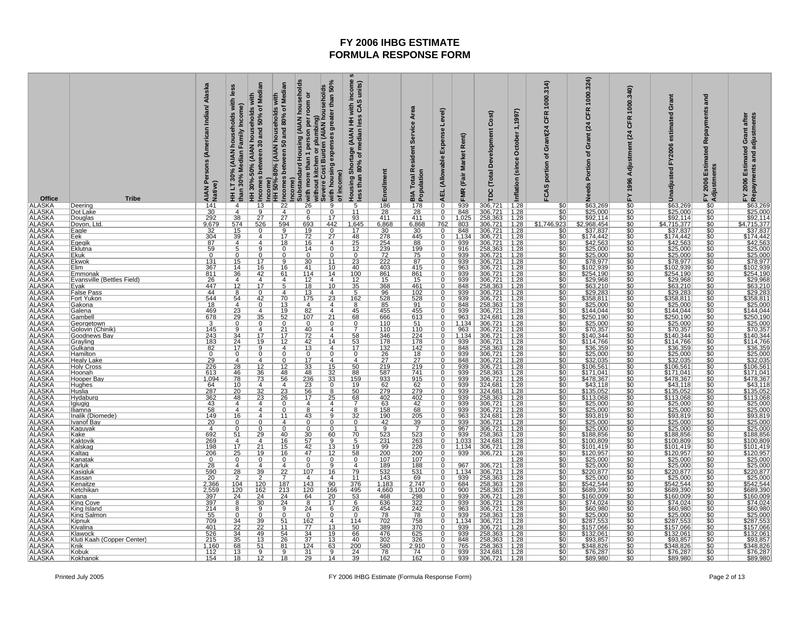| Office                                                                                                                                                                                                                                                                                                   | <b>Tribe</b>                       | Persons (American Indian/ Alaska<br>AIAN Pe | les<br>households with<br>Family Income)<br>HH LT 30% (AIAN<br>than 30% Median | HH 30%-50% (AIAN households with<br>Incomes between 30 and 50% of Median | Median<br>with                         | income)<br> Substandard Housing (AIAN households<br> col⊗  with more than 1 person per room or<br> Severe Cost Burden (AIAN households<br> Severe Cost Burden (AIAN households<br> C o with housing expenses greater than 50% | of income)                        | with income :<br>s CAS units)<br>units)<br>Housing Shortage (AIAN HH v<br>less than 80% of median less                       | Enrollment                         | Service Area<br><b>Total Resident</b><br><b>BIA Total Report</b>                                                             | Level)<br>Expense<br><b>AEL</b> (Allowable | FMR (Fair Market Rent)                     | Development Cost)<br><b>TDC</b> (Total                                                                       | October 1,1997)<br>Inflation (since                                                           | CFR 1000.314)<br>portion of Grant(24<br>FCAS | 1000.324)<br><b>CFR</b><br>(24)<br>Grant<br>৳<br>Portion                         | 1000.340)<br>CFR<br>(24)<br>Adjustment<br>FY1996 | Grant<br>estimated<br>FY2006<br>Unadjusted                                                                  | and<br>Repayments<br>Estimated<br>FY 2006 Estim<br>Adjustments | FY 2006 Estimated Grant after<br>Repayments and adjustments                                                                                                                                                                                                                                                                                                                                                                             |
|----------------------------------------------------------------------------------------------------------------------------------------------------------------------------------------------------------------------------------------------------------------------------------------------------------|------------------------------------|---------------------------------------------|--------------------------------------------------------------------------------|--------------------------------------------------------------------------|----------------------------------------|-------------------------------------------------------------------------------------------------------------------------------------------------------------------------------------------------------------------------------|-----------------------------------|------------------------------------------------------------------------------------------------------------------------------|------------------------------------|------------------------------------------------------------------------------------------------------------------------------|--------------------------------------------|--------------------------------------------|--------------------------------------------------------------------------------------------------------------|-----------------------------------------------------------------------------------------------|----------------------------------------------|----------------------------------------------------------------------------------|--------------------------------------------------|-------------------------------------------------------------------------------------------------------------|----------------------------------------------------------------|-----------------------------------------------------------------------------------------------------------------------------------------------------------------------------------------------------------------------------------------------------------------------------------------------------------------------------------------------------------------------------------------------------------------------------------------|
| ALASKA ALASKA ALASKA ALASKA ALASKA ALASKA ALASKA ALASKA ALASKA ALASKA ALASKA ALASKA ALASKA ALASKA ALASKA ALASKA ALASKA ALASKA ALASKA ALASKA ALASKA ALASKA ALASKA ALASKA ALASKA ALASKA ALASKA ALASKA ALASKA ALASKA ALASKA ALASK                                                                           | Deering<br>Dot Lake                | $\frac{141}{30}$<br>292                     | $\frac{4}{\frac{4}{38}}$                                                       | $\frac{13}{9}$                                                           |                                        |                                                                                                                                                                                                                               |                                   | $\frac{5}{11}$                                                                                                               | $\frac{186}{28}$<br>411            | $\frac{178}{28}$                                                                                                             | $\overline{0}$                             | $\frac{939}{848}$                          | 306,721<br>306,721<br>258,363                                                                                | $\frac{1.28}{1.28}$<br>1.28                                                                   | $\frac{$0}{$0}$                              | \$63,269<br>\$25,000<br>\$92,114                                                 | $\frac{50}{50}$                                  | \$63,269<br>\$25,000<br>\$92,114                                                                            | $\frac{10}{10}$                                                | E<br>\$63,269<br>\$25,000<br>\$25,000<br>\$47,15,377<br>\$174,442<br>\$42,563<br>\$25,000<br>\$25,000<br>\$25,000<br>\$25,000<br>\$25,000                                                                                                                                                                                                                                                                                               |
|                                                                                                                                                                                                                                                                                                          | Douglas                            |                                             |                                                                                | $\frac{5}{27}$                                                           |                                        | $\overline{6}$                                                                                                                                                                                                                | $\overline{17}$                   | 93                                                                                                                           |                                    |                                                                                                                              | $\overline{0}$                             | 1,025                                      |                                                                                                              |                                                                                               | $\overline{50}$                              |                                                                                  |                                                  |                                                                                                             |                                                                |                                                                                                                                                                                                                                                                                                                                                                                                                                         |
|                                                                                                                                                                                                                                                                                                          | Doyon, Ltc<br>Eagle                | 9,679                                       |                                                                                | 526<br>$\overline{0}$                                                    | $\frac{594}{9}$                        |                                                                                                                                                                                                                               | 442<br>$\overline{0}$             | $\frac{1,645}{17}$                                                                                                           | 6,868                              | 6,868                                                                                                                        | 762<br>$\overline{0}$                      |                                            |                                                                                                              |                                                                                               | $\frac{$1,746,923}{0}$<br>$\frac{$0 }{0}$    |                                                                                  | $\frac{1}{30}$<br>$\frac{1}{30}$                 |                                                                                                             | \$0                                                            |                                                                                                                                                                                                                                                                                                                                                                                                                                         |
|                                                                                                                                                                                                                                                                                                          | Eek                                | $\frac{32}{304}$                            | $\frac{574}{15}$                                                               |                                                                          | 17                                     |                                                                                                                                                                                                                               | $\overline{27}$                   |                                                                                                                              | $\frac{30}{278}$                   | $\frac{30}{445}$                                                                                                             |                                            | $\frac{803}{848}$<br>1,134<br>939          | 306,721 1.28<br>306,721 1.28<br>306,721 1.28                                                                 |                                                                                               |                                              | $\frac{$2,968,454}{$37,837}$                                                     |                                                  | $\frac{1,3715,377}{1,3775,837}$                                                                             |                                                                |                                                                                                                                                                                                                                                                                                                                                                                                                                         |
|                                                                                                                                                                                                                                                                                                          | <u>Eqeqik</u><br><u>Eklutna</u>    | 87<br>59                                    | $\frac{4}{5}$                                                                  | 4                                                                        | 18<br>$\Omega$                         | $\begin{array}{r}\n 693 \\  \hline\n 19 \\  \hline\n 72 \\  \hline\n 16 \\  \hline\n 14 \\  \hline\n 0 \\  \hline\n 00\n \end{array}$                                                                                         | 4<br>$\overline{0}$               | $\begin{array}{r}\n 48 \\  \hline\n 25 \\  \hline\n 12 \\  \hline\n 0 \\  23 \\  \hline\n 40 \\  \hline\n 100\n \end{array}$ | $\frac{254}{239}$                  | $\frac{88}{199}$                                                                                                             | $\mathbf{0}$<br>o                          |                                            | 306,721 1.28<br>258,363 1.28<br>306,721 1.28                                                                 |                                                                                               | $rac{$0}{$0}$                                | $\frac{$42,563}{$25,000}$                                                        | \$0<br>\$0<br>\$0<br>\$0<br>\$0<br>\$0           | $\frac{$42,563}{$25,000}$                                                                                   | $\frac{$0}{$0}$                                                |                                                                                                                                                                                                                                                                                                                                                                                                                                         |
|                                                                                                                                                                                                                                                                                                          | Ekuk                               | $\overline{0}$                              | $\overline{0}$                                                                 |                                                                          |                                        |                                                                                                                                                                                                                               | 0                                 |                                                                                                                              |                                    |                                                                                                                              |                                            | $\frac{916}{939}$                          |                                                                                                              |                                                                                               | \$0                                          |                                                                                  |                                                  |                                                                                                             |                                                                |                                                                                                                                                                                                                                                                                                                                                                                                                                         |
|                                                                                                                                                                                                                                                                                                          | Ekwok                              | $\frac{131}{367}$<br>811                    | $\frac{15}{14}$<br>$\frac{14}{36}$                                             | 17                                                                       | 9                                      | $\frac{30}{41}$                                                                                                                                                                                                               | 11                                |                                                                                                                              | 222                                | $\frac{87}{415}$                                                                                                             |                                            | $\frac{939}{963}$<br>939                   | 306,721<br>306,721<br>306,721                                                                                | $\frac{1.28}{1.28}$<br>1.28                                                                   | $rac{10}{100}$                               | \$78,977                                                                         |                                                  | \$78,977<br>\$102,939<br>\$254,190                                                                          | $\frac{$0}{$0}$                                                | $\frac{$78.977}{$78.977}{$102.939$ \$254,190                                                                                                                                                                                                                                                                                                                                                                                            |
|                                                                                                                                                                                                                                                                                                          | Elim<br>Emmonak                    |                                             |                                                                                | $\frac{16}{42}$                                                          | 16<br>61                               |                                                                                                                                                                                                                               | $\frac{10}{14}$                   |                                                                                                                              | $\frac{403}{861}$                  |                                                                                                                              | $\Omega$                                   |                                            |                                                                                                              |                                                                                               |                                              | \$102,939<br>\$254,190                                                           |                                                  |                                                                                                             | \$0                                                            |                                                                                                                                                                                                                                                                                                                                                                                                                                         |
|                                                                                                                                                                                                                                                                                                          | Evansville (Bettles Field)         | 26                                          | 4                                                                              | 4                                                                        | $\overline{4}$                         | 12                                                                                                                                                                                                                            | $\overline{4}$                    | $\frac{12}{35}$                                                                                                              | 15                                 | 15                                                                                                                           | $\overline{0}$                             | 939                                        | $\frac{306,721}{258,363}$ $\frac{306,721}{306,721}$                                                          | $\frac{1.28}{1.28}$                                                                           |                                              | $\frac{$29.968}{$63.210}$                                                        |                                                  | $\frac{$29,968}{$63,210}$<br>$$29,283$                                                                      | $rac{60}{60}$                                                  |                                                                                                                                                                                                                                                                                                                                                                                                                                         |
|                                                                                                                                                                                                                                                                                                          | Evak<br><b>False Pass</b>          | 447<br>44                                   | $\overline{12}$<br>8                                                           | $\overline{17}$                                                          |                                        | $\frac{18}{13}$                                                                                                                                                                                                               | 10<br>4                           |                                                                                                                              | $\frac{368}{96}$                   | $\frac{461}{102}$                                                                                                            |                                            | 848<br>939                                 |                                                                                                              | 1.28                                                                                          | $rac{$0}{0}$<br>$rac{$0}{0}$                 |                                                                                  |                                                  |                                                                                                             |                                                                |                                                                                                                                                                                                                                                                                                                                                                                                                                         |
|                                                                                                                                                                                                                                                                                                          | Fort Yukon                         | 544                                         |                                                                                | <u>42</u>                                                                | 70                                     | $\frac{175}{4}$                                                                                                                                                                                                               | 23                                | 162                                                                                                                          | $\frac{528}{85}$                   |                                                                                                                              | $\Omega$                                   | $\frac{939}{848}$                          |                                                                                                              | 1.28                                                                                          |                                              | \$358,811<br>\$25,000                                                            | \$0\$0\$0\$0                                     | \$358,811<br>\$25,000                                                                                       | <u>\$0</u>                                                     |                                                                                                                                                                                                                                                                                                                                                                                                                                         |
|                                                                                                                                                                                                                                                                                                          | Gakona                             | 18                                          |                                                                                |                                                                          | 13                                     |                                                                                                                                                                                                                               | 4                                 | <u>8</u>                                                                                                                     |                                    | $\frac{528}{91}$                                                                                                             |                                            |                                            | 306,721<br>258,363                                                                                           | $\vert$ 1.28                                                                                  | $rac{$0}{$0}$                                |                                                                                  |                                                  |                                                                                                             |                                                                |                                                                                                                                                                                                                                                                                                                                                                                                                                         |
|                                                                                                                                                                                                                                                                                                          | Galena<br>Gambel                   | 469                                         |                                                                                | 4<br>35                                                                  | 19                                     | 82                                                                                                                                                                                                                            | $\overline{4}$<br>21              | 45                                                                                                                           | 455<br>666                         |                                                                                                                              | $\overline{0}$                             | 939                                        | 306,721   1.28                                                                                               |                                                                                               | \$0                                          | \$144,044                                                                        | \$0                                              | \$144,044                                                                                                   |                                                                |                                                                                                                                                                                                                                                                                                                                                                                                                                         |
|                                                                                                                                                                                                                                                                                                          | Georgetown                         | $\frac{678}{3}$ $\frac{3}{145}$             |                                                                                |                                                                          | $\frac{52}{0}$                         | $\frac{107}{0}$                                                                                                                                                                                                               | $\overline{0}$                    | $\frac{68}{0}$                                                                                                               | $\frac{110}{110}$                  | $\frac{613}{51}$                                                                                                             |                                            | $\frac{963}{1,134}$<br>$\frac{963}{1,134}$ | $\frac{324,681}{306,721}$ $\frac{306,721}{306,721}$                                                          | $\frac{1.28}{1.28}$                                                                           | $rac{$0}{0}$<br>$rac{$0}{0}$                 | $\frac{$250,190}{$250,000}$                                                      | $\frac{60}{100}$                                 | $\frac{$250,190}{$250,000}$                                                                                 | $\frac{$0}{$0}$                                                |                                                                                                                                                                                                                                                                                                                                                                                                                                         |
|                                                                                                                                                                                                                                                                                                          | Golovin (Chinik)<br>Goodnews Bay   |                                             |                                                                                | $\overline{4}$<br>17                                                     | $\overline{17}$                        |                                                                                                                                                                                                                               | $\overline{4}$<br>$\overline{4}$  |                                                                                                                              |                                    |                                                                                                                              | $\Omega$                                   |                                            |                                                                                                              |                                                                                               |                                              |                                                                                  |                                                  |                                                                                                             |                                                                |                                                                                                                                                                                                                                                                                                                                                                                                                                         |
|                                                                                                                                                                                                                                                                                                          | Grayling                           | $\frac{243}{183}$                           | $\frac{54}{23}$ $\frac{23}{29}$ $\frac{9}{24}$ $\frac{34}{17}$                 | 19                                                                       | 12                                     | $\frac{72}{42}$<br>$\frac{42}{13}$                                                                                                                                                                                            | 14                                | $\frac{58}{53}$<br>$\frac{53}{17}$                                                                                           | $\frac{346}{178}$                  | $\frac{224}{178}$                                                                                                            |                                            | 939                                        | 306,721 1.28<br>306,721 1.28<br>306,721 1.28<br>258,363 1.28<br>306,721 1.28<br>306,721 1.28<br>306,721 1.28 |                                                                                               | \$0<br>\$0<br>\$0                            | $5140,344$ $5144,766$ $536,359$ $525,000$                                        | 888888888<br>80888888                            | $\frac{$10,337}{$140,344}$ $\frac{$114,766}{$36,359}$ $\frac{$25,000}{$32,035}$ $\frac{$106,561}{$106,561}$ | $\frac{$0}{$0}$                                                | $\begin{array}{r} \textcolor{red}{\textbf{\$29.98\$}} \textcolor{red}{\textbf{\$30.968}} \textcolor{red}{\textbf{\$529.283$}} \\ \textcolor{red}{\textbf{\$529.283$}} \textcolor{red}{\textbf{\$539.811}} \textcolor{red}{\textbf{\$29.283$}} \\ \textcolor{red}{\textbf{\$359.811}} \textcolor{red}{\textbf{\$529.283$}} \textcolor{red}{\textbf{\$250.000}} \textcolor{red}{\textbf{\$570.357}} \textcolor{red}{\textbf{\$44.044}} \$ |
|                                                                                                                                                                                                                                                                                                          | Gulkana<br>Hamilton                | 82<br>0                                     | $\mathbf{0}$                                                                   |                                                                          | 4<br>$\Omega$                          | 0                                                                                                                                                                                                                             | 4<br>0                            | $\overline{0}$                                                                                                               | 132<br>26                          | 142<br>18                                                                                                                    | 0                                          | $\frac{848}{939}$                          |                                                                                                              |                                                                                               |                                              |                                                                                  |                                                  |                                                                                                             |                                                                |                                                                                                                                                                                                                                                                                                                                                                                                                                         |
|                                                                                                                                                                                                                                                                                                          | <b>Healy Lake</b>                  |                                             | $\overline{4}$                                                                 |                                                                          |                                        | 17                                                                                                                                                                                                                            | 4                                 | 4                                                                                                                            | $\overline{27}$                    |                                                                                                                              |                                            | 848                                        |                                                                                                              |                                                                                               |                                              | $\frac{$32,035}{$106,561}$                                                       |                                                  |                                                                                                             |                                                                |                                                                                                                                                                                                                                                                                                                                                                                                                                         |
|                                                                                                                                                                                                                                                                                                          | Holy Cross                         | $\frac{29}{226}$                            | $\frac{28}{46}$                                                                |                                                                          | 12                                     | $\frac{33}{48}$                                                                                                                                                                                                               |                                   |                                                                                                                              | $\frac{219}{587}$                  | $\frac{27}{219}$<br>741                                                                                                      |                                            | 939                                        |                                                                                                              |                                                                                               | $\frac{1}{30}$                               |                                                                                  |                                                  |                                                                                                             |                                                                |                                                                                                                                                                                                                                                                                                                                                                                                                                         |
|                                                                                                                                                                                                                                                                                                          | Hoonah<br>Hooper Bay               | 613<br><u>1,094</u>                         |                                                                                | $\frac{12}{36}$<br>$\frac{36}{73}$                                       | 48<br>56                               |                                                                                                                                                                                                                               | $\frac{15}{32}$<br>$\frac{33}{3}$ |                                                                                                                              |                                    |                                                                                                                              | $\overline{0}$                             | 939                                        | 258,363   1.28                                                                                               |                                                                                               | $\overline{30}$                              | \$171,041                                                                        |                                                  | \$171,041                                                                                                   |                                                                |                                                                                                                                                                                                                                                                                                                                                                                                                                         |
|                                                                                                                                                                                                                                                                                                          | <b>Hughes</b>                      | $\frac{64}{287}$                            | $\frac{78}{10}$                                                                | $\frac{4}{32}$                                                           |                                        | $\frac{236}{23}$<br>56                                                                                                                                                                                                        |                                   | $\frac{50}{88}$<br>$\frac{159}{19}$                                                                                          | $\frac{933}{62}$                   | $\frac{915}{62}$<br>279                                                                                                      |                                            | $\frac{939}{939}$                          | 306,721 1.28<br>324,681 1.28<br>324,681 1.28                                                                 |                                                                                               | $rac{10}{100}$                               | $\frac{$478,367}{$43,118}$                                                       |                                                  | $\frac{$478.367}{$43,118}$                                                                                  |                                                                |                                                                                                                                                                                                                                                                                                                                                                                                                                         |
|                                                                                                                                                                                                                                                                                                          | Huslia<br>Hydaburc                 | 362                                         | 48                                                                             | $\overline{23}$                                                          | 23<br>$\overline{26}$                  | 17                                                                                                                                                                                                                            | 8<br>$\overline{25}$              |                                                                                                                              | 402                                |                                                                                                                              | $\overline{0}$<br>$\overline{0}$           | 939                                        |                                                                                                              | 1.28                                                                                          | \$0                                          | \$135,052<br>\$113,068                                                           | \$0                                              | \$113,068                                                                                                   | \$0                                                            |                                                                                                                                                                                                                                                                                                                                                                                                                                         |
|                                                                                                                                                                                                                                                                                                          | lgiugig                            | 43                                          | $\overline{4}$                                                                 | $\overline{4}$                                                           | $\overline{0}$                         | $\overline{4}$                                                                                                                                                                                                                | $\overline{4}$                    | $rac{68}{7}$                                                                                                                 | 63                                 | $\frac{402}{42}$                                                                                                             |                                            | 939                                        | 258,363                                                                                                      | 1.28                                                                                          | $rac{60}{60}$                                | $\frac{$25,000}{$25,000}$                                                        | $\frac{1}{30}$<br>$\frac{50}{50}$                | $\frac{$25,000}{$25,000}$                                                                                   |                                                                |                                                                                                                                                                                                                                                                                                                                                                                                                                         |
|                                                                                                                                                                                                                                                                                                          | <u>Iliamna</u>                     | 58                                          | 4                                                                              | 4                                                                        | 11                                     | $\overline{8}$                                                                                                                                                                                                                | $\overline{4}$                    | 8                                                                                                                            | 158                                |                                                                                                                              | $\Omega$                                   | 939                                        | 306,721                                                                                                      | 1.28                                                                                          |                                              |                                                                                  |                                                  |                                                                                                             |                                                                |                                                                                                                                                                                                                                                                                                                                                                                                                                         |
|                                                                                                                                                                                                                                                                                                          | Inalik (Diomede)<br>Ivanof Bay     | 149<br>20                                   | 16<br>0                                                                        |                                                                          | 4                                      | 43<br>$\Omega$                                                                                                                                                                                                                | 9                                 | 32<br>0                                                                                                                      | $\frac{190}{42}$                   | $\frac{205}{39}$                                                                                                             |                                            | 963<br>939                                 | 324,681<br>306,721                                                                                           | 1.28<br> 1.28                                                                                 | $\frac{$0}{$0}$                              | $\frac{$93,819}{$25,000}$ \$25,000                                               | $\frac{$0}{$0}$                                  | \$93,819<br>\$25,000<br>\$25,000                                                                            | \$0                                                            | \$93,819<br>\$25,000<br>\$25,000                                                                                                                                                                                                                                                                                                                                                                                                        |
|                                                                                                                                                                                                                                                                                                          | <u>Kaquyak</u>                     | $\overline{4}$                              | $\overline{0}$                                                                 |                                                                          | $\Omega$                               | 0                                                                                                                                                                                                                             | 0                                 |                                                                                                                              |                                    |                                                                                                                              | $\Omega$                                   | 967                                        | 306,721   1.28                                                                                               |                                                                                               | \$0                                          |                                                                                  | \$0                                              |                                                                                                             | \$0                                                            |                                                                                                                                                                                                                                                                                                                                                                                                                                         |
|                                                                                                                                                                                                                                                                                                          | Kake<br>Kaktovik                   | $\frac{692}{269}$                           | 51                                                                             | <u>29</u><br>$\overline{4}$                                              | 40<br>16                               | $\frac{30}{57}$<br>$\frac{42}{47}$                                                                                                                                                                                            | 60<br>$\overline{9}$              |                                                                                                                              | 523                                |                                                                                                                              | Q                                          | $\frac{939}{1.033}$                        | $\frac{258,363}{324,681}$ $\frac{306,721}{306,721}$                                                          | 1.28<br>1.28                                                                                  | $rac{$0}{0}$<br>$rac{$0}{0}$                 |                                                                                  |                                                  | \$188,856<br>\$100,809                                                                                      | <u>\$0</u>                                                     | $\frac{$188.856}{$100.809$$                                                                                                                                                                                                                                                                                                                                                                                                             |
|                                                                                                                                                                                                                                                                                                          | Kalskag                            |                                             |                                                                                | $\frac{1}{21}$                                                           | $\frac{15}{16}$                        |                                                                                                                                                                                                                               | $\frac{13}{12}$                   |                                                                                                                              |                                    |                                                                                                                              |                                            | 1,134                                      |                                                                                                              |                                                                                               |                                              |                                                                                  |                                                  | \$101,419                                                                                                   |                                                                |                                                                                                                                                                                                                                                                                                                                                                                                                                         |
|                                                                                                                                                                                                                                                                                                          | Kaltag                             | $\frac{206}{0}$                             | $\frac{4}{17}$<br>$\frac{25}{0}$                                               | $\frac{19}{0}$                                                           | $\overline{0}$                         | $\overline{0}$                                                                                                                                                                                                                | $\overline{0}$                    | $rac{70}{19}$<br>$rac{5}{58}$                                                                                                | $\frac{231}{99}$ $\frac{200}{107}$ | $\begin{array}{r}\n 1.73 \\  \hline\n 263 \\  \hline\n 226 \\  \hline\n 200 \\  \hline\n 107 \\  \hline\n 107\n \end{array}$ | $\mathbf 0$<br>$\overline{0}$              | 939                                        |                                                                                                              |                                                                                               | $rac{$0}{$0}$                                |                                                                                  | \$0<br>\$0<br>\$0<br>\$0<br>\$0                  |                                                                                                             | $\frac{$0}{$0}{$0}{$0 $}$                                      |                                                                                                                                                                                                                                                                                                                                                                                                                                         |
|                                                                                                                                                                                                                                                                                                          | <u>Kanatak</u><br><u>Karluk</u>    | $\overline{28}$                             | $\overline{4}$                                                                 | $\overline{a}$                                                           | $\overline{4}$                         | $\overline{0}$                                                                                                                                                                                                                | $\overline{9}$                    | $\overline{4}$                                                                                                               | 189                                | <u>188</u>                                                                                                                   |                                            | 967                                        | 306,721                                                                                                      | $\begin{array}{r}\n 1.28 \\  \hline\n 1.28 \\  \hline\n 1.28 \\  \hline\n 1.28\n \end{array}$ | $\overline{\$0}$                             | $\frac{$188,856}{$100,809$} \times 101,419$$                                     | ŚC                                               | $\frac{$120,957}{$25,000}$                                                                                  |                                                                | $\frac{$101,110}{$120,957}{$25,000$<br>\$25,000                                                                                                                                                                                                                                                                                                                                                                                         |
|                                                                                                                                                                                                                                                                                                          | <u>Kasiqluk</u>                    | 590                                         | 28                                                                             | 39                                                                       | $\frac{22}{7}$                         | 107                                                                                                                                                                                                                           | 16                                | <u>79</u>                                                                                                                    | $\frac{532}{143}$                  |                                                                                                                              | $\Omega$                                   | $\frac{1,134}{939}$                        |                                                                                                              |                                                                                               | $rac{$0}{$0}$                                |                                                                                  | $\frac{1}{50}$                                   |                                                                                                             | <u>\$0</u>                                                     |                                                                                                                                                                                                                                                                                                                                                                                                                                         |
|                                                                                                                                                                                                                                                                                                          | Kassan<br>Kenaitze                 | 20<br>2,366                                 | 2<br>104                                                                       | 120                                                                      | 187                                    | 4<br>143                                                                                                                                                                                                                      | $\overline{4}$<br>90              | 11<br>376                                                                                                                    | 1,183                              | $\frac{531}{69}$<br>2,747                                                                                                    | $\overline{0}$                             |                                            | 1,134 306,721 1.28<br>939 258,363 1.28<br>684 258,363 1.28                                                   |                                                                                               | \$0                                          | $\frac{$220.877}{$25.000 $542.544$                                               | \$0                                              | $\frac{$220,877}{$25,000}$                                                                                  | \$0                                                            |                                                                                                                                                                                                                                                                                                                                                                                                                                         |
| ALASKA<br>ALASKA<br>ALASKA<br>ALASKA<br>ALASKA<br>ALASKA<br>ALASKA<br>ALASKA<br>ALASKA<br>ALASKA<br>ALASKA<br>ALASKA<br>ALASKA<br>ALASKA<br>ALASKA<br>ALASKA<br>ALASKA<br>ALASKA<br>ALASKA<br>ALASKA<br>ALASKA<br>ALASKA<br>ALASKA<br>ALASKA<br>ALASKA<br>ALASKA<br>ALASKA<br>ALASKA<br>ALASKA<br>ALASKA | Ketchikar                          |                                             |                                                                                |                                                                          |                                        |                                                                                                                                                                                                                               | 166                               | $\frac{495}{53}$ $\frac{6}{26}$                                                                                              | $\frac{4,660}{468}$                |                                                                                                                              | 0                                          | 900                                        | 258,363 1.28<br>258,363 1.28<br>306,721 1.28<br>306,721 1.28<br>258,363 1.28<br>258,363 1.28<br>306,721 1.28 |                                                                                               |                                              | \$689,390<br>\$160,009                                                           |                                                  | \$689,390                                                                                                   | \$0                                                            | $\frac{\$25.000}{\$220.87} \frac{\$25.000}{\$542.544} \frac{\$25.000}{\$642.544} \frac{\$689.390}{\$74.024} \frac{\$74.024}{\$60.980} \frac{\$25.000}{\$257.553} \frac{\$287.533}{\$34.8268} \frac{\$75.064}{\$75.287}$                                                                                                                                                                                                                 |
|                                                                                                                                                                                                                                                                                                          | <u>Kiana </u><br><u>King Cove</u>  | $\frac{2,559}{397}$ $\frac{397}{214}$       | $\frac{120}{24}$                                                               | $\frac{\frac{188}{162}}{\frac{24}{30}}$                                  | $\frac{\frac{101}{213}}{\frac{24}{9}}$ | $\begin{array}{r}\n 120 \\  \hline\n 64 \\  \hline\n 8 \\  24\n \end{array}$                                                                                                                                                  | $\frac{20}{17}$                   |                                                                                                                              |                                    | $\frac{3,100}{298}$ $\frac{322}{242}$                                                                                        |                                            | $\frac{939}{939}$                          |                                                                                                              |                                                                                               |                                              |                                                                                  | $\frac{\$0}{\$0}$<br>$\frac{\$0}{\$0}$           | $\frac{$160,009}{$74,024}$                                                                                  |                                                                |                                                                                                                                                                                                                                                                                                                                                                                                                                         |
|                                                                                                                                                                                                                                                                                                          | King Island                        |                                             | 8                                                                              |                                                                          |                                        |                                                                                                                                                                                                                               |                                   |                                                                                                                              | $\frac{636}{454}$                  |                                                                                                                              | $\mathbf 0$                                |                                            |                                                                                                              |                                                                                               |                                              | $\frac{$74,024}{$74,024}$ $\frac{$60,980}{$287,553}$ $\frac{$287,553}{$157,066}$ |                                                  |                                                                                                             |                                                                |                                                                                                                                                                                                                                                                                                                                                                                                                                         |
|                                                                                                                                                                                                                                                                                                          | King Salmon<br>Kipnuk              | $\frac{55}{709}$                            | $\Omega$                                                                       | $\overline{0}$                                                           | $\overline{0}$<br>51                   | $\overline{0}$                                                                                                                                                                                                                | 0<br>4                            | $\overline{0}$<br>114                                                                                                        | 78<br>702                          | $\frac{78}{758}$<br>370                                                                                                      | $\overline{0}$<br>$^{\circ}$               | 939<br>1,134                               |                                                                                                              |                                                                                               | $rac{60}{100}$                               |                                                                                  |                                                  | \$25,000<br>\$287,553                                                                                       | \$0                                                            |                                                                                                                                                                                                                                                                                                                                                                                                                                         |
|                                                                                                                                                                                                                                                                                                          | Kivalina                           | 401                                         | $\frac{34}{22}$                                                                | $\frac{39}{22}$                                                          | 11                                     | $\frac{162}{77}$                                                                                                                                                                                                              | 13                                | 50                                                                                                                           | 389                                |                                                                                                                              | 0                                          | 939                                        | 306,721                                                                                                      | 1.28                                                                                          |                                              |                                                                                  |                                                  | \$157,066                                                                                                   | \$0                                                            |                                                                                                                                                                                                                                                                                                                                                                                                                                         |
|                                                                                                                                                                                                                                                                                                          | Klawock                            |                                             | $\frac{34}{35}$                                                                | 49                                                                       | 54                                     |                                                                                                                                                                                                                               | 19                                |                                                                                                                              | 476                                |                                                                                                                              |                                            |                                            |                                                                                                              |                                                                                               |                                              | \$132,061<br>\$93,857                                                            |                                                  |                                                                                                             |                                                                |                                                                                                                                                                                                                                                                                                                                                                                                                                         |
|                                                                                                                                                                                                                                                                                                          | Kluti Kaah (Copper Center)<br>Knik | $\frac{526}{215}$ $\frac{215}{1,160}$       | 68                                                                             | 13<br>51                                                                 | 26<br>81                               | $\frac{34}{37}$                                                                                                                                                                                                               | 13<br>63                          | $\frac{66}{40}$<br>200                                                                                                       | $\frac{302}{580}$                  | $\frac{625}{326}$ $2,910$                                                                                                    |                                            |                                            | 939 258,363 1.28<br>848 258,363 1.28<br>765 258,363 1.28                                                     |                                                                                               | $\frac{60}{100}$                             | \$348,826                                                                        | \$0<br>\$0<br>\$0<br>\$0<br>\$0<br>\$0           | $\frac{$132,061}{$93,857}$                                                                                  |                                                                |                                                                                                                                                                                                                                                                                                                                                                                                                                         |
| <b>ALASKA</b>                                                                                                                                                                                                                                                                                            | Kobuk                              | $112$                                       | $\frac{13}{18}$                                                                | 9                                                                        | 9                                      | $\frac{31}{29}$                                                                                                                                                                                                               | 9                                 | $\frac{24}{39}$                                                                                                              | $\frac{78}{162}$                   | 74                                                                                                                           | $\overline{0}$                             |                                            | 939 324,681 1.28<br>939 306,721 1.28                                                                         |                                                                                               | $rac{10}{100}$                               | \$76,287<br>\$89,980                                                             | $\frac{$0}{\$0}$                                 | \$76,287                                                                                                    | $\frac{$0}{$0}$                                                | $\frac{$76,287}{$89,980}$                                                                                                                                                                                                                                                                                                                                                                                                               |
| <b>ALASKA</b>                                                                                                                                                                                                                                                                                            | Kokhanok                           | 154                                         |                                                                                | 12                                                                       | $\overline{18}$                        |                                                                                                                                                                                                                               | 14                                |                                                                                                                              |                                    | 162                                                                                                                          | $\overline{0}$                             |                                            |                                                                                                              |                                                                                               |                                              |                                                                                  |                                                  |                                                                                                             |                                                                |                                                                                                                                                                                                                                                                                                                                                                                                                                         |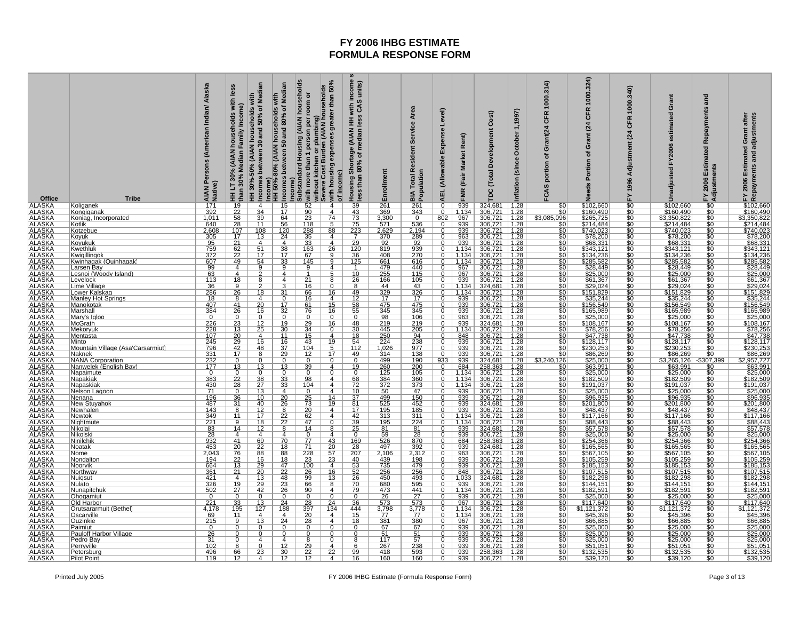| Office                                                                                                                                                                                                                                                                                         | <b>Tribe</b>                                             | Alaska<br>Persons (American Indian/<br>AIAN Pe<br>Native) | Les<br>households with<br>Income)<br>Family<br>HH LT 30% (AIAN<br>than 30% Median | households with<br>0 and 50% of Median<br>HH 30%-50% (AIAN house<br>Incomes between 30 and | Median<br>with<br>Income)<br>HH 50%-80% (AIAN households v<br>Incomes between 50 and 80% of | (AIAN households<br>$\frac{1}{\log 2}$ income)<br>aussandard Housing (AIAN households<br>$\frac{1}{\log 2}$ SUS with more than 1 person per room or<br>severe Cost Burden (AIAN households<br>on $\frac{1}{\alpha}$ a with housing expenses greater than 50% | greater than 50%<br>of income)     | n income<br>\S units)<br>units)<br>with<br>CAS<br>N<br>HH v<br>y Shortage (AIAN H<br>n 80% of median le<br>Housing S<br>less than | Enrollment                 | Service Area<br><b>Total Resident</b><br><b>BIA Total Report</b>       | Level)<br>Expense<br><b>AEL</b> (Allowable  | Rent)<br>FMR (Fair Market             | Development Cost)<br><b>TDC</b> (Total                   | October 1,1997)<br>Inflation (since | 1000.314<br><b>CFR</b><br>portion of Grant(24<br>FCAS | 1000.324)<br><b>CFR</b><br>(24)<br>rant<br>Ō<br>৳<br>Portion<br>Needs                                      | 1000.340)<br>CFR<br>(24)<br>Adjustment<br>FY1996 | Grant<br>estimated<br>FY2006<br>Unadjusted                | and<br>Repayments<br>Estimated<br>FY 2006 Estim<br>Adjustments | Grant after<br>Repayments and adjustments<br>Estimated<br>2006                                                                                               |
|------------------------------------------------------------------------------------------------------------------------------------------------------------------------------------------------------------------------------------------------------------------------------------------------|----------------------------------------------------------|-----------------------------------------------------------|-----------------------------------------------------------------------------------|--------------------------------------------------------------------------------------------|---------------------------------------------------------------------------------------------|--------------------------------------------------------------------------------------------------------------------------------------------------------------------------------------------------------------------------------------------------------------|------------------------------------|-----------------------------------------------------------------------------------------------------------------------------------|----------------------------|------------------------------------------------------------------------|---------------------------------------------|---------------------------------------|----------------------------------------------------------|-------------------------------------|-------------------------------------------------------|------------------------------------------------------------------------------------------------------------|--------------------------------------------------|-----------------------------------------------------------|----------------------------------------------------------------|--------------------------------------------------------------------------------------------------------------------------------------------------------------|
| <b>ALASKA</b>                                                                                                                                                                                                                                                                                  | Koliganek<br>Kongiganak                                  | $\frac{171}{392}$<br>1,011                                | $\frac{19}{22}$<br>58                                                             | $\frac{4}{34}$                                                                             | $\frac{15}{17}$                                                                             |                                                                                                                                                                                                                                                              |                                    | $\frac{39}{43}$<br>$\frac{43}{73}$                                                                                                | $\frac{261}{369}$<br>3,300 | $\frac{261}{343}$                                                      | $\overline{0}$                              | $\frac{939}{1,134}$<br>967            | 324,681<br>306,721<br>306,721                            | $\frac{1.28}{1.28}$                 |                                                       | \$102,660<br>\$160,490<br>\$265,725                                                                        | $\frac{1}{30}$<br>$\frac{50}{50}$                | \$102,660<br>\$160,490                                    | $\frac{10}{10}$                                                | \$102,660<br>\$160,490                                                                                                                                       |
| ALASKA<br>ALASKA                                                                                                                                                                                                                                                                               | Koniag, Incorporated                                     |                                                           |                                                                                   | 39                                                                                         | 64                                                                                          |                                                                                                                                                                                                                                                              |                                    |                                                                                                                                   |                            | $\overline{0}$                                                         | 802                                         |                                       |                                                          |                                     | \$3,085,096                                           |                                                                                                            |                                                  | \$3,350,822                                               |                                                                | \$3,350,822                                                                                                                                                  |
|                                                                                                                                                                                                                                                                                                | <u>Kotlik</u><br>Kotzebue                                | $\frac{640}{2,608}$                                       | $\frac{28}{107}$                                                                  | 11                                                                                         | 56<br>120                                                                                   | $\frac{118}{288}$<br>35                                                                                                                                                                                                                                      | $\overline{5}$<br>88               | $\frac{75}{223}$                                                                                                                  | $\frac{571}{2,629}$        |                                                                        | $\overline{0}$                              |                                       |                                                          |                                     | $\frac{$0}{$0}$                                       |                                                                                                            | \$0<br>\$0<br>\$0                                | $\frac{$214,484}{$740,023}$                               | \$0                                                            |                                                                                                                                                              |
|                                                                                                                                                                                                                                                                                                | <u>Koyuk</u>                                             |                                                           |                                                                                   | $\frac{108}{13}$                                                                           | 24                                                                                          |                                                                                                                                                                                                                                                              | 4                                  |                                                                                                                                   | 370                        |                                                                        |                                             |                                       | 939 306,721 1.28<br>939 306,721 1.28<br>963 306,721 1.28 |                                     | $\overline{\$0}$                                      | \$214,484<br>\$214,484<br>\$740,023<br>\$68,331                                                            |                                                  | \$78,200                                                  |                                                                |                                                                                                                                                              |
| ALASKA ALASKA ALASKA ALASKA ALASKA ALASKA ALASKA ALASKA ALASKA ALASKA ALASKA ALASKA ALASKA ALASKA ALASKA ALASKA ALASKA ALASKA ALASKA ALASKA ALASKA ALASKA ALASKA ALASKA ALASKA ALASKA ALASKA ALASKA ALASKA ALASKA ALASKA ALASK                                                                 | Koyukuk<br><u>Kwethluk</u>                               | $\frac{95}{759}$<br>372                                   | $\frac{21}{62}$<br>$\frac{62}{22}$                                                | 4                                                                                          | 4                                                                                           | $\frac{33}{163}$                                                                                                                                                                                                                                             | 4<br>26                            | $\frac{29}{120}$<br>$\frac{120}{36}$                                                                                              | 92<br>819                  | $\frac{536}{2,194}$ $\frac{289}{92}$ $\frac{92}{270}$                  | $\Omega$                                    | 939<br>1,134                          | $\frac{306,721}{200}$ 1.28                               |                                     | $rac{$0}{$0}$                                         |                                                                                                            | $\frac{10}{10}$                                  | $\frac{$68,331}{$343,121}$<br>$\frac{$134,236}{$134,236}$ | $\frac{$0}{$0}$                                                | 3,330,322<br>\$214,484<br>\$740,023<br>568,331<br>\$343,121<br>\$134,236<br>\$295,592                                                                        |
|                                                                                                                                                                                                                                                                                                | <u>Kwigillingok</u>                                      |                                                           |                                                                                   | $\frac{51}{17}$                                                                            | $\frac{38}{17}$                                                                             |                                                                                                                                                                                                                                                              | 9                                  |                                                                                                                                   | 408                        |                                                                        |                                             | 1,134                                 | 306,721 1.28                                             |                                     | \$0                                                   | $\frac{5343,121}{134,236}$                                                                                 |                                                  |                                                           |                                                                |                                                                                                                                                              |
|                                                                                                                                                                                                                                                                                                | <u> Kwinhaqak (Quinhaqak)</u>                            |                                                           | 49<br>4                                                                           | $\frac{54}{5}$                                                                             | 33                                                                                          | $\frac{145}{9}$                                                                                                                                                                                                                                              | 9                                  | 125                                                                                                                               |                            |                                                                        | 0                                           | 1,134                                 |                                                          | 1.28                                | $rac{$0}{60}$<br>$rac{$0}{60}$                        |                                                                                                            | $\frac{10}{10}$                                  | \$285,582                                                 | $\frac{$0}{$0}$                                                | <u>\$285,582</u>                                                                                                                                             |
|                                                                                                                                                                                                                                                                                                | <u>Larsen Bay</u><br>Lesnoi (Woody Island)               | $\frac{607}{99}$                                          | $\overline{4}$                                                                    |                                                                                            | 4                                                                                           |                                                                                                                                                                                                                                                              | $\overline{5}$                     | 10                                                                                                                                | $\frac{661}{479}$          | 616<br>440<br>115                                                      | $\Omega$                                    | $\frac{967}{967}$                     | 306,721<br>306,721<br>306,721                            | $\frac{1.28}{1.28}$                 |                                                       | $5285,582\n$ $528,449\n$ $525,000$                                                                         |                                                  | \$28,449<br>\$25,000                                      | \$0                                                            |                                                                                                                                                              |
|                                                                                                                                                                                                                                                                                                | Levelock                                                 | 113<br>36                                                 | 18<br>$\overline{9}$                                                              |                                                                                            | $\overline{\mathbf{A}}$                                                                     | $\frac{21}{16}$                                                                                                                                                                                                                                              | 8<br>O                             | 26<br>8                                                                                                                           | 166<br>44                  |                                                                        | $\overline{0}$                              | 939<br>1,134                          | 306,721                                                  | $\frac{1.28}{1.28}$                 | \$0                                                   | $$61,367$<br>$$29,024$                                                                                     |                                                  |                                                           | \$0                                                            |                                                                                                                                                              |
|                                                                                                                                                                                                                                                                                                | <u>Lime Village</u><br><u>Lower Kalskaq</u>              | 286                                                       | $\overline{26}$                                                                   | <u> 18</u>                                                                                 |                                                                                             | 66                                                                                                                                                                                                                                                           | <u>16</u>                          | 49                                                                                                                                | 329                        | $\frac{105}{43}$<br>$\frac{43}{326}$                                   |                                             | 1,134                                 | 324,681<br>306,721                                       | 1.28                                | $\frac{$0}{$0}$                                       | \$151,829                                                                                                  |                                                  | $\frac{$6,000}{$61,367}$<br>\$29,024<br>\$151,829         |                                                                |                                                                                                                                                              |
|                                                                                                                                                                                                                                                                                                | <b>Manley Hot Springs</b>                                | 18<br>407                                                 | 8<br>41                                                                           | 4<br>20                                                                                    | $\Omega$<br>17                                                                              | 16                                                                                                                                                                                                                                                           | 4                                  | $\frac{12}{58}$<br>55                                                                                                             | 17<br>475                  | $\frac{17}{475}$<br>345                                                | $\mathbf 0$                                 | $\frac{939}{939}$                     | 306,721<br>306,721                                       | 1.28<br>1.28                        | $rac{$0}{$0}$                                         | \$35,244<br>\$156,549<br>\$165,989                                                                         | \$0\$0\$0\$0                                     | $$35,244$<br>$$156,549$                                   | $\frac{$0}{$0}$                                                | 3283,362<br>\$28,449<br>\$25,000<br>\$61,367<br>\$61,367<br>\$150,549<br>\$156,549<br>\$156,598<br>\$155,989                                                 |
|                                                                                                                                                                                                                                                                                                | Manokotak<br>Marshall                                    | 384                                                       | 26                                                                                | <u> 16</u>                                                                                 | 32                                                                                          | 61<br>76                                                                                                                                                                                                                                                     | <u>15</u><br><u>16</u>             |                                                                                                                                   | 345                        |                                                                        | 0                                           | 939                                   | $306,721$   1.28                                         |                                     | \$0                                                   |                                                                                                            | \$0                                              | \$165,989                                                 |                                                                |                                                                                                                                                              |
|                                                                                                                                                                                                                                                                                                | Mary's Igloo                                             | $\frac{0}{226}$<br>228                                    | $\frac{0}{23}$<br>13                                                              | $\frac{0}{12}$<br>25                                                                       | $\overline{0}$                                                                              | $\frac{0}{29}$<br>$\frac{29}{34}$                                                                                                                                                                                                                            | $\overline{0}$                     | 0                                                                                                                                 | $\frac{98}{219}$<br>445    | $\frac{106}{219}$                                                      | $\overline{0}$                              | $\frac{963}{939}$                     | 306,721<br>324,681<br>306,721                            | $\frac{1.28}{1.28}$                 | $rac{$0}{0}$<br>$rac{$0}{0}$                          | $\frac{$25,000}{$25,000}$<br>$$108,167$<br>$$78,256$<br>$$47,738$<br>$$128,117$<br>$$230,253$<br>$$86,269$ | \$0<br>\$0<br>\$0<br>\$0                         | \$25,000                                                  | $\frac{$0}{$0}$                                                |                                                                                                                                                              |
|                                                                                                                                                                                                                                                                                                | McGrath<br>Mekoryuk                                      |                                                           |                                                                                   |                                                                                            | $\frac{19}{30}$                                                                             |                                                                                                                                                                                                                                                              | 16<br>$\overline{0}$               | $\frac{48}{30}$                                                                                                                   |                            |                                                                        |                                             | 1,134                                 |                                                          |                                     |                                                       |                                                                                                            |                                                  | $$108,167$<br>$$78,256$                                   |                                                                |                                                                                                                                                              |
|                                                                                                                                                                                                                                                                                                | Mentasta                                                 | 107                                                       | $\frac{20}{29}$<br>$\frac{42}{17}$                                                | $\overline{4}$                                                                             | 11                                                                                          | $\frac{15}{43}$                                                                                                                                                                                                                                              | 4                                  | $\frac{18}{54}$                                                                                                                   | $\frac{250}{224}$          | $\frac{94}{238}$<br>977                                                | $\Omega$<br>$\Omega$                        | 848                                   | $\frac{306,721}{306,721}$ $\frac{306,721}{306,721}$      | $\frac{1.28}{1.28}$                 | $rac{$0}{$0}$                                         |                                                                                                            |                                                  | $\frac{$47,738}{$128,117}$                                | $\frac{$0}{$0}$                                                |                                                                                                                                                              |
|                                                                                                                                                                                                                                                                                                | Minto<br>Mountain Village (Asa'Carsarmiut                | 245<br>796                                                |                                                                                   | 16<br>48                                                                                   | 16<br>37                                                                                    | $\frac{104}{12}$                                                                                                                                                                                                                                             | 19<br>5                            | $\frac{112}{49}$                                                                                                                  | 1,026                      |                                                                        |                                             | 939<br>$\frac{939}{939}$              |                                                          | 1.28                                | $\frac{$0}{$0}$                                       |                                                                                                            |                                                  |                                                           |                                                                |                                                                                                                                                              |
|                                                                                                                                                                                                                                                                                                | Naknek                                                   | 331                                                       |                                                                                   | 8                                                                                          | 29<br>$\Omega$                                                                              |                                                                                                                                                                                                                                                              | 17                                 |                                                                                                                                   | 314                        | 138                                                                    | $\mathbf{0}$                                | 939                                   | $306,721$   1.28                                         |                                     |                                                       |                                                                                                            | \$0<br>\$0<br>\$0<br>\$0<br>\$0<br>\$0           | $\frac{$230,253}{$86,269}$                                | \$0                                                            |                                                                                                                                                              |
|                                                                                                                                                                                                                                                                                                | <b>NANA Corporation</b><br><u>Nanwelek (Enqlish Bay)</u> | 232<br>177                                                | $\overline{0}$<br>$\overline{13}$                                                 | 13                                                                                         | <u>13</u>                                                                                   | 0<br>$\frac{39}{0}$                                                                                                                                                                                                                                          | 0<br>4                             | 0<br>$\frac{19}{0}$                                                                                                               | $\frac{499}{260}$          | $\frac{190}{200}$                                                      | 933<br>$\overline{0}$                       | 684                                   | 324,681   1.28<br>258,363   1.28                         |                                     | \$3,240,126<br>\$0                                    | $\frac{$25,000}{$25,000}$                                                                                  |                                                  |                                                           | \$307,399                                                      | \$2                                                                                                                                                          |
|                                                                                                                                                                                                                                                                                                | Napaimute                                                | $\overline{0}$                                            | $\overline{0}$                                                                    | $\overline{0}$                                                                             | $\overline{0}$                                                                              |                                                                                                                                                                                                                                                              | $\overline{0}$                     |                                                                                                                                   | 125                        | 105                                                                    | $\overline{0}$                              | 1,134                                 | 306,721   1.28                                           |                                     | $\overline{30}$                                       |                                                                                                            |                                                  | $\frac{563,991}{$25,000}$                                 |                                                                |                                                                                                                                                              |
|                                                                                                                                                                                                                                                                                                | <u>Napakiak</u><br>Napaskiak                             | 383                                                       | $\frac{22}{28}$                                                                   | $\frac{38}{27}$                                                                            | $\overline{33}$                                                                             | $\frac{98}{104}$                                                                                                                                                                                                                                             | 4<br>$\overline{4}$                | $\frac{68}{72}$                                                                                                                   | $\frac{384}{372}$          | $\frac{360}{373}$                                                      | 0                                           | 1,134                                 | 306,721 1.28<br>306,721 1.28<br>306,721 1.28             |                                     | <u>\$0 </u>                                           | $\frac{$182,509}{$182,509}$<br>$$25,000$                                                                   |                                                  | $\frac{$182,509}{$191,037}$                               |                                                                |                                                                                                                                                              |
|                                                                                                                                                                                                                                                                                                | Nelson Lagoon                                            | $\frac{430}{71}$                                          |                                                                                   |                                                                                            | $\frac{33}{4}$                                                                              |                                                                                                                                                                                                                                                              | $\overline{4}$                     | 10<br>$\overline{37}$                                                                                                             |                            |                                                                        | $\overline{\mathfrak{o}}$<br>$\overline{0}$ | $\frac{1,134}{939}$                   |                                                          |                                     | \$0                                                   |                                                                                                            | $\overline{\$0}$                                 | \$25,000                                                  |                                                                | \$165,989<br>\$108,167738<br>\$108,167738<br>\$230,253<br>\$230,253<br>\$66,269<br>\$66,269<br>\$125,000<br>\$182,509<br>\$182,509<br>\$182,509<br>\$182,509 |
|                                                                                                                                                                                                                                                                                                | Nenana<br>New Stuyahol                                   | 196<br>487                                                | 36<br>$\overline{31}$                                                             | 10<br>40                                                                                   | 20<br>26                                                                                    | $\frac{25}{73}$                                                                                                                                                                                                                                              | 14<br>19                           | 81                                                                                                                                | 499<br>525                 | $\frac{150}{452}$<br>185                                               |                                             | 939<br>939                            | 306,721<br>324,681                                       | 1.28<br>1.28                        | $rac{$0}{0}$<br>$rac{$0}{0}$                          | \$96,935                                                                                                   | $\frac{60}{100}$                                 | \$96,935<br>\$201,800                                     | \$0                                                            | \$96,935<br>\$201,800                                                                                                                                        |
|                                                                                                                                                                                                                                                                                                | <u>Newhalen</u>                                          | 143                                                       | 8<br>11                                                                           | 12<br>17                                                                                   | 8                                                                                           | 20                                                                                                                                                                                                                                                           | 4                                  | 17                                                                                                                                | 195                        |                                                                        | $\Omega$                                    | 939                                   | 306,721                                                  | 1.28                                |                                                       | \$201,800                                                                                                  |                                                  | \$48,437                                                  |                                                                | $\frac{1}{1}$ \$48,437                                                                                                                                       |
|                                                                                                                                                                                                                                                                                                | Newtok<br>Nightmute                                      | $\frac{349}{221}$                                         | $\overline{9}$                                                                    | 18                                                                                         | $\frac{22}{1}$<br>22                                                                        | $\frac{62}{47}$                                                                                                                                                                                                                                              | 4<br>0                             | $\frac{42}{39}$<br>25                                                                                                             | $\frac{313}{195}$          | $\frac{311}{224}$                                                      |                                             | 1,134<br>1,134                        | 306,721<br>306,721                                       | 1.28<br>  1.28                      | $\frac{$0}{$0}$                                       | \$117,166                                                                                                  | $\frac{$0}{$0}$                                  | $\frac{$117,166}{$88,443}$                                | \$0                                                            |                                                                                                                                                              |
| <b>ALASKA</b>                                                                                                                                                                                                                                                                                  | <u> Nikolai</u>                                          | 83                                                        | $\overline{14}$                                                                   | <u>12</u>                                                                                  | 8                                                                                           | 14                                                                                                                                                                                                                                                           | 8                                  |                                                                                                                                   | 81                         | 81                                                                     | 0                                           | 939                                   | $324,681$   1.28                                         |                                     | \$0                                                   | $\frac{$88,443}{$57,578}$                                                                                  | \$0                                              | \$57,578                                                  | \$0                                                            | \$88,443                                                                                                                                                     |
|                                                                                                                                                                                                                                                                                                | Nikolski<br>Ninilchil                                    | 28                                                        | $\overline{4}$                                                                    | $\overline{4}$                                                                             | 4                                                                                           | $\overline{0}$                                                                                                                                                                                                                                               | 4                                  | $\overline{0}$                                                                                                                    | 59                         | $\begin{array}{r} 28 \\ 870 \\ 392 \\ 2,312 \\ 198 \\ 479 \end{array}$ | 0                                           | 939                                   | $\frac{306,721}{258,363}$ $\frac{324,681}{200,701}$      | 1.28<br>1.28                        | $rac{$0}{0}$<br>$rac{$0}{0}$                          | $\frac{$25,000}{$254,366}$                                                                                 | \$0<br>\$0<br>\$0                                | \$25,000                                                  | <u>\$0</u>                                                     |                                                                                                                                                              |
|                                                                                                                                                                                                                                                                                                | Noatak                                                   | $\frac{932}{453}$                                         | $\frac{41}{20}$                                                                   |                                                                                            | $\frac{70}{18}$                                                                             |                                                                                                                                                                                                                                                              |                                    |                                                                                                                                   | $\frac{526}{497}$          |                                                                        |                                             |                                       |                                                          |                                     |                                                       |                                                                                                            |                                                  | \$165,565                                                 |                                                                |                                                                                                                                                              |
|                                                                                                                                                                                                                                                                                                | Nome<br>Nondaltor                                        | $\frac{2,043}{194}$                                       | $\frac{76}{22}$<br>$\frac{22}{13}$                                                | $\frac{69}{22}$ $\frac{88}{16}$                                                            | 88<br>$\overline{18}$                                                                       | $\frac{77}{228}$<br>$\frac{228}{100}$                                                                                                                                                                                                                        | $\frac{43}{20}$<br>$\frac{57}{23}$ | $\frac{\frac{169}{28}}{\frac{207}{40}}$                                                                                           | $\frac{2,106}{439}$        |                                                                        | $\mathbf{0}$<br>$\overline{0}$              | $\frac{684}{939}$                     | 306,721<br>306,721                                       | $\frac{1.28}{1.28}$<br>1.28         | $\frac{$0}{$0}$                                       | \$567,105<br>\$567,105<br>\$105,259                                                                        | $\frac{$0}{$0}$                                  | \$567,105<br>\$105,259<br>\$185,153                       | $\frac{60}{50}$                                                |                                                                                                                                                              |
|                                                                                                                                                                                                                                                                                                | Noorvik                                                  | 664                                                       |                                                                                   | 29                                                                                         | 47                                                                                          |                                                                                                                                                                                                                                                              | $\overline{4}$                     | 53                                                                                                                                |                            |                                                                        |                                             | 939                                   | 306,721                                                  | 1.28                                | \$0                                                   |                                                                                                            | ŚĆ                                               |                                                           |                                                                | \$25,000<br>\$254,366<br>\$165,565<br>\$165,259<br>\$185,153<br>\$185,153                                                                                    |
|                                                                                                                                                                                                                                                                                                | Northway<br><u>Nuiqsut</u>                               | 361                                                       | 21<br>4                                                                           | 20                                                                                         | 22<br>48                                                                                    | 26                                                                                                                                                                                                                                                           | <u>16</u><br>13                    | $\frac{52}{26}$<br>70                                                                                                             | $\frac{256}{450}$          | 256<br>493                                                             | 0                                           | 848<br>1,033                          | 306,721<br>324,681                                       | $\vert$ 1.28<br>$\vert$ 1.28        | $rac{$0}{$0}$                                         | $\frac{$107,515}{$182,298}$                                                                                | $\frac{$0}{$0}$                                  | $$107,515$<br>$$182,298$                                  | <u>\$0</u>                                                     | $\frac{$107,515}{$182,298}$                                                                                                                                  |
|                                                                                                                                                                                                                                                                                                | <u>Nulato</u>                                            | $\frac{421}{326}$                                         | 19                                                                                | $\frac{13}{29}$                                                                            | 23                                                                                          | $\frac{99}{66}$                                                                                                                                                                                                                                              | 8                                  |                                                                                                                                   | 680                        | 595                                                                    | 0                                           |                                       | $939$   $306,721$   1.28                                 |                                     | \$0                                                   |                                                                                                            | \$0                                              | \$144,151                                                 | \$0                                                            |                                                                                                                                                              |
| ALASKA<br>ALASKA<br>ALASKA<br>ALASKA<br>ALASKA<br>ALASKA<br>ALASKA<br>ALASKA<br>ALASKA<br>ALASKA<br>ALASKA<br>ALASKA<br>ALASKA<br>ALASKA<br>ALASKA<br>ALASKA<br>ALASKA<br>ALASKA<br>ALASKA<br>ALASKA<br>ALASKA<br>ALASKA<br>ALASKA<br>ALASKA<br>ALASKA<br>ALASKA<br>ALASKA<br>ALASKA<br>ALASKA | Nunapitchul<br><b>Ohogamiut</b>                          | 502                                                       | 27<br>$\overline{0}$                                                              | 42<br>0                                                                                    | 26<br>0                                                                                     | 90                                                                                                                                                                                                                                                           | $\overline{4}$                     | 79<br>$\overline{0}$                                                                                                              | 473                        | 441                                                                    | $\Omega$                                    | 1,134                                 | 306,721   1.28                                           |                                     | \$0                                                   | $\frac{$182,591}{$25,000}$<br>\$117,640<br>\$1,121,372                                                     | \$0<br>\$0<br>\$0<br>\$0<br>\$0                  | \$182,591                                                 |                                                                |                                                                                                                                                              |
|                                                                                                                                                                                                                                                                                                | Old Harbor                                               | $\frac{0}{221}$<br>4,178                                  | $\frac{33}{195}$                                                                  | $\frac{13}{127}$                                                                           | $\overline{24}$                                                                             | $\frac{0}{28}$<br>397                                                                                                                                                                                                                                        | $\frac{0}{24}$<br>134              | $\frac{36}{444}$                                                                                                                  | $\frac{26}{573}$<br>3,798  | $\frac{27}{573}$<br>3,778                                              |                                             | $\frac{939}{967}$ $\frac{967}{1,134}$ | $\frac{306,721}{306,721}$<br>$\frac{306,721}{306,721}$   | $\frac{1.28}{1.28}$<br>1.28         | $\frac{10}{100}$                                      |                                                                                                            |                                                  | $\frac{$25,000}{$17,640}$                                 |                                                                | \$182,591<br>\$182,591<br>\$25,000<br>\$117,640<br>\$45,396<br>\$66,885<br>\$66,885<br>\$25,000                                                              |
|                                                                                                                                                                                                                                                                                                | Orutsararmuit (Bethel)<br>Oscarville                     | 69                                                        | $\overline{11}$                                                                   | 4                                                                                          | 188<br>$\overline{4}$                                                                       | $\overline{20}$                                                                                                                                                                                                                                              | 4                                  | 15                                                                                                                                | $\overline{77}$            | $\overline{77}$                                                        | 0<br>$\overline{0}$                         | 1,134                                 |                                                          |                                     |                                                       |                                                                                                            |                                                  | \$45,396                                                  | \$0                                                            |                                                                                                                                                              |
|                                                                                                                                                                                                                                                                                                | Ouzinkie                                                 | 215                                                       | $\overline{9}$                                                                    | 13                                                                                         | 24                                                                                          | 28                                                                                                                                                                                                                                                           | 4                                  | $\overline{18}$                                                                                                                   | 381                        | $\frac{380}{67}$                                                       | $\mathbf 0$                                 | 967                                   | $\frac{306,721}{306,721}$                                | $\frac{1.28}{1.28}$                 | $rac{$0}{$0}$                                         | $7.724,392$<br>\$45,396<br>\$66,885<br>\$25,000                                                            | $\frac{50}{50}$                                  | $\frac{$66,885}{$25,000}$                                 |                                                                |                                                                                                                                                              |
|                                                                                                                                                                                                                                                                                                | Paimiut<br>Pauloff Harbor Village                        | $\overline{0}$<br>26                                      | 0<br>0                                                                            | $\Omega$<br>$\Omega$                                                                       | $\overline{0}$<br>$\Omega$                                                                  | 0<br>$\Omega$                                                                                                                                                                                                                                                | $\mathbf{0}$<br>$\Omega$           | $\Omega$                                                                                                                          | 67<br>51                   |                                                                        | 0                                           | 939<br>939                            | 306,721<br>306,721                                       | 1.28<br>1.28                        | $\overline{\$0}$                                      |                                                                                                            |                                                  |                                                           | \$0                                                            |                                                                                                                                                              |
|                                                                                                                                                                                                                                                                                                | Pedro Bay                                                | 31                                                        |                                                                                   |                                                                                            |                                                                                             |                                                                                                                                                                                                                                                              |                                    |                                                                                                                                   | 117                        | $\frac{51}{57}$                                                        |                                             |                                       | 939 306,721 1.28<br>939 306,721 1.28                     |                                     | $\frac{$0}{$0}$                                       | $$25,000$<br>$$25,000$                                                                                     | $\frac{60}{100}$                                 | $\frac{$25,000}{$25,000}$                                 |                                                                | $\frac{1150000}{15250000}$                                                                                                                                   |
| <b>ALASKA</b>                                                                                                                                                                                                                                                                                  | Perryville<br>Petersburg                                 | 102<br>496                                                | 66                                                                                | 23                                                                                         | 12<br>30                                                                                    | 29<br>22                                                                                                                                                                                                                                                     | 4<br>22                            | 99                                                                                                                                | 267<br>418                 |                                                                        | $\Omega$<br>$\overline{0}$                  |                                       |                                                          |                                     | $\overline{\$0}$                                      | \$51,051<br>\$132,535                                                                                      |                                                  | \$132,535                                                 |                                                                |                                                                                                                                                              |
| <b>ALASKA</b>                                                                                                                                                                                                                                                                                  | <b>Pilot Point</b>                                       | 119                                                       | $\overline{12}$                                                                   |                                                                                            | 12                                                                                          | 12                                                                                                                                                                                                                                                           | 4                                  | $\overline{16}$                                                                                                                   | 160                        | $\frac{593}{160}$                                                      | $\overline{0}$                              |                                       | 939 258,363 1.28<br>939 306,721 1.28                     |                                     | $rac{$0}{$0}$                                         | \$39.120                                                                                                   | $\frac{$0}{\$0}$                                 | \$39.120                                                  | $\frac{$0}{$0}$                                                | $\frac{132.535}{\$39.120}$                                                                                                                                   |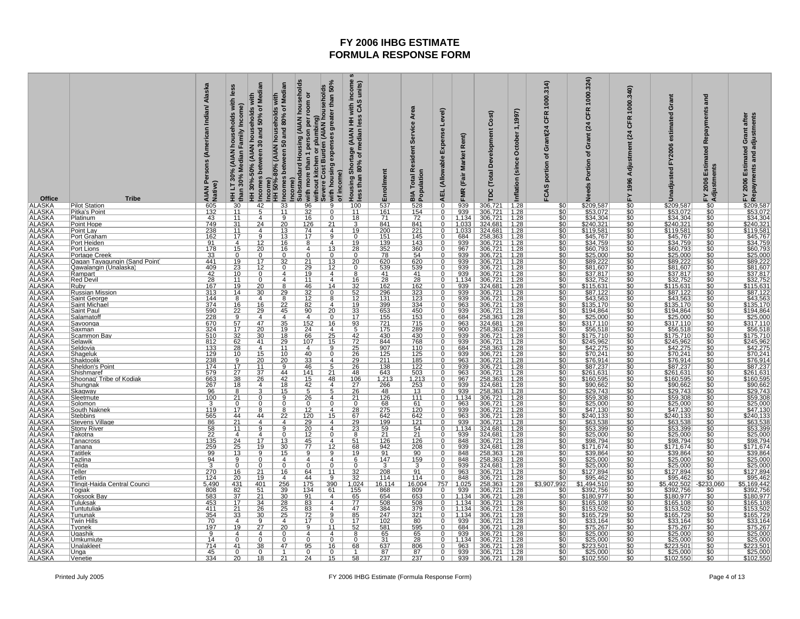| Office                                                                                                                                                                                                                         | <b>Tribe</b>                                                  | Persons (American Indian/ Alaska<br>AIAN Pe           | less<br>households with<br>Income)<br>Family<br>HHLT30% (AIAN<br>than 30% Median<br>than 30%                           | HH 30%-50% (AIAN households with<br>Incomes between 30 and 50% of Median                                      | Income)<br>Substandard Housing (AIAN households<br>Median<br>with<br>Incomes between 50 and 80% of<br>Income)<br>HH 50%-80% (AIAN households | with more than 1 person per room or<br>without kitchen or plumbing)<br>Severe Cost Burden (AIAN households | with income :<br>s CAS units)<br>greater than 50%<br>units)<br>Housing Shortage (AIAN HH v<br>less than 80% of median less<br>with housing expenses<br>of income) | Enrollment                                                              | Service Area<br><b>BIA Total Resident</b><br>Population                                                       | Level)<br>Expense<br>AEL (Allowable | FMR (Fair Market Rent)                                                                          | Development Cost)<br><b>TDC</b> (Total                         | October 1,1997)<br>Inflation (since                                                                              | CFR 1000.314)<br>portion of Grant(24<br>FCAS                                                                                                         | 1000.324)<br><b>CFR</b><br>$\overline{a}$<br>rant<br>ō<br>৳<br>Portion<br><b>Needs</b> | 1000.340)<br>CFR<br>$\overline{a}$<br>Adjustment<br>FY 1996 | Grant<br>estimated<br>FY2006<br>Unadjusted                  | and<br>Repayments<br>Estimated<br><b>FY 2006 Estim</b><br>Adjustments | Grant after<br>Repayments and adjustments<br>Estimated<br>2006<br>모                                                                                                                             |
|--------------------------------------------------------------------------------------------------------------------------------------------------------------------------------------------------------------------------------|---------------------------------------------------------------|-------------------------------------------------------|------------------------------------------------------------------------------------------------------------------------|---------------------------------------------------------------------------------------------------------------|----------------------------------------------------------------------------------------------------------------------------------------------|------------------------------------------------------------------------------------------------------------|-------------------------------------------------------------------------------------------------------------------------------------------------------------------|-------------------------------------------------------------------------|---------------------------------------------------------------------------------------------------------------|-------------------------------------|-------------------------------------------------------------------------------------------------|----------------------------------------------------------------|------------------------------------------------------------------------------------------------------------------|------------------------------------------------------------------------------------------------------------------------------------------------------|----------------------------------------------------------------------------------------|-------------------------------------------------------------|-------------------------------------------------------------|-----------------------------------------------------------------------|-------------------------------------------------------------------------------------------------------------------------------------------------------------------------------------------------|
| <b>ALASKA</b>                                                                                                                                                                                                                  | <b>Pilot Station</b><br>Pitka's Point                         | $\frac{605}{132}$                                     | $\frac{30}{11}$                                                                                                        | $\frac{42}{5}$                                                                                                | $\frac{33}{11}$                                                                                                                              | $\frac{96}{32}$<br>16                                                                                      | 9<br>100<br>$\overline{0}$<br>11                                                                                                                                  | $\frac{537}{161}$                                                       | $\frac{528}{154}$                                                                                             | $\overline{0}$<br>$\overline{0}$    | $\frac{939}{939}$                                                                               | 306,721<br>306,721<br>306,721                                  | $\frac{1.28}{1.28}$<br>1.28                                                                                      | \$0<br>\$0<br>\$0                                                                                                                                    | \$209,587<br>\$53,072<br>\$34,304                                                      | \$0<br>\$0<br>\$0<br>\$0<br>\$0<br>\$0                      | \$209,587<br>\$53,072<br>\$34,304                           | $\frac{$0}{$0}{$0}{$0 $$                                              | <u>\$209,587<br/>\$53,072</u><br>\$34,304<br>\$240,321<br>\$119,581<br>\$45,767                                                                                                                 |
|                                                                                                                                                                                                                                | Platinum                                                      | 43                                                    | 11                                                                                                                     | 4                                                                                                             | $\overline{9}$                                                                                                                               |                                                                                                            | $\overline{0}$<br>18                                                                                                                                              | 71                                                                      |                                                                                                               | $\overline{0}$                      | 1,134                                                                                           |                                                                |                                                                                                                  |                                                                                                                                                      |                                                                                        |                                                             |                                                             |                                                                       |                                                                                                                                                                                                 |
|                                                                                                                                                                                                                                | Point Hope<br>Point Lay                                       | $\frac{749}{238}$<br>162                              | $\frac{31}{11}$                                                                                                        | 24<br>4                                                                                                       | $\overline{20}$<br>13                                                                                                                        | $\frac{126}{74}$                                                                                           | $\overline{21}$<br>3<br>19<br>4                                                                                                                                   | $\frac{841}{200}$                                                       | $\frac{841}{221}$<br>145                                                                                      | $\overline{0}$                      | 1,033<br>1,033                                                                                  | 1,033 324,681<br>1,033 324,681<br>684 258,363                  | $\frac{1.28}{1.28}$                                                                                              | $\frac{$0}{$0}{$0}$                                                                                                                                  | \$240,321<br>\$119,581                                                                 |                                                             | \$240,321<br>\$119,581                                      |                                                                       |                                                                                                                                                                                                 |
|                                                                                                                                                                                                                                | <b>Port Graham</b>                                            |                                                       |                                                                                                                        | $\overline{9}$                                                                                                | $\overline{13}$                                                                                                                              |                                                                                                            | $\overline{0}$<br>$\overline{9}$                                                                                                                                  | 151                                                                     |                                                                                                               | $\overline{0}$                      |                                                                                                 |                                                                | 1.28                                                                                                             |                                                                                                                                                      | \$45,767                                                                               |                                                             | \$45,767                                                    | \$0                                                                   |                                                                                                                                                                                                 |
|                                                                                                                                                                                                                                | Port Heiden<br>Port Lions                                     | 91                                                    | $\frac{4}{15}$                                                                                                         | $\frac{12}{20}$                                                                                               | $\frac{16}{16}$                                                                                                                              | $\overline{8}$<br>$\overline{4}$                                                                           | $\frac{19}{28}$<br>4<br>13                                                                                                                                        | $\frac{139}{352}$<br>78                                                 | $\frac{143}{360}$                                                                                             | $\overline{0}$                      | $\frac{939}{939}$ $\frac{967}{939}$ $\frac{939}{939}$                                           | 256,565<br>306,721<br>306,721<br>306,721<br>306,721            | $\begin{array}{r}\n 1.28 \\  1.28 \\  1.28 \\  1.28 \\  1.28 \\  1.28 \\  1.28 \\  1.28 \\  \hline\n\end{array}$ | $rac{60}{60}$                                                                                                                                        | $\frac{$34,759}{$60,793}$                                                              | \$0<br>\$0<br>\$0                                           | \$34,759<br>\$60,793<br>\$25,000                            | $\frac{10}{10}$                                                       | \$45,767<br>\$34,759<br>\$60,793<br>\$25,000<br>\$89,222<br>\$81,607<br>\$37,817<br>\$115,631<br>\$87,122<br>\$87,122                                                                           |
|                                                                                                                                                                                                                                | <b>Portage Creek</b>                                          | $\frac{178}{33}$                                      | $\frac{0}{19}$<br>$\frac{19}{23}$<br>$\frac{23}{10}$                                                                   | $\overline{0}$                                                                                                | $\overline{0}$                                                                                                                               | $\overline{0}$                                                                                             |                                                                                                                                                                   |                                                                         |                                                                                                               |                                     |                                                                                                 |                                                                |                                                                                                                  |                                                                                                                                                      |                                                                                        |                                                             |                                                             |                                                                       |                                                                                                                                                                                                 |
|                                                                                                                                                                                                                                | Qagan Tayagungin (Sand Point<br><u> Qawalanqin (Unalaska)</u> | 441<br>409                                            |                                                                                                                        | 17<br>$\overline{12}$                                                                                         | $\overline{32}$<br>$\overline{0}$                                                                                                            | $\frac{21}{29}$<br>$\frac{29}{19}$                                                                         | $\frac{13}{12}$<br>$\frac{20}{0}$                                                                                                                                 | 620<br>539                                                              | $\frac{620}{539}$                                                                                             | $\overline{0}$<br>$\overline{0}$    |                                                                                                 |                                                                |                                                                                                                  | $rac{60}{60}$                                                                                                                                        | \$89,222                                                                               | $\frac{60}{100}$                                            | \$89,222<br>\$81,607                                        | $\frac{1}{30}$                                                        |                                                                                                                                                                                                 |
|                                                                                                                                                                                                                                | Rampart                                                       | 42                                                    |                                                                                                                        | $\overline{0}$                                                                                                | 4                                                                                                                                            |                                                                                                            | 4<br>8                                                                                                                                                            | 41                                                                      | $\overline{41}$                                                                                               | $\overline{0}$                      | 939                                                                                             | 306,721                                                        |                                                                                                                  |                                                                                                                                                      |                                                                                        |                                                             | \$37,817                                                    |                                                                       |                                                                                                                                                                                                 |
|                                                                                                                                                                                                                                | <b>Red Devil</b><br><u>Ruby</u>                               | 28<br>167                                             | 11<br>$\overline{19}$                                                                                                  | $\Omega$                                                                                                      | 4                                                                                                                                            | 11                                                                                                         | $\frac{16}{32}$<br>$\frac{32}{52}$<br>4<br>14                                                                                                                     | $\frac{28}{162}$<br>296                                                 | $\frac{28}{162}$ $\frac{162}{323}$                                                                            | $\Omega$                            | $\frac{1,134}{939}$                                                                             | 306,721<br>324,681                                             | $\frac{1.28}{1.28}$                                                                                              | $\frac{$0}{$0}{$0}{$0 $$                                                                                                                             | $\frac{$32,752}{$115,631}$                                                             | $\frac{$C}{$C}$                                             | $\frac{$32,752}{$115,631}$                                  |                                                                       |                                                                                                                                                                                                 |
|                                                                                                                                                                                                                                | <b>Russian Mission</b>                                        | 313                                                   | 14                                                                                                                     | $\frac{20}{30}$                                                                                               | 29                                                                                                                                           | $\frac{46}{32}$                                                                                            | 0                                                                                                                                                                 |                                                                         |                                                                                                               | 0                                   | 939                                                                                             | 306,721                                                        | 1.28                                                                                                             |                                                                                                                                                      |                                                                                        | ŚĆ                                                          |                                                             |                                                                       |                                                                                                                                                                                                 |
|                                                                                                                                                                                                                                | <b>Saint George</b><br><b>Saint Michae</b>                    |                                                       |                                                                                                                        | 4                                                                                                             | $\frac{8}{22}$<br>45                                                                                                                         |                                                                                                            | 8<br>$\overline{4}$                                                                                                                                               |                                                                         |                                                                                                               | $\mathbf 0$                         | 939                                                                                             |                                                                | $\frac{1.28}{1.28}$                                                                                              | $\frac{$0}{$0}{$0}{$0 $$                                                                                                                             | $\frac{$43,563}{$135,170}$                                                             |                                                             | $\frac{$43,563}{$135,170}$                                  | <u>\$0</u>                                                            | $\frac{$43,563}{$135,170}$                                                                                                                                                                      |
|                                                                                                                                                                                                                                | <b>Saint Paul</b>                                             |                                                       |                                                                                                                        | $\frac{16}{29}$                                                                                               |                                                                                                                                              | $\frac{12}{82}$<br>$\frac{82}{90}$                                                                         | $\overline{20}$                                                                                                                                                   |                                                                         |                                                                                                               |                                     |                                                                                                 |                                                                |                                                                                                                  |                                                                                                                                                      |                                                                                        |                                                             |                                                             |                                                                       | <u>\$194,864</u>                                                                                                                                                                                |
|                                                                                                                                                                                                                                | Salamatof<br>Savoonqa                                         | $\frac{144}{374}$ $\frac{590}{670}$ $\frac{228}{324}$ | $\frac{8}{16}$ $\frac{22}{9}$ $\frac{57}{17}$                                                                          | 4<br>47                                                                                                       | $\overline{4}$<br>$\overline{35}$                                                                                                            |                                                                                                            | $\frac{12}{19}$ $\frac{33}{17}$ $\frac{17}{93}$ $\frac{5}{9}$<br>0<br>16                                                                                          | $\frac{131}{131}$ $\frac{399}{653}$ $\frac{155}{721}$ $\frac{721}{175}$ | $\frac{123}{334}$ $\frac{334}{450}$ $\frac{153}{715}$                                                         | $\mathbf 0$<br>$\overline{0}$       | $\frac{963}{939}$ $\frac{684}{963}$                                                             | 306,721<br>306,721<br>306,721<br>258,363<br>324,681            | $\frac{1.28}{1.28}$<br>1.28                                                                                      | $\frac{$0}{$0}{$0}{$0 $$                                                                                                                             | $\frac{$25,000}{$317,110}$                                                             | \$0<br>\$0<br>\$0<br>\$0                                    | $\frac{$25,000}{$317,110}$                                  | $\frac{$0}{$0}$                                                       | \$25,000<br>\$317,110                                                                                                                                                                           |
|                                                                                                                                                                                                                                | Saxman                                                        |                                                       |                                                                                                                        | 20                                                                                                            | 19                                                                                                                                           | $\frac{152}{24}$                                                                                           | $\overline{4}$                                                                                                                                                    |                                                                         | 289                                                                                                           | $\overline{0}$                      | 900                                                                                             | 258,363                                                        | 1.28                                                                                                             |                                                                                                                                                      |                                                                                        |                                                             |                                                             |                                                                       | $\frac{$377,110}{$56,518}$<br>$$175,710$<br>$$245,962$<br>$$42,275$                                                                                                                             |
|                                                                                                                                                                                                                                | <u>Scammon Bav</u><br><u>Selawik</u>                          | $\frac{510}{812}$<br>133                              | $\frac{32}{62}$<br>28                                                                                                  | $\frac{30}{41}$                                                                                               | $\frac{18}{29}$                                                                                                                              | $\frac{66}{107}$                                                                                           | $\frac{25}{15}$<br>$\frac{42}{72}$<br>$\frac{25}{26}$                                                                                                             | 430<br>844                                                              | 430<br>768                                                                                                    | $\Omega$                            | 939<br>939                                                                                      | 306,721                                                        | 1.28<br>1.28                                                                                                     | 8888                                                                                                                                                 | $5175,710$ $5245,962$ $542,275$ $570,241$                                              | $\frac{$0}{\$0}$                                            | $\frac{$175,710}{$245,962}$                                 |                                                                       |                                                                                                                                                                                                 |
|                                                                                                                                                                                                                                | Seldovia                                                      |                                                       |                                                                                                                        | $\overline{4}$                                                                                                | 11                                                                                                                                           |                                                                                                            | 9                                                                                                                                                                 | 907                                                                     | 110                                                                                                           | 0                                   | 684                                                                                             | 306,721<br>258,363                                             | 1.28                                                                                                             |                                                                                                                                                      |                                                                                        | \$0<br>\$0                                                  |                                                             |                                                                       |                                                                                                                                                                                                 |
|                                                                                                                                                                                                                                | Shageluk<br>Shaktoolik                                        | 129<br>238                                            | 10                                                                                                                     | 15                                                                                                            | 10                                                                                                                                           | 40                                                                                                         | $\overline{0}$<br>$\overline{4}$                                                                                                                                  | 125<br>211                                                              | 125                                                                                                           | 0<br>$\overline{0}$                 | 939<br>963                                                                                      | 306,721                                                        | 1.28                                                                                                             |                                                                                                                                                      |                                                                                        |                                                             | \$70,241                                                    | \$0                                                                   | \$70,241                                                                                                                                                                                        |
|                                                                                                                                                                                                                                | <u>Sheldon's Point</u>                                        | 174                                                   |                                                                                                                        | $\frac{20}{11}$                                                                                               | $\frac{20}{9}$                                                                                                                               | $\frac{33}{46}$<br>141                                                                                     | $\frac{29}{26}$<br>$\frac{5}{21}$                                                                                                                                 | $\frac{138}{643}$                                                       | $\frac{185}{122}$                                                                                             |                                     | $\frac{939}{963}$                                                                               | $\frac{306,721}{306,721}$<br>$\frac{306,721}{306,721}$         | $\frac{1.28}{1.28}$<br>1.28                                                                                      | $\frac{$0}{$0}{$0}{$0 $$                                                                                                                             | $\frac{$76,914}{$87,237}$<br>\$87,237                                                  | SC<br>SC<br>SC                                              | $\frac{$76,914}{$87,237}$<br>\$87,237                       |                                                                       |                                                                                                                                                                                                 |
|                                                                                                                                                                                                                                | Shishmaref<br>Shoonag' Tribe of Kodiak                        | 579                                                   |                                                                                                                        | $\overline{26}$                                                                                               | 44<br>42                                                                                                                                     | 15                                                                                                         | 48                                                                                                                                                                |                                                                         |                                                                                                               | $\overline{0}$<br>$\overline{0}$    | 967                                                                                             |                                                                | 1.28                                                                                                             |                                                                                                                                                      | \$160,595                                                                              |                                                             | \$160,595                                                   | \$0<br>\$0                                                            |                                                                                                                                                                                                 |
|                                                                                                                                                                                                                                | Shungnal                                                      | $\frac{663}{267}$                                     | $\frac{10}{9}$<br>$\frac{17}{27}$<br>$\frac{27}{38}$<br>$\frac{18}{18}$                                                | 4                                                                                                             | $\overline{18}$                                                                                                                              | $\frac{42}{5}$                                                                                             | $\frac{\frac{18}{106}}{\frac{27}{26}}$<br>$\overline{4}$                                                                                                          | $\frac{1,213}{266}$                                                     | $\frac{1,213}{253}$ $\frac{253}{13}$                                                                          | $\overline{0}$                      | 939                                                                                             | $\frac{258,363}{324,681}$                                      | 1.28                                                                                                             | $rac{60}{100}$                                                                                                                                       | $$90,662$<br>$$29,743$                                                                 | \$0<br>\$0<br>\$0<br>\$0<br>\$0<br>\$0                      | $$90,662$<br>$$29,743$                                      |                                                                       | $\begin{array}{r}\n 370,241 \\  \hline\n $76,914 \\  \hline\n $87,237 \\  \hline\n $261,631 \\  \hline\n $160,595 \\  \hline\n $90,662 \\  \hline\n $29,743 \\  \hline\n $50,208\n \end{array}$ |
|                                                                                                                                                                                                                                | <u>Skaqway</u><br>Sleetmute                                   | 96<br>100                                             | 8<br>21                                                                                                                |                                                                                                               | 15<br>9                                                                                                                                      | $\frac{26}{5}$                                                                                             | 5<br>$\overline{4}$                                                                                                                                               | 48<br>126                                                               | 111                                                                                                           | $\overline{0}$<br>$\Omega$          | 939<br>1,134                                                                                    | 306,721                                                        | 1.28                                                                                                             |                                                                                                                                                      |                                                                                        |                                                             |                                                             |                                                                       |                                                                                                                                                                                                 |
|                                                                                                                                                                                                                                | Solomon                                                       | 3                                                     | $\frac{0}{17}$                                                                                                         |                                                                                                               |                                                                                                                                              | $\mathbf{0}$                                                                                               | $\frac{21}{0}$<br>28<br>$\Omega$                                                                                                                                  | $\frac{68}{275}$                                                        | $\frac{61}{120}$                                                                                              |                                     | 963                                                                                             | 306,721                                                        | $\frac{1.28}{1.28}$                                                                                              | $rac{10}{100}$                                                                                                                                       | $\frac{$59,308}{$25,000}$                                                              |                                                             | $\frac{$59.308}{$25.000}{$47.130$                           | $\frac{$0}{$0}$                                                       | \$59,308<br>\$25,000<br>\$47,130                                                                                                                                                                |
|                                                                                                                                                                                                                                | <b>South Naknek</b><br><b>Stebbins</b>                        | 119                                                   |                                                                                                                        | 44                                                                                                            | 8                                                                                                                                            | 12                                                                                                         | 4<br>15                                                                                                                                                           | 642                                                                     | 642                                                                                                           | 0<br>$\overline{0}$                 | 939                                                                                             | 306,721                                                        | <u>1.28</u>                                                                                                      |                                                                                                                                                      |                                                                                        |                                                             | \$240,133                                                   | \$0                                                                   | \$240,133                                                                                                                                                                                       |
|                                                                                                                                                                                                                                | Stevens Village                                               | $\frac{565}{86}$                                      | $\frac{44}{21}$<br>$\frac{11}{11}$                                                                                     | 4                                                                                                             | $\frac{22}{4}$                                                                                                                               | $\frac{120}{29}$ $\frac{29}{12}$ $\frac{45}{77}$                                                           | $\frac{67}{29}$<br>$\frac{23}{8}$<br>$\overline{4}$                                                                                                               | $\frac{199}{199}$ $\frac{59}{21}$ $\frac{21}{126}$ $\frac{126}{942}$    | $\frac{121}{121}$ $\frac{54}{21}$ $\frac{126}{208}$                                                           |                                     | $\frac{963}{939}$                                                                               | 306,721<br>306,721<br>324,681<br>324,681<br>306,721<br>324,681 | $\begin{array}{r} 1.28 \\ 1.28 \\ 1.28 \\ 1.28 \\ 1.28 \\ 1.28 \\ 1.28 \\ 1.28 \\ \hline \end{array}$            | $\frac{$0}{$0}{$0}{$0 $$                                                                                                                             | $\frac{$240,133}{$63,538}$                                                             | $\frac{60}{100}$                                            | $\frac{$63,538}{$53,399}$<br>$\frac{$25,000}{$98,794}$      | $\frac{\$0}{\$0}$<br>$\frac{\$0}{\$0}$                                | \$63,538                                                                                                                                                                                        |
|                                                                                                                                                                                                                                | <b>Stony River</b><br>Takotna                                 |                                                       | $\overline{4}$                                                                                                         | 4                                                                                                             | $\overline{0}$                                                                                                                               |                                                                                                            | 4<br>$\Omega$                                                                                                                                                     |                                                                         |                                                                                                               | $\overline{0}$                      | 1,134<br>939                                                                                    |                                                                |                                                                                                                  |                                                                                                                                                      |                                                                                        |                                                             |                                                             |                                                                       |                                                                                                                                                                                                 |
|                                                                                                                                                                                                                                | Tanacross                                                     | $\frac{1}{135}$<br>259                                | $\frac{24}{25}$                                                                                                        | 17                                                                                                            | 13                                                                                                                                           |                                                                                                            | $\frac{51}{68}$<br>$\overline{4}$                                                                                                                                 |                                                                         |                                                                                                               | $\overline{0}$                      | 848                                                                                             |                                                                |                                                                                                                  | $rac{60}{60}$                                                                                                                                        | $$25,000$<br>$$98,794$                                                                 | $\frac{10}{10}$                                             |                                                             | $\frac{$0}{$0}$                                                       | $\frac{$800,000}{$25,000}{$98,794$                                                                                                                                                              |
|                                                                                                                                                                                                                                | Tanana<br><b>Tatitlek</b>                                     |                                                       | 13                                                                                                                     | 19<br>9                                                                                                       | 30<br>15                                                                                                                                     | 9                                                                                                          | 12<br>9<br><u> 19</u>                                                                                                                                             | 91                                                                      |                                                                                                               | 0<br>$\Omega$                       | 939<br>848                                                                                      |                                                                | 1.28                                                                                                             |                                                                                                                                                      | \$171,674                                                                              |                                                             | \$171,674                                                   |                                                                       |                                                                                                                                                                                                 |
|                                                                                                                                                                                                                                | Tazlina                                                       | $\frac{99}{94}$                                       | $\frac{9}{0}$                                                                                                          |                                                                                                               | 4                                                                                                                                            | $\overline{4}$                                                                                             | 4<br>6                                                                                                                                                            | 147                                                                     | $\frac{90}{159}$                                                                                              |                                     | 848                                                                                             | 258,363<br>258,363                                             | 1.28                                                                                                             | \$0<br>\$0<br>\$0                                                                                                                                    | $\frac{$39.864}{$25.000}$                                                              | $\frac{$0}{\$0}$                                            | \$39,864<br>\$25,000<br>\$25,000                            |                                                                       | \$39,864<br>\$25,000<br>\$25,000                                                                                                                                                                |
|                                                                                                                                                                                                                                | Telida<br>Teller                                              | $\overline{3}$<br>270                                 |                                                                                                                        | 21                                                                                                            | $\overline{0}$<br><u>16</u>                                                                                                                  | $\overline{0}$                                                                                             | $\overline{0}$<br>$\overline{0}$<br>11                                                                                                                            | 3<br>208                                                                | 3                                                                                                             | 0<br>$\overline{0}$                 | 939                                                                                             | 324,681                                                        | 1.28<br>1.28                                                                                                     |                                                                                                                                                      | \$127,894                                                                              | \$0                                                         | \$127,894                                                   | \$0                                                                   |                                                                                                                                                                                                 |
|                                                                                                                                                                                                                                | <b>Tetlin</b>                                                 | 124                                                   |                                                                                                                        |                                                                                                               | 4                                                                                                                                            |                                                                                                            | 9                                                                                                                                                                 | 114                                                                     | $\frac{91}{114}$                                                                                              |                                     | $\frac{963}{848}$                                                                               |                                                                |                                                                                                                  |                                                                                                                                                      | $$95,462$<br>$$1,494,510$                                                              |                                                             | $$95,462$<br>$$5,402,502$                                   |                                                                       |                                                                                                                                                                                                 |
|                                                                                                                                                                                                                                | Tlingit-Haida Central Counci<br>Togiak                        | $\frac{5,490}{808}$                                   | $\begin{array}{r}\n 16 \\  \hline\n 20 \\  \hline\n 431 \\  \hline\n 82 \\  \hline\n 37 \\  \hline\n 17\n \end{array}$ |                                                                                                               | $\frac{256}{39}$<br>39                                                                                                                       | $\begin{array}{r} 64 \\ \hline 44 \\ \hline 175 \\ \hline 134 \\ \hline 91 \\ \hline 83 \end{array}$       | $\begin{array}{r} 32 \\ 32 \\ 1.024 \\ 155 \\ 65 \\ 77 \\ \hline \end{array}$<br>$\frac{390}{9}$                                                                  | <u> 16,114</u>                                                          |                                                                                                               | $\frac{\frac{8}{0}}{\frac{757}{0}}$ | $\begin{array}{r}\n 1.025 \\  \hline\n 939 \\  \hline\n 1.134 \\  \hline\n 1.134\n \end{array}$ | 306,721<br>306,721<br>258,363<br>306,721<br>306,721<br>306,721 | $\frac{1.28}{1.28}$ $\frac{1.28}{1.28}$ $\frac{1.28}{1.28}$                                                      |                                                                                                                                                      |                                                                                        |                                                             |                                                             | $\frac{\frac{60}{90}}{\frac{233,060}{90}}$                            |                                                                                                                                                                                                 |
|                                                                                                                                                                                                                                | <b>Toksook Bay</b>                                            |                                                       |                                                                                                                        |                                                                                                               |                                                                                                                                              |                                                                                                            | $\frac{61}{4}$                                                                                                                                                    | $\frac{868}{654}$                                                       |                                                                                                               |                                     |                                                                                                 |                                                                |                                                                                                                  |                                                                                                                                                      |                                                                                        |                                                             | \$392,756<br>\$180,977                                      |                                                                       |                                                                                                                                                                                                 |
| ALASKA ALASKA ALASKA ALASKA ALASKA ALASKA ALASKA ALASKA ALASKA ALASKA ALASKA ALASKA ALASKA ALASKA ALASKA ALASKA ALASKA ALASKA ALASKA ALASKA ALASKA ALASKA ALASKA ALASKA ALASKA ALASKA ALASKA ALASKA ALASKA ALASKA ALASKA ALASK | Tuluksak<br>Tuntutulial                                       | 453<br>411                                            | 21                                                                                                                     | $\begin{array}{r}\n 19 \\  \hline\n 401 \\  \hline\n 51 \\  21 \\  \hline\n 34 \\  \hline\n 26\n \end{array}$ | 28<br>25                                                                                                                                     |                                                                                                            | $\overline{4}$<br>$\frac{1}{47}$<br>4                                                                                                                             | 508<br>384                                                              | $\begin{array}{r}\n 16,004 \\  \hline\n 809 \\  \hline\n 653 \\  \hline\n 508 \\  \hline\n 379\n \end{array}$ | 0                                   | 1,134                                                                                           | 306,721                                                        | 1.28                                                                                                             | $\frac{80}{60}$<br>$\frac{60}{60}$<br>$\frac{60}{60}$<br>$\frac{60}{60}$<br>$\frac{60}{60}$<br>$\frac{60}{60}$<br>$\frac{60}{60}$<br>$\frac{60}{60}$ | 1,494,310<br>\$392,756<br>\$180,977<br>\$165,108<br>\$165,729<br>\$33,164<br>\$75,267  |                                                             | \$165,108<br>\$153,502<br>\$165,729<br>\$33,164<br>\$75,267 | $\frac{50}{50}$                                                       | 325,000<br>\$127,894<br>5.169,442<br>5.169,442<br>\$3392,756<br>\$180,977<br>\$165,729<br>\$33,164<br>\$75,267<br>\$75,267<br>\$75,267                                                          |
|                                                                                                                                                                                                                                | Tununak                                                       | $\frac{354}{70}$                                      | $\frac{33}{2}$                                                                                                         | 30                                                                                                            | 25                                                                                                                                           | $\frac{83}{72}$<br>17                                                                                      | $\frac{85}{17}$<br>9                                                                                                                                              | 247                                                                     |                                                                                                               |                                     | $\begin{array}{r c}\n1.134 \\ \hline\n939\n\end{array}$                                         | $\frac{306,721}{306,721}$                                      | 1.28                                                                                                             |                                                                                                                                                      |                                                                                        |                                                             |                                                             |                                                                       |                                                                                                                                                                                                 |
|                                                                                                                                                                                                                                | <b>Twin Hills</b><br>Tyonek                                   | 197                                                   | $\overline{4}$<br>19                                                                                                   | $\frac{8}{27}$                                                                                                | 4<br>20                                                                                                                                      | $\overline{9}$                                                                                             | $\Omega$<br>52<br>11                                                                                                                                              | 102<br>581                                                              | $\frac{321}{80}$                                                                                              | $\overline{0}$                      | 684                                                                                             |                                                                | 1.28<br>1.28                                                                                                     |                                                                                                                                                      |                                                                                        |                                                             |                                                             |                                                                       |                                                                                                                                                                                                 |
| ALASKA<br>ALASKA<br>ALASKA                                                                                                                                                                                                     | <u>Uqashik</u>                                                | $\frac{9}{14}$                                        | $\overline{4}$                                                                                                         | 4                                                                                                             | $\overline{0}$                                                                                                                               | 4                                                                                                          | $\overline{4}$<br>8                                                                                                                                               |                                                                         |                                                                                                               | $\overline{0}$                      | 939                                                                                             | $\frac{306,721}{306,721}$<br>$\frac{306,721}{306,721}$         |                                                                                                                  |                                                                                                                                                      | $\frac{$25,000}{$25,000}$                                                              |                                                             | $\frac{$25,000}{$25,000}$                                   |                                                                       | $\frac{$25,000}{$25,000}$                                                                                                                                                                       |
|                                                                                                                                                                                                                                | Umkumiute<br>Unalaklee <sup>®</sup>                           | 714                                                   | $rac{0}{41}$                                                                                                           | 38                                                                                                            | 47                                                                                                                                           | 95                                                                                                         | 16<br>68                                                                                                                                                          | $\frac{65}{31}$<br>637                                                  | $\frac{65}{28}$<br>806                                                                                        | $\overline{\mathfrak{o}}$           | 1,134<br>963                                                                                    |                                                                | $\frac{1.28}{1.28}$<br>1.28                                                                                      | $\frac{$0}{$0}{$0}$                                                                                                                                  |                                                                                        | SC<br>SC                                                    |                                                             | \$0                                                                   |                                                                                                                                                                                                 |
| <b>ALASKA</b><br>ALASKA                                                                                                                                                                                                        | Unga                                                          | 45                                                    | $\overline{0}$                                                                                                         | $\Omega$                                                                                                      | $\overline{1}$                                                                                                                               | $\overline{0}$                                                                                             | $\Omega$                                                                                                                                                          | 87                                                                      | 87                                                                                                            | $\overline{0}$<br>$\overline{0}$    |                                                                                                 | 939 306,721<br>939 306,721                                     | 1.28                                                                                                             | $rac{$0}{$0}$                                                                                                                                        | \$25,000                                                                               | $\frac{$0}{\$0}$                                            | $$25,000$<br>$$102,550$                                     | $\frac{$0}{$0}$                                                       | $\frac{$25,000}{$102,550}$                                                                                                                                                                      |
|                                                                                                                                                                                                                                | Venetie                                                       | 334                                                   | $\overline{20}$                                                                                                        | 18                                                                                                            | 21                                                                                                                                           | 24                                                                                                         | 15<br>58                                                                                                                                                          | 237                                                                     | 237                                                                                                           |                                     |                                                                                                 |                                                                | 1.28                                                                                                             |                                                                                                                                                      | \$102,550                                                                              |                                                             |                                                             |                                                                       |                                                                                                                                                                                                 |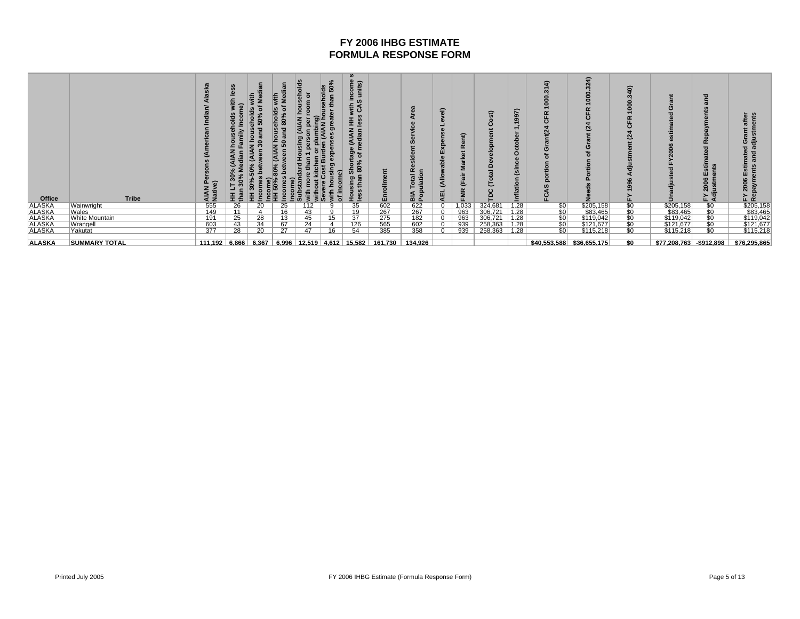| Office                     | Tribe                 | AIAN<br>Nativ                                   |    | 主<br>48<br>Ö<br>ç,<br>ă<br>$\bullet$<br>š<br>D% | ₫<br>ᇹ<br>c | ă<br>e,<br>ö<br>$\Omega$ | వి<br>50<br>틉<br>ъ | $\boldsymbol{\omega}$<br>ncome<br>units)<br><b>E</b><br>SAS<br>ss<br>≦ ≝<br>(AIAN<br>edian<br>Shortage<br>80% of m<br>ᄛ |         | œ<br>품 효<br>$\overline{\mathbf{o}}$ | ୍ଚି<br>ă<br>ellA)<br>쁮 | Έ<br>۴ | 穷<br>≏<br>Ě<br>ں<br>5 | 997)<br>÷<br>O<br>Inflatio | €<br>œ<br>ш.<br>$\mathbf c$<br>Ş<br>ن | 324)<br>∊<br>e<br>е<br>Q | ຣ<br>്ര                  | Ë<br>O<br>ៜ<br>∍         | 혼<br>$\omega$<br>متعدد<br><b>Rep</b><br>73<br>Ë<br><b>in</b><br>ш<br>2006<br>iustm<br>도 중 | after<br>setter<br>Š<br>$\bar{N}$<br>도 ᅂ |
|----------------------------|-----------------------|-------------------------------------------------|----|-------------------------------------------------|-------------|--------------------------|--------------------|-------------------------------------------------------------------------------------------------------------------------|---------|-------------------------------------|------------------------|--------|-----------------------|----------------------------|---------------------------------------|--------------------------|--------------------------|--------------------------|-------------------------------------------------------------------------------------------|------------------------------------------|
| ALASKA<br>ALASKA<br>ALASKA | Wainwright            | $\frac{555}{149}$                               | 26 | 20                                              | 25          |                          |                    | 35                                                                                                                      | 602     | 622                                 | $\Omega$               | 1,033  | 324,681               | 1.28                       | $rac{$0}{0}$                          | \$205,158                | $\frac{$0}{$0}{$0}{$0 $$ | \$205,158                | $\frac{$0}{$0}{$0}{$0 $$                                                                  | \$205,158<br>\$83,465<br>\$119,042       |
|                            | Wales                 |                                                 | 11 |                                                 | 16          | 43                       |                    | 19                                                                                                                      | 267     | 267                                 |                        | 963    | 306,721               | 1.28                       |                                       | \$83,465                 |                          |                          |                                                                                           |                                          |
|                            | <b>White Mountain</b> | 191                                             | 25 | 28                                              | 13          | 45                       | 15                 | 37                                                                                                                      | 275     | 182                                 |                        | 963    | 306,721               | 1.28                       | \$0                                   | \$119,042]               |                          | \$119,042                |                                                                                           |                                          |
| <b>ALASKA</b><br>ALASKA    | Wrangell              | 603                                             | 43 | 34                                              | 67          | 24                       |                    | 126                                                                                                                     | 565     | 602                                 | $\Omega$               | 939    | 258,363               | 1.28                       | \$0                                   | \$121,677                | $\frac{$0}{$0}$          | \$121,677                | $\frac{$0}{$0}$                                                                           | $$121,677$<br>$$115,218$                 |
|                            | Yakutat               | 377                                             | 28 | 20                                              | 27          | 47                       | 16                 | 54                                                                                                                      | 385     | 358                                 | $\Omega$               | 939    | 258,363               | $\sqrt{1.28}$              | S <sub>0</sub>                        | \$115,218                |                          | \$115,218                |                                                                                           |                                          |
| <b>ALASKA</b>              | <b>SUMMARY TOTAL</b>  | $111,192$ 6,866 6,367 6,996 12,519 4,612 15,582 |    |                                                 |             |                          |                    |                                                                                                                         | 161,730 | 134,926                             |                        |        |                       |                            | \$40,553,588                          | \$36,655,175             | \$0                      | \$77,208,763 - \$912,898 |                                                                                           | \$76,295,865                             |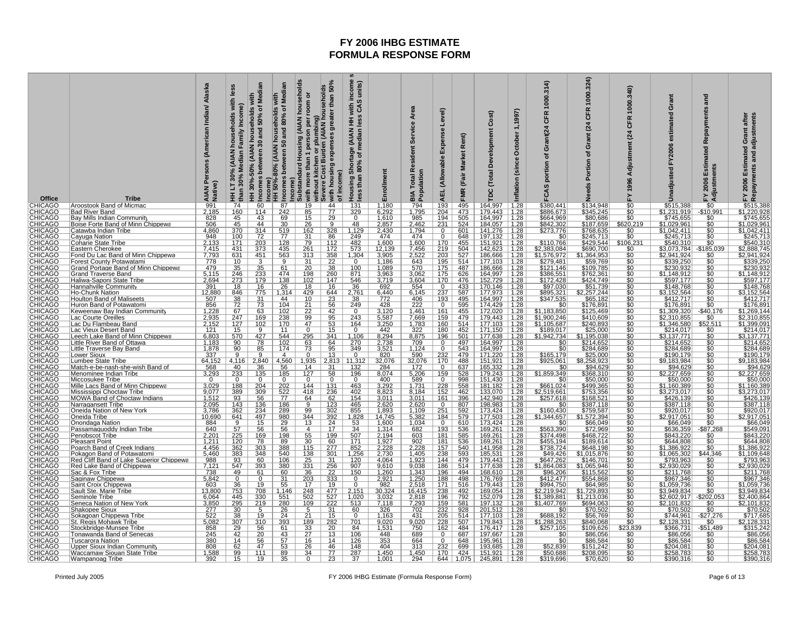| Office                                                                                                                                                                                                                                                             | <b>Tribe</b>                                                              | Persons (American Indian/ Alaska<br>AIAN Pe<br>Native) | les<br>with<br>households<br>š<br>Family<br>(AIAN<br>ledian<br>30%<br>than<br>E<br>$\overline{74}$ | 30 and 50% of Median<br>eholds<br>house<br>HH 30%-50% (AIAN<br>Incomes between<br>60 | Mediar<br>with<br>50 and 80% of<br>Income)<br>HH 50%-80% (AIAN households<br>Incomes between<br>87 | (AIAN households<br>greater than 50%<br>plumbing)<br>m (AIAN households<br>room or<br>person per<br>Income)<br>Substandard Housing<br>without kitchen or pli<br>Severe Cost Burden<br>with more than 1<br>44 | income<br>units)<br>HH with in<br>less CAS<br>  Shortage (AIAN <del> </del><br>n 80% of median  <br>with housing expenses<br>of income)<br>less than<br><b>Housing</b> | Enrollment                                                                                                        | Service Area<br>Resident<br>Population<br>Total <sup>1</sup><br>ВIА<br>794 | Tel)<br>ڡ۠<br>Expense<br><b>AEL</b> (Allowable<br>193 | Rent)<br>(Fair Market<br><b>FMR</b>       | Cost)<br>Development<br>Total<br>рc<br>164,997 | 1,1997)<br>October<br>Inflation (since                                                                                                                                                                                                                                                                        | 1000.314<br><b>CFR</b><br>Grant(24<br>đ<br>portion<br>FCAS                                                                                                               | 000.324)<br>ზ<br>$\overline{a}$<br>ō<br>৳<br>rtion<br>Needs                               | 340)<br>1000<br>CFR<br>$\overline{a}$<br>Adjustment<br>1996<br>⊾ | Grant<br>F<br>estimat<br>FY2006<br>Unadjusted | and<br>Repayments<br>Estimated<br>Adjustments<br>2006<br>ᇫ<br>$\overline{50}$                                                                                                                                                                                                                                                                                                                                                                                                                                                                                                                 | Repayments and adjustments<br>Grant after<br>Estimated<br>2006<br>노<br>\$515,388        |
|--------------------------------------------------------------------------------------------------------------------------------------------------------------------------------------------------------------------------------------------------------------------|---------------------------------------------------------------------------|--------------------------------------------------------|----------------------------------------------------------------------------------------------------|--------------------------------------------------------------------------------------|----------------------------------------------------------------------------------------------------|--------------------------------------------------------------------------------------------------------------------------------------------------------------------------------------------------------------|------------------------------------------------------------------------------------------------------------------------------------------------------------------------|-------------------------------------------------------------------------------------------------------------------|----------------------------------------------------------------------------|-------------------------------------------------------|-------------------------------------------|------------------------------------------------|---------------------------------------------------------------------------------------------------------------------------------------------------------------------------------------------------------------------------------------------------------------------------------------------------------------|--------------------------------------------------------------------------------------------------------------------------------------------------------------------------|-------------------------------------------------------------------------------------------|------------------------------------------------------------------|-----------------------------------------------|-----------------------------------------------------------------------------------------------------------------------------------------------------------------------------------------------------------------------------------------------------------------------------------------------------------------------------------------------------------------------------------------------------------------------------------------------------------------------------------------------------------------------------------------------------------------------------------------------|-----------------------------------------------------------------------------------------|
|                                                                                                                                                                                                                                                                    | Aroostook Band of Micmac<br><b>Bad River Band</b>                         | $\frac{991}{2,185}$                                    | $\frac{160}{45}$                                                                                   | 114                                                                                  | 242                                                                                                | $\frac{19}{85}$<br>$\overline{77}$                                                                                                                                                                           | $\frac{131}{329}$                                                                                                                                                      | 1,180<br>6,292                                                                                                    | 1,795                                                                      | 204                                                   | 495<br>473                                | 179,443                                        | $\frac{1.28}{1.28}$<br>1.28                                                                                                                                                                                                                                                                                   | \$380,441<br>\$886,673                                                                                                                                                   | \$134,948<br>\$345,245<br>\$80,686                                                        | \$0<br>\$0<br>\$0                                                | \$515,388<br>$\frac{$1,231,919}{\$745,655}$   | $-$10,991$                                                                                                                                                                                                                                                                                                                                                                                                                                                                                                                                                                                    | ,220,928                                                                                |
|                                                                                                                                                                                                                                                                    | Bay Mills Indian Community                                                | 506                                                    | 45                                                                                                 | 43<br>44                                                                             | 69<br>30                                                                                           | 29<br>9                                                                                                                                                                                                      | $\overline{0}$                                                                                                                                                         | 1,610                                                                                                             | 985                                                                        | 194<br>231                                            | 505                                       | 164,997                                        |                                                                                                                                                                                                                                                                                                               | \$664,969                                                                                                                                                                |                                                                                           |                                                                  |                                               | $\overline{50}$                                                                                                                                                                                                                                                                                                                                                                                                                                                                                                                                                                               | \$745,655                                                                               |
|                                                                                                                                                                                                                                                                    | Boise Forte Band of Minn Chippewa<br><u>Catawba Indian Tribe</u>          | 4,860                                                  | 370                                                                                                | 314                                                                                  | 519                                                                                                | 26<br>162<br>328                                                                                                                                                                                             | $\frac{48}{1,129}$<br>249                                                                                                                                              | 2,857<br>2,430<br>474                                                                                             | 2,462<br>1,794                                                             | $\mathbf{0}$                                          | 524<br>601                                | 184,057<br>141,276                             | $\frac{1.28}{1.28}$<br>1.28                                                                                                                                                                                                                                                                                   | \$842,302<br>\$273,776                                                                                                                                                   | \$187,659<br>\$768,635                                                                    | \$620,219<br>$\frac{$0}{$0}$                                     | \$1,029,961<br>\$1,042,411                    |                                                                                                                                                                                                                                                                                                                                                                                                                                                                                                                                                                                               | <u>\$1,029,961</u><br>\$1,042,411                                                       |
|                                                                                                                                                                                                                                                                    | <u>Cayuqa Nation</u>                                                      | 948                                                    | <u>100</u>                                                                                         | 72                                                                                   | 77                                                                                                 | 31<br><u>86</u>                                                                                                                                                                                              |                                                                                                                                                                        |                                                                                                                   | 474                                                                        | $\overline{0}$                                        | 648                                       | 197,132                                        |                                                                                                                                                                                                                                                                                                               | \$0                                                                                                                                                                      | \$245,713                                                                                 |                                                                  | \$245,713<br>\$540,310                        | \$0                                                                                                                                                                                                                                                                                                                                                                                                                                                                                                                                                                                           | \$245,713                                                                               |
|                                                                                                                                                                                                                                                                    | Coharie State Tribe<br>Eastern Cherokee                                   | $\frac{2,133}{7,415}$                                  | 171<br>431                                                                                         | $\frac{203}{373}$                                                                    | 128<br>435                                                                                         | 79<br>112<br>261<br>172                                                                                                                                                                                      | $\frac{482}{573}$                                                                                                                                                      | 1,600<br>12,139                                                                                                   | 1,600<br>7,456                                                             | 170<br>219                                            | 455<br>504                                | 151,921<br>142,623                             | $\frac{1.28}{1.28}$                                                                                                                                                                                                                                                                                           | \$110,766<br>\$2,383,084                                                                                                                                                 | \$429,544<br>\$690,700                                                                    | $\frac{$106,231}{$0}$                                            | <u>33,073,784  </u>                           | \$0<br>185,039                                                                                                                                                                                                                                                                                                                                                                                                                                                                                                                                                                                | \$540,310<br><u>\$2,888,745</u>                                                         |
|                                                                                                                                                                                                                                                                    | Fond Du Lac Band of Minn Chippewa                                         | 7,793                                                  | 631                                                                                                | $\frac{451}{3}$                                                                      | 563                                                                                                | 313<br>$\begin{array}{r}\n 358 \\  \hline\n 22 \\  \hline\n 38\n \end{array}$                                                                                                                                | 1,304                                                                                                                                                                  | 3,905                                                                                                             | 2,522                                                                      | 203                                                   | 527                                       | 186,666                                        | $\begin{array}{r} 1.28 \\ 1.28 \\ 1.28 \\ 1.28 \\ 1.28 \end{array}$                                                                                                                                                                                                                                           | \$1,576,972                                                                                                                                                              | \$1,364,953<br>\$59,769<br>\$109,785                                                      | \$0                                                              | \$2,941,924                                   | <u>\$0</u>                                                                                                                                                                                                                                                                                                                                                                                                                                                                                                                                                                                    | <u>\$2,941,924</u>                                                                      |
|                                                                                                                                                                                                                                                                    | <u>Forest County Potawatami</u><br>Grand Portage Band of Minn Chippewa    | $\frac{778}{479}$                                      | 10                                                                                                 |                                                                                      | 61                                                                                                 | $\frac{31}{20}$                                                                                                                                                                                              | $\Omega$<br>100                                                                                                                                                        | 1,186<br>1,089                                                                                                    | 643<br>570                                                                 | $\frac{195}{175}$                                     | 514<br>487                                | 177,103<br>186,666                             |                                                                                                                                                                                                                                                                                                               | \$279,481<br>\$121,146<br>\$386,551                                                                                                                                      |                                                                                           | $\frac{10}{10}$                                                  | \$339,250<br>\$230,932                        | $\frac{$0}{$0}$                                                                                                                                                                                                                                                                                                                                                                                                                                                                                                                                                                               | \$339,250<br>230,93.                                                                    |
|                                                                                                                                                                                                                                                                    | Grand Traverse Band                                                       | 5,115                                                  | 246                                                                                                | 233                                                                                  | 474                                                                                                | 260<br>198                                                                                                                                                                                                   | 871                                                                                                                                                                    | 3,963                                                                                                             | 3,062                                                                      | 175                                                   | 626                                       | 164,997                                        |                                                                                                                                                                                                                                                                                                               |                                                                                                                                                                          | \$762,361                                                                                 |                                                                  | \$1,148,912                                   | \$0                                                                                                                                                                                                                                                                                                                                                                                                                                                                                                                                                                                           | <u>\$1,148,91</u>                                                                       |
|                                                                                                                                                                                                                                                                    | Haliwa-Saponi State Tribe<br>Hannahville Community                        | 2,694<br>391                                           | 273<br>18                                                                                          | 179<br>16                                                                            | $\frac{138}{26}$                                                                                   | 102<br>147<br>16                                                                                                                                                                                             | 546<br>$\overline{36}$                                                                                                                                                 | 3,719                                                                                                             | 3,604                                                                      | 170<br>$\overline{0}$                                 | 476<br>433                                | 152,729<br>170,146                             |                                                                                                                                                                                                                                                                                                               |                                                                                                                                                                          |                                                                                           | $\frac{10}{10}$                                                  | \$597,177<br>\$148,768                        | $\frac{10}{100}$                                                                                                                                                                                                                                                                                                                                                                                                                                                                                                                                                                              | \$597,177                                                                               |
|                                                                                                                                                                                                                                                                    | <b>Ho-Chunk Nation</b>                                                    | 12,880                                                 | 846                                                                                                | 775                                                                                  | 1,314                                                                                              | $\frac{18}{429}$<br>644                                                                                                                                                                                      | 2,761                                                                                                                                                                  | $\frac{692}{6,440}$                                                                                               | $\frac{554}{6,145}$                                                        | 237                                                   | 587                                       | 177,973                                        | $\frac{1.28}{1.28}$<br>1.28                                                                                                                                                                                                                                                                                   | \$172,428<br>\$97,030<br>\$895,321                                                                                                                                       |                                                                                           |                                                                  | \$3,152,564                                   |                                                                                                                                                                                                                                                                                                                                                                                                                                                                                                                                                                                               | $3348,768$ $33,152,564$ $3412,717$ $3176,891$                                           |
|                                                                                                                                                                                                                                                                    | <b>Houlton Band of Maliseets</b>                                          | 507<br>856                                             | 38                                                                                                 | $\overline{31}$                                                                      | 44                                                                                                 | 10<br>$\frac{23}{56}$                                                                                                                                                                                        | 38                                                                                                                                                                     | 772                                                                                                               | $\frac{406}{222}$                                                          | <u> 193</u>                                           | 495                                       | 164,997                                        | $\frac{1.28}{1.28}$                                                                                                                                                                                                                                                                                           | $\frac{$347,535}{0}$                                                                                                                                                     | \$65,182                                                                                  | $\frac{$0}{\$0}$                                                 | \$412,717<br>\$176,891                        | $\frac{$0}{$0}$                                                                                                                                                                                                                                                                                                                                                                                                                                                                                                                                                                               |                                                                                         |
|                                                                                                                                                                                                                                                                    | <u>Huron Band of Potawatomi</u><br>Keweenaw Bay Indian Community          | 1,228                                                  | <u>72</u><br>67                                                                                    | 73<br>63                                                                             | 104                                                                                                | <u>21</u>                                                                                                                                                                                                    | 249<br>$\overline{0}$                                                                                                                                                  | 428                                                                                                               |                                                                            | $\overline{0}$<br>161                                 | 595<br>455                                | 174,429<br>172,020                             |                                                                                                                                                                                                                                                                                                               | \$1,183,850                                                                                                                                                              | \$176,891<br>\$125,469                                                                    |                                                                  |                                               |                                                                                                                                                                                                                                                                                                                                                                                                                                                                                                                                                                                               | <u>\$1,269,144</u>                                                                      |
|                                                                                                                                                                                                                                                                    | Lac Courte Oreilles                                                       |                                                        | 247                                                                                                | 169                                                                                  | $\frac{102}{238}$                                                                                  | $\frac{22}{99}$<br>$\frac{42}{95}$                                                                                                                                                                           | $\frac{243}{ }$                                                                                                                                                        | $\frac{3,120}{5,587}$                                                                                             | $\frac{1,461}{7,669}$                                                      | 159                                                   | 479                                       | 179,443                                        | $\frac{1.28}{1.28}$                                                                                                                                                                                                                                                                                           | \$1,900,246                                                                                                                                                              |                                                                                           | $\frac{$0}{$0}$                                                  | \$1,309,320<br>\$2,310,855                    | $-$ \$40,176                                                                                                                                                                                                                                                                                                                                                                                                                                                                                                                                                                                  | \$2,310,855                                                                             |
|                                                                                                                                                                                                                                                                    | Lac Du Flambeau Band                                                      | $\frac{2,935}{2,152}$<br>121                           | $\frac{127}{15}$<br>570                                                                            | $\frac{102}{9}$ $\frac{9}{427}$                                                      | $\frac{170}{11}$                                                                                   | 47<br>$\frac{53}{15}$<br><sup>n</sup>                                                                                                                                                                        | $\frac{164}{0}$                                                                                                                                                        | 3,250<br>442                                                                                                      | $\frac{1,783}{322}$                                                        | $\frac{160}{180}$                                     | 514<br>452                                | 177,103<br>171,150                             | $\frac{1.28}{1.28}$<br>1.28                                                                                                                                                                                                                                                                                   | $\frac{$1,105,687}{$1,942,734}$                                                                                                                                          | $\frac{$410,609}{$240,893$<br>$$25,000$                                                   | $\overline{\$0}$                                                 | $\frac{$1,346,580}{$214,017}$                 | $\frac{$52,511}{0}$                                                                                                                                                                                                                                                                                                                                                                                                                                                                                                                                                                           | 1,399,091<br>\$214,017                                                                  |
|                                                                                                                                                                                                                                                                    | Lac Vieux Desert Band<br>Leech Lake Band of Minn Chippewa                 | 6,803                                                  |                                                                                                    |                                                                                      | 544                                                                                                | 341<br>295                                                                                                                                                                                                   | 1,106                                                                                                                                                                  | 8,294                                                                                                             | 8,875                                                                      | 196                                                   | 501                                       | 177,638                                        |                                                                                                                                                                                                                                                                                                               |                                                                                                                                                                          | \$1,195,038                                                                               | \$0<br>\$0                                                       |                                               |                                                                                                                                                                                                                                                                                                                                                                                                                                                                                                                                                                                               | \$3,137,77                                                                              |
|                                                                                                                                                                                                                                                                    | Little River Band of Ottawa<br>Little Traverse Bay Band                   | 1,183                                                  | 90<br>90                                                                                           | 78                                                                                   | 102<br>174                                                                                         | $\frac{63}{73}$<br>$\frac{64}{95}$                                                                                                                                                                           | $\frac{270}{349}$                                                                                                                                                      | $\frac{2,738}{3,521}$<br>820                                                                                      | 709<br>1,124                                                               | $\overline{0}$<br>$\Omega$                            | $\frac{\frac{497}{497}}{\frac{543}{479}}$ | 164,997<br>164,997<br>171,220                  |                                                                                                                                                                                                                                                                                                               | $rac{$0}{$0}$                                                                                                                                                            | $\frac{$214,652}{$284,689}$                                                               | \$0                                                              | $\frac{$214.652}{$284.689$$                   |                                                                                                                                                                                                                                                                                                                                                                                                                                                                                                                                                                                               | \$214,652<br>\$284,689                                                                  |
|                                                                                                                                                                                                                                                                    | <u> Lower Sioux</u>                                                       | $\frac{1,878}{337}$                                    | 9                                                                                                  | 85<br>9                                                                              | $\overline{4}$                                                                                     | 13<br>0                                                                                                                                                                                                      | 0                                                                                                                                                                      |                                                                                                                   | 590                                                                        | 232                                                   |                                           |                                                |                                                                                                                                                                                                                                                                                                               | \$165,179                                                                                                                                                                |                                                                                           | šō                                                               |                                               |                                                                                                                                                                                                                                                                                                                                                                                                                                                                                                                                                                                               | <u>\$190,179</u>                                                                        |
|                                                                                                                                                                                                                                                                    | Lumbee State Tribe                                                        | 64,152                                                 | 4,116                                                                                              | 2,840                                                                                | 4,560                                                                                              | 1,935                                                                                                                                                                                                        | 2,813 11,312                                                                                                                                                           | 32,076<br>284                                                                                                     | 32,076                                                                     | 170                                                   | 488                                       | 151,921                                        |                                                                                                                                                                                                                                                                                                               | \$925,061                                                                                                                                                                |                                                                                           | \$0<br>\$0                                                       | \$9,183,984                                   | \$0                                                                                                                                                                                                                                                                                                                                                                                                                                                                                                                                                                                           | \$9,183,984                                                                             |
|                                                                                                                                                                                                                                                                    | <u> Match-e-be-nash-she-wish Band of</u><br><u>Menominee Indian Tribe</u> | 568<br>3,293                                           | $\frac{40}{233}$                                                                                   | 36<br><u>135</u>                                                                     | 56<br><u> 185</u>                                                                                  | $\frac{14}{127}$<br>$\frac{31}{58}$                                                                                                                                                                          | $\frac{132}{196}$                                                                                                                                                      | 8,074                                                                                                             | $\frac{172}{5,206}$                                                        | $\overline{0}$<br>159                                 | $\frac{637}{528}$                         | 165,332<br>179,243                             |                                                                                                                                                                                                                                                                                                               | \$0<br>\$1,859,349                                                                                                                                                       | \$94,629<br><u>\$368,310</u>                                                              | \$0                                                              | $\frac{$94,629}{$2,227,659}$                  |                                                                                                                                                                                                                                                                                                                                                                                                                                                                                                                                                                                               |                                                                                         |
|                                                                                                                                                                                                                                                                    | Miccosukee Tribe                                                          | $\mathbf 0$                                            | $\Omega$                                                                                           | $\mathbf 0$                                                                          | $\Omega$                                                                                           | 0<br>$\overline{0}$                                                                                                                                                                                          | $\mathbf 0$                                                                                                                                                            |                                                                                                                   |                                                                            | $\mathbf 0$                                           | $\frac{998}{558}$                         |                                                |                                                                                                                                                                                                                                                                                                               | \$0                                                                                                                                                                      | \$50,000                                                                                  | $\frac{$0}{0}$                                                   | \$50,000                                      |                                                                                                                                                                                                                                                                                                                                                                                                                                                                                                                                                                                               |                                                                                         |
|                                                                                                                                                                                                                                                                    | Mille Lacs Band of Minn Chippewa                                          | 3,029<br>9,077                                         | 188<br>389                                                                                         | $\frac{204}{309}$                                                                    | 522                                                                                                | 144<br>131<br>236<br>418                                                                                                                                                                                     | $\frac{463}{402}$                                                                                                                                                      | $\frac{400}{3,292}$ $8,823$                                                                                       | $\frac{589}{1,731}$<br>8,184                                               | $\frac{228}{152}$                                     |                                           | 151,430<br>181,182<br>133,070                  |                                                                                                                                                                                                                                                                                                               | 5661,024<br>\$2,519,661                                                                                                                                                  | \$499,365<br>\$753,356                                                                    | \$0                                                              | .160.389<br>\$3,273,017                       | \$0                                                                                                                                                                                                                                                                                                                                                                                                                                                                                                                                                                                           | $\frac{$50,000}{$1,160,389}$                                                            |
|                                                                                                                                                                                                                                                                    | <b>Mississippi Choctaw Tribe</b>                                          | 1,512                                                  | 93                                                                                                 | 56                                                                                   | 77                                                                                                 | 64<br>62                                                                                                                                                                                                     | 154                                                                                                                                                                    |                                                                                                                   | 3,011                                                                      | 161                                                   | 462<br>396                                | 142,940                                        |                                                                                                                                                                                                                                                                                                               | \$257,618                                                                                                                                                                | \$168,521                                                                                 |                                                                  | \$426,139                                     | \$0                                                                                                                                                                                                                                                                                                                                                                                                                                                                                                                                                                                           | \$426,139                                                                               |
|                                                                                                                                                                                                                                                                    | MOWA Band of Choctaw Indians<br>Narragansett Tribe                        | 2,095<br>3,786                                         | 143                                                                                                | 136<br>234                                                                           | 186                                                                                                | $\overline{9}$<br>123                                                                                                                                                                                        | $\frac{465}{855}$                                                                                                                                                      | $\frac{3,011}{2,620}$ $\frac{1,893}{14,745}$                                                                      | 2,620                                                                      | $\overline{0}$                                        |                                           | 198,983                                        |                                                                                                                                                                                                                                                                                                               |                                                                                                                                                                          | $\frac{$387,118}{$387,118}$<br>$\frac{$759,587}{$1,572,394}$<br>$\frac{$66,049}{$66,049}$ | $\frac{10}{10}$                                                  | \$387,118<br>\$920,017                        |                                                                                                                                                                                                                                                                                                                                                                                                                                                                                                                                                                                               | $\begin{array}{r} 420,138 \\ 8387,118 \\ 8920,017 \\ 82,917,051 \\ 866,049 \end{array}$ |
|                                                                                                                                                                                                                                                                    | Oneida Nation of New York<br>Oneida Tribe                                 | 10,690                                                 | 362<br>641                                                                                         | 497                                                                                  | 289<br>980                                                                                         | 99<br>302<br>344<br>$\frac{392}{2}$                                                                                                                                                                          |                                                                                                                                                                        |                                                                                                                   | 1,109                                                                      | 251<br>184                                            | 592<br>579                                | 173,424<br>177,503                             |                                                                                                                                                                                                                                                                                                               | \$160,430                                                                                                                                                                |                                                                                           |                                                                  | \$2,917,051                                   |                                                                                                                                                                                                                                                                                                                                                                                                                                                                                                                                                                                               |                                                                                         |
|                                                                                                                                                                                                                                                                    | Onondaga Nation                                                           | $\frac{884}{640}$                                      | $\overline{9}$                                                                                     | 15                                                                                   | $\frac{29}{56}$                                                                                    | 13<br>24                                                                                                                                                                                                     | $\begin{array}{r} 1,828 \\ \hline 53 \\ \hline 34 \end{array}$                                                                                                         | 1,600                                                                                                             | $\frac{5,382}{1,034}$                                                      | $\overline{0}$                                        | 610                                       | 173,424                                        |                                                                                                                                                                                                                                                                                                               | $$1,344,657$<br>\$0<br>\$563,390                                                                                                                                         |                                                                                           | $\frac{$0}{$0}$                                                  | \$66,049                                      | $\frac{$0}{$0}$                                                                                                                                                                                                                                                                                                                                                                                                                                                                                                                                                                               |                                                                                         |
|                                                                                                                                                                                                                                                                    | Passamaquoddy Indian Tribe                                                |                                                        | 57                                                                                                 | 56                                                                                   |                                                                                                    | $\overline{4}$<br>17                                                                                                                                                                                         |                                                                                                                                                                        | 1,314                                                                                                             | 682                                                                        | 193                                                   | 536                                       | 169,261                                        |                                                                                                                                                                                                                                                                                                               |                                                                                                                                                                          | \$72,969                                                                                  | $\overline{\$0}$                                                 | \$636,359                                     | $-$ \$87,268                                                                                                                                                                                                                                                                                                                                                                                                                                                                                                                                                                                  | \$549,09                                                                                |
|                                                                                                                                                                                                                                                                    | <b>Penobscot Tribe</b><br><u>Pleasant Point</u>                           | $\frac{2,201}{1,211}$<br>4,456                         | $\frac{225}{120}$<br>$\frac{120}{362}$                                                             | $\frac{169}{78}$<br>303                                                              | $\frac{198}{89}$ $\frac{89}{388}$                                                                  | $\frac{55}{30}$<br>115<br><u>199</u>                                                                                                                                                                         | $\frac{507}{171}$<br>852                                                                                                                                               | $\frac{2,194}{1,927}$<br>2,228                                                                                    | $\frac{603}{902}$ 2,228                                                    | <u> 181</u>                                           | $\frac{585}{536}$                         | 169,261                                        | $\begin{array}{r} \n 1.28 \\  \hline\n 1.28 \\  \hline\n 1.28\n \end{array}$                                                                                                                                                                                                                                  | \$374,498<br>\$455,194<br>\$738,724                                                                                                                                      | \$468,722<br>\$189,614<br>\$648,198                                                       | $\frac{$0}{$0}$                                                  | \$843,220<br>\$644,808                        | $\frac{$0}{$0}$                                                                                                                                                                                                                                                                                                                                                                                                                                                                                                                                                                               | \$843,220<br>\$644,80                                                                   |
|                                                                                                                                                                                                                                                                    | Poarch Band of Creek Indians                                              |                                                        |                                                                                                    |                                                                                      |                                                                                                    | $\frac{60}{277}$                                                                                                                                                                                             |                                                                                                                                                                        |                                                                                                                   |                                                                            | $\frac{181}{157}$                                     |                                           | 169,261<br>141,958                             |                                                                                                                                                                                                                                                                                                               |                                                                                                                                                                          |                                                                                           | Ŝ0                                                               | \$1,386,922                                   | \$0                                                                                                                                                                                                                                                                                                                                                                                                                                                                                                                                                                                           | .386,92                                                                                 |
|                                                                                                                                                                                                                                                                    | Pokagon Band of Potawatomi<br>Red Cliff Band of Lake Superior Chippewa    | 5,460                                                  | 383                                                                                                | 348<br>60                                                                            | 540<br>106                                                                                         | $\frac{138}{25}$<br>$\frac{301}{31}$                                                                                                                                                                         | 1,256                                                                                                                                                                  | 2,730<br>4,064                                                                                                    | 1,405<br>1,923                                                             | 238<br>144                                            | 593<br>479                                | 185,531<br>179,443                             | $\frac{1.28}{1.28}$<br>$\frac{1.28}{1.28}$                                                                                                                                                                                                                                                                    |                                                                                                                                                                          | \$1,015,876<br>\$146,701                                                                  | \$0                                                              | \$1,065,302<br>\$793,963                      | \$44,346                                                                                                                                                                                                                                                                                                                                                                                                                                                                                                                                                                                      | \$1,109,648<br>\$793,963                                                                |
|                                                                                                                                                                                                                                                                    | <u>Red Lake Band of Chippewa</u>                                          | $\frac{988}{7,121}$                                    | $\frac{93}{547}$                                                                                   | 393                                                                                  | 380                                                                                                | $\frac{331}{36}$<br>$\frac{256}{22}$                                                                                                                                                                         | $\frac{120}{907}$                                                                                                                                                      | $\frac{9,610}{1,260}$                                                                                             | $\frac{9,038}{1,343}$                                                      | 186                                                   |                                           | 177.638                                        |                                                                                                                                                                                                                                                                                                               |                                                                                                                                                                          | \$1.065.946                                                                               |                                                                  | \$2.930.029                                   |                                                                                                                                                                                                                                                                                                                                                                                                                                                                                                                                                                                               | \$2.930.02                                                                              |
|                                                                                                                                                                                                                                                                    | Sac & Fox Tribe<br>Saginaw Chippewa                                       | 5,842                                                  | 49<br>$\overline{0}$                                                                               | 61<br>$\overline{0}$                                                                 | 60<br>31                                                                                           | 203<br>333                                                                                                                                                                                                   | $\overline{0}$                                                                                                                                                         | 2,921                                                                                                             |                                                                            | 196<br>188                                            | 494<br>498                                | 168,610                                        |                                                                                                                                                                                                                                                                                                               |                                                                                                                                                                          | \$115,562                                                                                 | \$ō<br>\$0                                                       | \$211,768                                     | \$0<br>\$0                                                                                                                                                                                                                                                                                                                                                                                                                                                                                                                                                                                    | \$211,768                                                                               |
|                                                                                                                                                                                                                                                                    | Saint Croix Chippewa                                                      | 603                                                    | $\frac{36}{753}$                                                                                   |                                                                                      | 55                                                                                                 | 17                                                                                                                                                                                                           |                                                                                                                                                                        |                                                                                                                   | $\frac{1,250}{2,518}$                                                      |                                                       | 516                                       | 176,769                                        |                                                                                                                                                                                                                                                                                                               |                                                                                                                                                                          | $\frac{$554,868}{$64,985}$                                                                |                                                                  | 5967,346                                      |                                                                                                                                                                                                                                                                                                                                                                                                                                                                                                                                                                                               | \$967,346<br>1,059,736                                                                  |
| CHICAGO<br>CHICAGO<br>CHICAGO CHICAGO<br>CHICAGO CHICAGO<br>CHICAGO CHICAGO<br>CHICAGO CHICAGO<br>CHICAGO CHICAGO<br>CHICAGO CHICAGO<br>CHICAGO CHICAGO CHICAGO<br>CHICAGO CHICAGO CHICAGO<br>CHICAGO CHICAGO CHICAGO<br>CHICAGO CHICAGO CHICAGO<br>CHICAGO CHICAG | Sault Ste. Marie Tribe<br>Seminole Tribe                                  | 13,800                                                 |                                                                                                    | $\frac{\frac{19}{708}}{\frac{330}{219}}$                                             | 1,146                                                                                              | $\frac{19}{477}$ $\frac{527}{222}$ $\frac{222}{31}$<br>$\frac{248}{502}$                                                                                                                                     | 2,151                                                                                                                                                                  | $\begin{array}{r}\n 982 \\  \hline\n 30,324 \\  \hline\n 3,032 \\  \hline\n 7,118 \\  \hline\n 326\n \end{array}$ | 16,415                                                                     | $\frac{171}{238}$ $\frac{196}{159}$                   | 492                                       | 169,054                                        | $\begin{array}{r} 1.28 \\ 1.28 \\ 1.28 \\ 1.28 \\ 1.28 \\ 1.28 \\ 1.28 \\ 1.28 \\ 1.28 \\ 1.29 \\ 1.29 \\ 1.29 \\ 1.29 \\ 1.29 \\ 1.29 \\ 1.29 \\ 1.29 \\ 1.29 \\ 1.29 \\ 1.29 \\ 1.29 \\ 1.29 \\ 1.29 \\ 1.29 \\ 1.29 \\ 1.29 \\ 1.29 \\ 1.29 \\ 1.29 \\ 1.29 \\ 1.29 \\ 1.29 \\ 1.29 \\ 1.29 \\ 1.29 \\ 1.$ | $\frac{\frac{1}{349,426}}{\frac{647,262}{3647,262}}$ $\frac{647,262}{396,206}$ $\frac{442,477}{399,427}$ $\frac{52,219,942}{31,389,881}$ $\frac{51,389,881}{31,407,769}$ | \$1,729,893<br>\$1,213,036<br>\$694,063                                                   | \$0<br>\$0<br>\$0<br>\$0<br>\$0                                  | \$3,949,834                                   | $\begin{array}{r} \n\frac{36}{50} \\ 4 \overline{\smash)50} \\ -\underline{\smash)5202.053} \\ -\underline{\smash)50} \\ -\underline{\smash)50} \\ -\underline{\smash)0} \\ -\underline{\smash)0} \\ -\underline{\smash)0} \\ -\underline{\smash)0} \\ -\underline{\smash)0} \\ -\underline{\smash)0} \\ -\underline{\smash)0} \\ -\underline{\smash)0} \\ -\underline{\smash)0} \\ -\underline{\smash)0} \\ -\underline{\smash)0} \\ -\underline{\smash)0} \\ -\underline{\smash)0} \\ -\underline{\smash)0} \\ -\underline{\smash)0} \\ -\underline{\smash)0} \\ -\underline{\smash)0} \\ $ | ,949,834                                                                                |
|                                                                                                                                                                                                                                                                    | Seneca Nation of New York                                                 | $\frac{6,064}{3,850}$                                  | $\frac{445}{295}$                                                                                  |                                                                                      | $\frac{551}{280}$                                                                                  |                                                                                                                                                                                                              | $\frac{1,020}{513}$                                                                                                                                                    |                                                                                                                   | 2,818<br>7,293                                                             |                                                       | $\frac{792}{581}$                         | 152,079<br>197,132<br>201,512                  |                                                                                                                                                                                                                                                                                                               |                                                                                                                                                                          |                                                                                           |                                                                  | \$2,602,917<br>\$2,101,832                    |                                                                                                                                                                                                                                                                                                                                                                                                                                                                                                                                                                                               | 2,400,864<br><u> 101,832 .</u>                                                          |
|                                                                                                                                                                                                                                                                    | Shakopee Sioux                                                            | 277                                                    | 30                                                                                                 |                                                                                      | 26                                                                                                 | 5                                                                                                                                                                                                            | 60<br>$\Omega$                                                                                                                                                         |                                                                                                                   | 702                                                                        | 232                                                   | 928                                       |                                                |                                                                                                                                                                                                                                                                                                               | \$C                                                                                                                                                                      | \$70,502                                                                                  |                                                                  | \$70,502                                      | \$0                                                                                                                                                                                                                                                                                                                                                                                                                                                                                                                                                                                           | \$70,502                                                                                |
|                                                                                                                                                                                                                                                                    | Sokagoan Chippewa Tribe<br>St. Regis Mohawk Tribe                         | 522                                                    | 38<br>307                                                                                          | 19                                                                                   | 24<br>393                                                                                          | 21<br>15<br>282                                                                                                                                                                                              | 701                                                                                                                                                                    | 1,163                                                                                                             | $\frac{431}{9,020}$<br>750                                                 | 205<br>228                                            | $\frac{514}{507}$                         | 177,103<br>179,843                             | $\frac{1.28}{1.28}$<br>1.28                                                                                                                                                                                                                                                                                   | \$688,192<br>\$1,288,263<br>\$257,105                                                                                                                                    | \$56,769                                                                                  | $\frac{$0}{$0}$                                                  | \$744,961<br>\$2,128,331                      | $\frac{-\$27,276}{\$0}$                                                                                                                                                                                                                                                                                                                                                                                                                                                                                                                                                                       | \$717,685                                                                               |
|                                                                                                                                                                                                                                                                    | Stockbridge-Munsee Tribe                                                  | $\frac{5,082}{858}$                                    | 29                                                                                                 | $\frac{310}{56}$                                                                     | 61                                                                                                 | $\frac{189}{33}$<br>20                                                                                                                                                                                       | 84                                                                                                                                                                     | $\frac{9,020}{1,531}$                                                                                             |                                                                            | 162                                                   | 484                                       | 176,417                                        |                                                                                                                                                                                                                                                                                                               |                                                                                                                                                                          | \$840,068<br>\$109,626                                                                    | $\frac{$23,839}{$0}{$0 $}$                                       | \$366,731                                     | $-$51,489$                                                                                                                                                                                                                                                                                                                                                                                                                                                                                                                                                                                    | 2,128,333                                                                               |
|                                                                                                                                                                                                                                                                    | <b>Tonawanda Band of Senecas</b><br><b>Tuscarora Nation</b>               | $\frac{245}{380}$<br>808                               | 42<br><u> 14</u>                                                                                   | 20                                                                                   | 43                                                                                                 | 27<br>13<br>14                                                                                                                                                                                               | 106<br><u>126</u>                                                                                                                                                      | 448<br>353                                                                                                        | 689<br>664                                                                 | $\mathbf{0}$<br>$\Omega$                              | 687<br>648                                | 197,667<br>195,961                             |                                                                                                                                                                                                                                                                                                               | $\frac{$0}{$0}$                                                                                                                                                          | \$86,056<br>\$86,584                                                                      |                                                                  | \$86,056<br>\$86,584                          | \$0                                                                                                                                                                                                                                                                                                                                                                                                                                                                                                                                                                                           | \$86,056<br>\$86,584                                                                    |
|                                                                                                                                                                                                                                                                    | <b>Upper Sioux Indian Community</b>                                       |                                                        | 62                                                                                                 | $\frac{56}{47}$                                                                      | $\frac{57}{53}$                                                                                    | $\frac{16}{26}$<br>46                                                                                                                                                                                        | 148                                                                                                                                                                    | 404                                                                                                               | 313                                                                        | <u>232</u>                                            | 699                                       | 193,685                                        | $\frac{1.28}{1.28}$                                                                                                                                                                                                                                                                                           | \$52,839                                                                                                                                                                 | \$151,242                                                                                 |                                                                  | \$204,081                                     |                                                                                                                                                                                                                                                                                                                                                                                                                                                                                                                                                                                               | \$204.08                                                                                |
|                                                                                                                                                                                                                                                                    | <b>Waccamaw Siouan State Tribe</b><br>Wampanoag Tribe                     | $\frac{1,588}{392}$                                    | $\frac{99}{15}$                                                                                    | 111<br>19                                                                            | 89<br>$\frac{25}{35}$                                                                              | 34<br>$\Omega$                                                                                                                                                                                               | $\frac{287}{37}$                                                                                                                                                       | 1,450<br>1.001                                                                                                    | $\frac{1,450}{294}$                                                        | 170<br>644                                            | $\frac{424}{1,075}$                       | 151,921<br>245,891                             | $\frac{1.28}{1.28}$                                                                                                                                                                                                                                                                                           | \$50,688<br>\$319,696                                                                                                                                                    | \$208,095<br>\$70,620                                                                     | $\frac{$0}{$0}$                                                  | \$258,783<br>\$390,316                        | $\frac{$0}{$0}$                                                                                                                                                                                                                                                                                                                                                                                                                                                                                                                                                                               | <u>\$258,783</u><br>\$390,316                                                           |
|                                                                                                                                                                                                                                                                    |                                                                           |                                                        |                                                                                                    |                                                                                      |                                                                                                    |                                                                                                                                                                                                              |                                                                                                                                                                        |                                                                                                                   |                                                                            |                                                       |                                           |                                                |                                                                                                                                                                                                                                                                                                               |                                                                                                                                                                          |                                                                                           |                                                                  |                                               |                                                                                                                                                                                                                                                                                                                                                                                                                                                                                                                                                                                               |                                                                                         |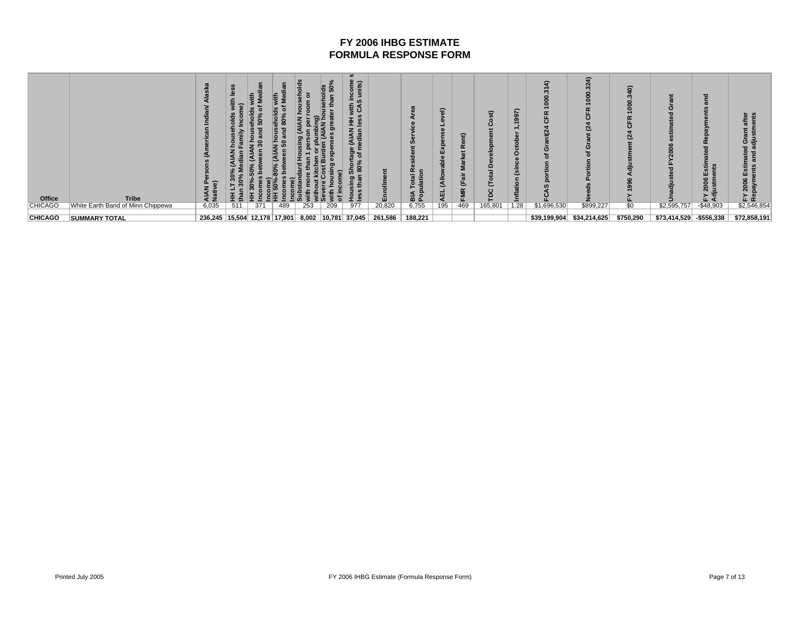| Office         | <b>Tribe</b>                      | ௳<br>$\widehat{\phantom{a}}$<br>AIAN<br>Nativ                | т.  | ÷<br>ន<br>-<br>G |     |     | ္ယွ | <b>SC</b><br>come<br>nits)<br>ર્ક ડૅ<br>š ≣<br><b>AIAN</b><br>ian<br>- 61<br>$\epsilon$<br><b>ळ</b> |         | 8<br>▔≦⊾ | ୍ଚି<br>e<br>ш<br>쁮 | Ξ<br>$\overline{\phantom{0}}$<br><b>FMR</b> | £<br>≏  | ∼<br>ġ,<br>O<br>mfla | G<br>ပ<br>$\alpha$ | $\widehat{\bullet}$<br>Ñ<br>Ω<br>Ñ | ຣ<br>Ω.         | ඏ<br>∍                   | 혼<br>$\omega$<br>œ<br>÷.<br>Еs<br>2006<br>iustm<br>ίLά | €<br>ັສ<br>-<br>0<br>ᅂᆴ |
|----------------|-----------------------------------|--------------------------------------------------------------|-----|------------------|-----|-----|-----|-----------------------------------------------------------------------------------------------------|---------|----------|--------------------|---------------------------------------------|---------|----------------------|--------------------|------------------------------------|-----------------|--------------------------|--------------------------------------------------------|-------------------------|
| <b>CHICAGO</b> | White Earth Band of Minn Chippewa | 6,035                                                        | 511 | 371              | 489 | 253 | 209 | 977                                                                                                 | 20,820  | 6,755    | 195                | 469                                         | 165,801 | 1.28                 | \$1,696,530        | \$899,227                          | $\overline{50}$ | \$2,595,757              | $-$48,903$                                             | \$2,546,854             |
|                |                                   |                                                              |     |                  |     |     |     |                                                                                                     |         |          |                    |                                             |         |                      |                    |                                    |                 |                          |                                                        |                         |
| <b>CHICAGO</b> | <b>SUMMARY TOTAL</b>              | 236,245   15,504   12,178   17,901   8,002   10,781   37,045 |     |                  |     |     |     |                                                                                                     | 261,586 | 188,221  |                    |                                             |         |                      | \$39,199,904       | \$34,214,625                       | \$750,290       | \$73,414,529 - \$556,338 |                                                        | \$72,858,191            |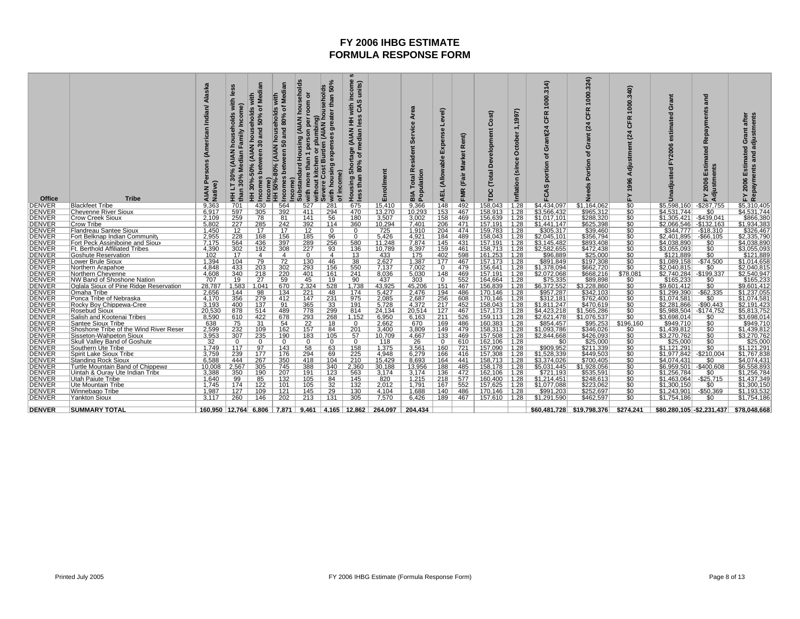| Office                         | <b>Tribe</b>                                                             | Alaska<br>Indian<br>(American<br>AIAN<br>Native | with<br>Income)<br>Family<br>edian<br>≤<br>30%<br>$\frac{6}{3}$<br>than<br>E | ৳<br>households<br>ò<br>and<br>(AIAN<br>30%<br>ome<br>Ŧ | ne<br>Te<br>န္တစ္<br>and<br>ō<br>ន<br>ome)<br>Income)<br>HH 50%<br><b>ome</b> | ō<br>house<br>oom<br>(Bu<br><b>AIAN</b><br>umbing<br>(AIAN<br>$\overline{5}$<br>t kitchen or plu<br>Cost Burden (<br>an<br>more<br>without<br>with | 50%<br>ousehold<br>than<br>eater<br>5<br>ses<br>expen<br>with housing<br>income)<br>৳ | income<br>units)<br>with<br>3 CAS<br>∢<br>ä ≩<br>(AIAN<br>edian<br>Ξ<br>Shortage<br>৳<br>%<br>ຘ<br>than<br>pusing<br>$\boldsymbol{u}$<br>Ĩ. | rollme          | rea<br>ৰ<br>Servic<br><b>Resident</b><br>ulatio<br>Total<br>ia<br>Pop | yel)<br>Expense<br>$\mathbf{r}$<br>(Allowab<br>긊<br>ৰ | ent)<br>$\alpha$<br>Na<br>FMR | E)<br>ပိ<br>velopment<br>ది<br>Total<br>ပ<br>은 | 997)<br>ctober<br>Ó<br>Gin<br>$\mathbf{r}$<br>Inflatio | 000.314)<br>$\alpha$<br>щ<br>ت<br>ant(24)<br>Ō<br>৳<br>portion<br>$\boldsymbol{\omega}$<br>Ë | 324)<br>8<br>Ō<br>$\epsilon$ | 340)<br>8<br>$\overline{\phantom{0}}$<br>Æ<br>ပ<br>$\overline{a}$<br>Adjustment<br>996<br>≿ | rant<br>$\mathbf C$<br>esti<br>8<br>FY20<br>sted<br>Unadjus | and<br>avments<br>ë<br>œ<br>ated<br>Estima<br>ents<br>stm<br>2006<br>Adju:<br>놊 | after<br>adjustments<br>Grant;<br>Estimated<br>and<br>Repayments<br>2006<br>놊 |
|--------------------------------|--------------------------------------------------------------------------|-------------------------------------------------|------------------------------------------------------------------------------|---------------------------------------------------------|-------------------------------------------------------------------------------|----------------------------------------------------------------------------------------------------------------------------------------------------|---------------------------------------------------------------------------------------|---------------------------------------------------------------------------------------------------------------------------------------------|-----------------|-----------------------------------------------------------------------|-------------------------------------------------------|-------------------------------|------------------------------------------------|--------------------------------------------------------|----------------------------------------------------------------------------------------------|------------------------------|---------------------------------------------------------------------------------------------|-------------------------------------------------------------|---------------------------------------------------------------------------------|-------------------------------------------------------------------------------|
| <b>DENVER</b>                  | <b>Blackfeet Tribe</b>                                                   | 9.363                                           | 701                                                                          | 430                                                     | 564                                                                           | 527                                                                                                                                                | 281                                                                                   | 675                                                                                                                                         | 15.410          | 9.366                                                                 | 148                                                   | 492                           | 158.043                                        | 1.28                                                   | \$4,434,097                                                                                  | \$1.164.062                  | \$0                                                                                         | \$5,598,160                                                 | $-$ \$287.755                                                                   | \$5,310,405                                                                   |
| <b>DENVER</b>                  | <b>Cheyenne River Sioux</b>                                              | 6.917                                           | 597                                                                          | 305                                                     | 392                                                                           | 411                                                                                                                                                | 294                                                                                   | 470                                                                                                                                         | 13,270          | 10,293                                                                | 153                                                   | 467                           | 58.913                                         | 1.28                                                   | \$3.566.432                                                                                  | \$965,312                    |                                                                                             | \$4,531,744                                                 | $\overline{50}$                                                                 | \$4,531,744                                                                   |
| <b>DENVER</b>                  | <b>Crow Creek Sioux</b>                                                  | 2,109                                           | 259                                                                          | 78                                                      | 81                                                                            | 141                                                                                                                                                | 56                                                                                    | 180                                                                                                                                         | 3,507           | 3,002                                                                 | 158                                                   | 469                           | 156,639                                        | 1.28                                                   | \$1,017,101                                                                                  | \$288,320                    | $\overline{\$0}$                                                                            | $$1,305,421$ -\$439,041                                     |                                                                                 | \$866,380                                                                     |
| <b>DENVER</b>                  | <b>Crow Tribe</b>                                                        | 5,802                                           | 227                                                                          | 285                                                     | 242                                                                           | 392                                                                                                                                                | 114                                                                                   | 360                                                                                                                                         | 10,294          | 7.401                                                                 | 206                                                   | 471                           | 157.191                                        | 1.28                                                   | \$1,441,147                                                                                  | \$625,398                    | $\overline{30}$                                                                             | \$2.066.546 - \$132.163                                     |                                                                                 | \$1,934,383                                                                   |
| <b>DENVER</b>                  | Flandreau Santee Sioux                                                   | 1,450                                           | 12                                                                           | 17                                                      | 17                                                                            | 12                                                                                                                                                 | $\Omega$                                                                              | $\Omega$                                                                                                                                    | 725             | 1,910                                                                 | 204                                                   | 474                           | 159.783                                        | 1.28                                                   | \$305,317                                                                                    | \$39,460                     | ፍበ                                                                                          | \$344,777                                                   | $-$18,310$                                                                      | \$326,467                                                                     |
| <b>DENVER</b>                  | Fort Belknap Indian Community                                            | 2,955                                           | 228<br>564                                                                   | 168<br>436                                              | 156<br>397                                                                    | 185<br>289                                                                                                                                         | 96<br>256                                                                             | 580                                                                                                                                         | 5.426<br>11,248 | 4.921<br>7,874                                                        | 184                                                   | 489                           | 158.043                                        | 1.28                                                   | \$2,045,101<br>\$3,145,482                                                                   | \$356,794                    | $\overline{\$0}$                                                                            | \$2.401.895                                                 | -\$66.105<br>\$0                                                                | \$2,335,790                                                                   |
| <b>DENVER</b><br><b>DENVER</b> | Fort Peck Assiniboine and Sioux<br><b>Ft. Berthold Affiliated Tribes</b> | 7,175<br>4,390                                  | 302                                                                          | 192                                                     | 308                                                                           | 227                                                                                                                                                | 93                                                                                    | 136                                                                                                                                         | 10,789          | 8,397                                                                 | 145<br>159                                            | 431<br>461                    | 157.191<br>158,713                             | 1.28<br>∣ 1.28                                         | \$2,582,655                                                                                  | \$893,408                    | \$0<br>$\overline{\$0}$                                                                     | \$4,038,890<br>\$3,055,093                                  | \$0                                                                             | \$4,038,890<br>\$3,055,093                                                    |
| <b>DENVER</b>                  | <b>Goshute Reservation</b>                                               | 102                                             | 17                                                                           | $\overline{4}$                                          | 4                                                                             | $\Omega$                                                                                                                                           | $\overline{4}$                                                                        | 13                                                                                                                                          | 433             | 175                                                                   | 402                                                   | 598                           | 161.253                                        | 1.28                                                   | \$96,889                                                                                     | \$472,438<br>\$25,000        | \$0                                                                                         | \$121.889                                                   | \$0                                                                             | \$121,889                                                                     |
| <b>DENVER</b>                  | <b>Lower Brule Sioux</b>                                                 | 1,394                                           | 104                                                                          | 79                                                      | 72                                                                            | 130                                                                                                                                                | 46                                                                                    | 38                                                                                                                                          | 2,627           | 1,387                                                                 | 177                                                   | 467                           | 157.173                                        | $\vert$ 1.28                                           | \$891,849                                                                                    | \$197,308                    |                                                                                             | \$1,089,158                                                 | $-$74,500$                                                                      | \$1,014,658                                                                   |
| <b>DENVER</b>                  | Northern Arapahoe                                                        | 4,848                                           | 433                                                                          | 203                                                     | 302                                                                           | 293                                                                                                                                                | 156                                                                                   | 550                                                                                                                                         | 7,137           | 7,002                                                                 | $\Omega$                                              | 479                           | 156.641                                        | 1.28                                                   | \$1,378,094                                                                                  | \$662,720                    | $\frac{$0}{$0}$                                                                             | \$2,040,815                                                 | \$0                                                                             | \$2,040,815                                                                   |
| <b>DENVER</b>                  | Northern Cheyenne                                                        | 4,608                                           | 340                                                                          | 218                                                     | 220                                                                           | 401                                                                                                                                                | 161                                                                                   | 241                                                                                                                                         | 8,036           | 5,030                                                                 | 148                                                   | 469                           | 157.191                                        | 1.28                                                   | \$2,072,068                                                                                  | \$668,216                    | \$78,081                                                                                    | \$2,740,284                                                 | $-$199,337$                                                                     | \$2.540.947                                                                   |
| <b>DENVER</b>                  | NW Band of Shoshone Nation                                               | 707                                             | 19                                                                           | 27                                                      | 59                                                                            | 45                                                                                                                                                 | 19                                                                                    | 90                                                                                                                                          | 437             | 303                                                                   | $\Omega$                                              | 552                           | 164.664                                        | 1.28                                                   | \$75,335                                                                                     | \$89,898                     | <u>\$0</u>                                                                                  | \$165,233                                                   | \$0                                                                             | \$165,233                                                                     |
| <b>DENVER</b>                  | Oglala Sioux of Pine Ridge Reservation                                   | 28,787                                          | 1,583                                                                        | 1,041                                                   | 670                                                                           | 2,324                                                                                                                                              | 528                                                                                   | 1,738                                                                                                                                       | 43,925          | 45,206                                                                | 151                                                   | 467                           | 156,839                                        | 1.28                                                   | \$6,372,552                                                                                  | \$3,228,860                  | $\overline{\$0}$                                                                            | \$9,601,412                                                 | \$0                                                                             | \$9,601,41                                                                    |
| <b>DENVER</b>                  | Omaha Tribe                                                              | 2,656                                           | 144                                                                          | 98                                                      | 134                                                                           | 221                                                                                                                                                | 48                                                                                    | 174                                                                                                                                         | 5,427           | 2,476                                                                 | 194                                                   | 486                           | 170,146                                        | 1.28                                                   | \$957,287                                                                                    | \$342,103                    | \$0                                                                                         | \$1,299,390                                                 | $-$ \$62,335                                                                    | \$1,237,055                                                                   |
| <b>DENVER</b>                  | Ponca Tribe of Nebraska                                                  | 4.170                                           | 356                                                                          | 279                                                     | 412                                                                           | 147                                                                                                                                                | 231                                                                                   | 975                                                                                                                                         | 2,085           | 2.687                                                                 | 256                                                   | 608                           | 170.146                                        | 1.28                                                   | \$312,181                                                                                    | \$762,400                    | \$0                                                                                         | \$1,074,581                                                 | \$0                                                                             | \$1,074,581                                                                   |
| <b>DENVER</b>                  | Rocky Boy Chippewa-Cree                                                  | 3,193                                           | 400                                                                          | 137                                                     | 91                                                                            | 365                                                                                                                                                | 33                                                                                    | 191                                                                                                                                         | 5,728           | 4,372                                                                 | 217                                                   | 452                           | 158.043                                        | 1.28                                                   | \$1,811,247                                                                                  | \$470,619                    | $\overline{\$0}$                                                                            | \$2,281,866                                                 | $-$90,443$                                                                      | \$2,191,423                                                                   |
| <b>DENVER</b>                  | Rosebud Sioux                                                            | 20,530                                          | 878                                                                          | 514                                                     | 489                                                                           | 778                                                                                                                                                | 299                                                                                   | 814                                                                                                                                         | 24.134          | 20.514                                                                | 127                                                   | 467                           | 157.173                                        | 1.28                                                   | \$4.423.218                                                                                  | \$1,565,286                  | Ŝ0                                                                                          | \$5.988.504                                                 | -\$174.752                                                                      | \$5,813,752                                                                   |
| <b>DENVER</b><br><b>DENVER</b> | Salish and Kootenai Tribes                                               | 8,590                                           | 610<br>75                                                                    | 422                                                     | 678<br>54                                                                     | 293                                                                                                                                                | 268                                                                                   | 1,152<br>$\Omega$                                                                                                                           | 6,950           | 6.163                                                                 | 211                                                   | 526                           | 159.113                                        | 1.28                                                   | \$2,621,478                                                                                  | \$1,076,537                  | \$0<br>\$196,160                                                                            | \$3,698,014<br>\$949,710                                    | \$0                                                                             | \$3,698,014<br>\$949,710                                                      |
| <b>DENVER</b>                  | Santee Sioux Tribe<br>Shoshone Tribe of the Wind River Reser             | 638<br>2,599                                    | 232                                                                          | 31<br>109                                               | 162                                                                           | 22<br>157                                                                                                                                          | 18<br>84                                                                              | 201                                                                                                                                         | 2,662<br>3,400  | 670<br>3,809                                                          | 169<br>149                                            | 486<br>479                    | 160.383<br>$158,313$   1.28                    | 1.28                                                   | \$854,457<br>\$1,093,786                                                                     | \$95,253<br>\$346,026        | $\overline{50}$                                                                             | \$1,439,812                                                 | \$0<br>\$0                                                                      | \$1,439,812                                                                   |
| DENVER                         | Sisseton-Wahpeton Sioux                                                  | 3,953                                           | 307                                                                          | 235                                                     | 190                                                                           | 183                                                                                                                                                | 105                                                                                   | 57                                                                                                                                          | 10,709          | 4,667                                                                 | 133                                                   | 469                           | 157,508                                        | 1.28                                                   | \$2,844,668                                                                                  | \$426,093                    | \$0                                                                                         | \$3,270,762                                                 | \$0                                                                             | \$3,270,762                                                                   |
| <b>DENVER</b>                  | Skull Valley Band of Goshute                                             | 32                                              | $\Omega$                                                                     | $\Omega$                                                | $\Omega$                                                                      | $\Omega$                                                                                                                                           | $\Omega$                                                                              | 0                                                                                                                                           | 118             | 26                                                                    | $\Omega$                                              | 610                           | 162.106                                        | 1.28                                                   | \$0                                                                                          | \$25,000                     | \$0                                                                                         | \$25,000                                                    | $\$0$                                                                           | \$25,000                                                                      |
| <b>DENVER</b>                  | Southern Ute Tribe                                                       | 1,749                                           | 117                                                                          | 97                                                      | 143                                                                           | 58                                                                                                                                                 | 63                                                                                    | 158                                                                                                                                         | 1,375           | 3,561                                                                 | 160                                                   | 721                           | 157,090                                        | $\vert$ 1.28                                           | \$909,952                                                                                    | \$211,339                    |                                                                                             | \$1,121,291                                                 | $\overline{50}$                                                                 | \$1,121,29                                                                    |
| <b>DENVER</b>                  | Spirit Lake Sioux Tribe                                                  | 3,759                                           | 239                                                                          | 177                                                     | 176                                                                           | 294                                                                                                                                                | 69                                                                                    | 225                                                                                                                                         | 4,948           | 6,279                                                                 | 166                                                   | 416                           | 157,308                                        | 1.28                                                   | \$1,528,339                                                                                  | \$449,503                    | \$0                                                                                         | \$1,977,842                                                 | $-$210,004$                                                                     | \$1,767,838                                                                   |
| <b>DENVER</b>                  | <b>Standing Rock Sioux</b>                                               | 6,588                                           | 444                                                                          | 267                                                     | 350                                                                           | 418                                                                                                                                                | 104                                                                                   | 210                                                                                                                                         | 15,429          | 8.693                                                                 | 164                                                   | 441                           | 158.713                                        | 1.28                                                   | \$3,374,026                                                                                  | \$700,405                    |                                                                                             | \$4.074.431                                                 | \$0                                                                             | \$4,074,43 <sup>,</sup>                                                       |
| <b>DENVER</b>                  | Turtle Mountain Band of Chippewa                                         | 10.008                                          | 2,567                                                                        | 305                                                     | 745                                                                           | 388                                                                                                                                                | 340                                                                                   | 2,360                                                                                                                                       | 30.188          | 13,956                                                                | 188                                                   | 485                           | 158.178                                        | ∣ 1.28                                                 | \$5,031,445                                                                                  | 1,928,056                    |                                                                                             |                                                             |                                                                                 | \$6,558,893                                                                   |
| <b>DENVER</b>                  | Uintah & Ouray Ute Indian Tribe                                          | 3,388                                           | 350                                                                          | 190                                                     | 207                                                                           | 191                                                                                                                                                | 123                                                                                   | 563                                                                                                                                         | 3.174           | 3.174                                                                 | 136                                                   | 472                           | 162,106                                        | 1.28                                                   | \$721,193                                                                                    | \$535,591                    |                                                                                             | \$1.256.784                                                 | \$0                                                                             | \$1,256,784                                                                   |
| <b>DENVER</b>                  | <b>Utah Paiute Tribe</b>                                                 | 1,640                                           | 99                                                                           | 85                                                      | 132                                                                           | 105                                                                                                                                                | 84                                                                                    | 145                                                                                                                                         | 820             | 1,215                                                                 | 218                                                   | 577                           | 160.400                                        | $\vert$ 1.28                                           | \$1,214,451                                                                                  | \$248,613                    |                                                                                             | \$1.463.064                                                 | $-$ \$25,715                                                                    | \$1,437,349                                                                   |
| <b>DENVER</b>                  | Ute Mountain Tribe                                                       | 1.745                                           | 174<br>127                                                                   | 122<br>109                                              | 101<br>121                                                                    | 105<br>145                                                                                                                                         | 32<br>29                                                                              | 132<br>130                                                                                                                                  | 2.012<br>4,104  | 1.791                                                                 | 167<br>140                                            | 552<br>486                    | 157.625                                        | 1.28                                                   | \$1,077,088                                                                                  | \$223,062<br>\$252,697       |                                                                                             | \$1.300.150<br>\$1,243,901                                  | \$0<br>$-$50,369$                                                               | \$1.300.150<br>\$1,193,532                                                    |
| <b>DENVER</b><br>DENVER        | Winnebago Tribe<br><b>Yankton Sioux</b>                                  | 1,987<br>3.117                                  | 260                                                                          | 146                                                     | 202                                                                           | 213                                                                                                                                                | 131                                                                                   | 305                                                                                                                                         | 7.570           | 1,688<br>6.426                                                        | 189                                                   | 467                           | 170,146<br>$157,610$   1.28                    | $\vert$ 1.28                                           | \$991,203<br>\$1,291,590                                                                     | \$462,597                    | \$0<br>\$0                                                                                  | \$1.754.186                                                 | \$0                                                                             | \$1,754,186                                                                   |
|                                |                                                                          |                                                 |                                                                              |                                                         |                                                                               |                                                                                                                                                    |                                                                                       |                                                                                                                                             |                 |                                                                       |                                                       |                               |                                                |                                                        |                                                                                              |                              |                                                                                             |                                                             |                                                                                 |                                                                               |
| <b>IDENVER</b>                 | <b>SUMMARY TOTAL</b>                                                     |                                                 |                                                                              |                                                         | 160.950   12.764   6.806   7.871   9.461   4.165   12.862                     |                                                                                                                                                    |                                                                                       |                                                                                                                                             | 264.097         | 204.434                                                               |                                                       |                               |                                                |                                                        |                                                                                              | \$60.481.728 \$19.798.376    | \$274.241                                                                                   | \$80,280,105 - \$2,231,437                                  |                                                                                 | \$78.048.668                                                                  |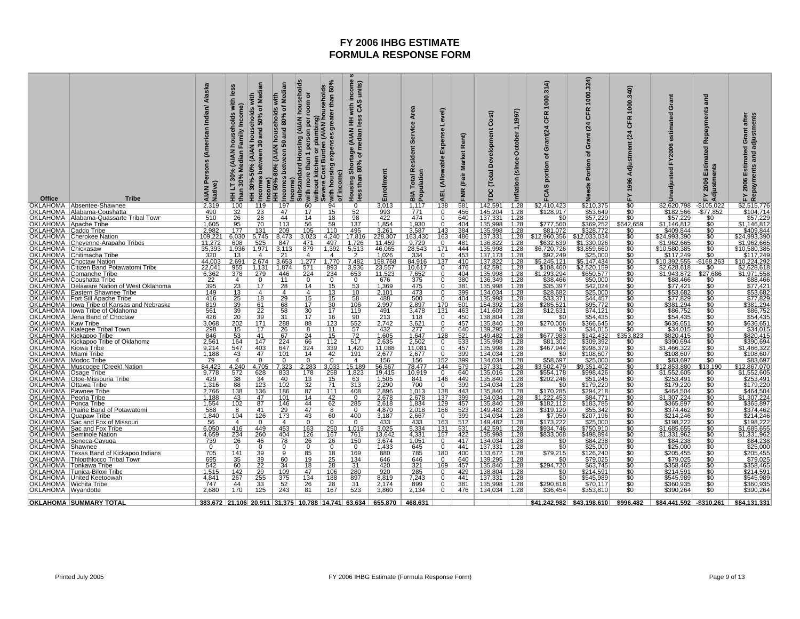| Office                                                  | <b>Tribe</b>                                                                 | Indian/ Alaska<br>Persons (American<br>ative)<br>AIAN<br>Native | with<br>Income)<br>households<br>amily<br>Z<br>EAIAN<br>edian<br>Σ<br>30%<br>30%<br>E<br>than | Medi<br>with<br>৳<br>households<br><b>Pue</b><br>ន្ល<br><b>AIAN</b><br>een<br>50%<br>30%<br>come<br>ome<br>E | Medi<br>ō<br>80%<br>ehol<br>and<br>hous<br>ន<br><b>AIAN</b><br>en<br>$-80%$<br>Incomes<br>50%<br>E | (AIAN households<br>ŏ<br>oom<br>per<br>umb<br>person<br>Housing<br>t kitchen or plu<br>Cost Burden (<br>than<br>ubstandard<br>more<br>come)<br>with more<br>without  <br>Severe C<br>È١<br>ຶ | 50%<br>umbing)<br>(AIAN household<br>than<br>greater<br>expenses<br>housing<br>income)<br>with<br>৳ | income<br>units)<br>$\boldsymbol{\omega}$<br>with<br>Ŝ<br>$\boldsymbol{a}$<br>홀 로<br>$\leq$<br>je (AIAN<br>median<br>Shortage<br>180% of m<br>than<br><b>Housing</b><br>$\boldsymbol{\mathsf{S}}$<br><u>Sə</u> | rollme<br>ᇛ                    | Area<br><b>Service</b><br>Resident<br>Population<br>Total  <br>ВIА | yel)<br>Expense<br>(Allowable<br><b>AEL</b> | ent)<br>$\propto$<br><b>Market</b><br>(Fair<br><b>FMR</b> | E)<br>ပိ<br>Development<br>Total<br>pc | 1,1997)<br>October<br>(since<br>Inflation | 1000.314<br><b>CFR</b><br>Grant(24<br>৳<br>portion<br>FCAS | 324)<br>1000<br>$\alpha$<br>ō<br>$\overline{a}$<br>O<br>ъ<br>δ<br>Ž | 340)<br>1000<br>CFR<br>$\overline{a}$<br>Adjustment<br>1996<br>⊾ | Grant<br>estimated<br><b>FY2006</b><br>Unadjusted | and<br>avments<br>ě<br>F<br>timat<br>FY 2006 Estim<br>Adjustments | FY 2006 Estimated Grant alter<br>Repayments and adjustments |
|---------------------------------------------------------|------------------------------------------------------------------------------|-----------------------------------------------------------------|-----------------------------------------------------------------------------------------------|--------------------------------------------------------------------------------------------------------------|----------------------------------------------------------------------------------------------------|----------------------------------------------------------------------------------------------------------------------------------------------------------------------------------------------|-----------------------------------------------------------------------------------------------------|----------------------------------------------------------------------------------------------------------------------------------------------------------------------------------------------------------------|--------------------------------|--------------------------------------------------------------------|---------------------------------------------|-----------------------------------------------------------|----------------------------------------|-------------------------------------------|------------------------------------------------------------|---------------------------------------------------------------------|------------------------------------------------------------------|---------------------------------------------------|-------------------------------------------------------------------|-------------------------------------------------------------|
|                                                         | OKLAHOMA Absentee-Shawnee                                                    | 2,319                                                           | 100                                                                                           | 119                                                                                                          | 197                                                                                                | 60                                                                                                                                                                                           | 94                                                                                                  | 0                                                                                                                                                                                                              | 3,013                          | 1,117                                                              | 138                                         | 581                                                       | 142,591                                | 1.28                                      | \$2,410,423                                                | \$210,375<br>\$53,649                                               | $\frac{$0}{0}$                                                   | \$2,620,798                                       | $-$ \$105,022                                                     | \$2,515,776                                                 |
|                                                         | OKLAHOMA   Alabama-Coushatta<br>OKLAHOMA   Alabama-Quassarte Tribal Town     | 490<br>510                                                      | 32<br>26                                                                                      | 23<br>28                                                                                                     | 47<br>44                                                                                           | 17<br>14                                                                                                                                                                                     | 15<br>18                                                                                            | 52<br>98                                                                                                                                                                                                       | 993<br>422                     | 771<br>474                                                         | 0<br>$\mathbf{0}$                           | 456<br>640                                                | 145,204<br>137.331                     | 1.28<br>1.28                              | \$128,917<br>\$0                                           | \$57,229                                                            | $\overline{\$0}$                                                 | \$182,566<br>\$57,229                             | $-$77,852$<br>\$0                                                 | \$104,714<br>\$57,229                                       |
| OKLAHOMA Apache Tribe                                   |                                                                              | 1,605                                                           | 95                                                                                            | 70                                                                                                           | 113                                                                                                | 56                                                                                                                                                                                           | 59                                                                                                  | 137                                                                                                                                                                                                            | 1,854                          | 1,930                                                              | $\mathbf 0$                                 | 404                                                       | 135,998                                | 1.28                                      | \$777,560                                                  | \$369,252                                                           | \$642,659                                                        | \$1,146,812                                       | \$0                                                               | \$1,146,812                                                 |
| OKLAHOMA Caddo Tribe                                    |                                                                              | 2,982                                                           | 177                                                                                           | 131                                                                                                          | 209                                                                                                | 105                                                                                                                                                                                          | 110                                                                                                 | 495                                                                                                                                                                                                            | 3,261                          | 3,587                                                              | 143                                         | 384                                                       | 135,998<br>137.331                     | 1.28                                      | \$81,072                                                   | \$328,772                                                           | \$0<br>\$C                                                       | \$409,844                                         |                                                                   | <u>\$409,844</u>                                            |
| OKLAHOMA<br>OKLAHOMA                                    | <b>Cherokee Nation</b>                                                       | 109,221                                                         | 6,030<br>608                                                                                  | 5.745<br>525                                                                                                 | 8,473<br>847                                                                                       | 3,023<br>471                                                                                                                                                                                 | 4,240<br>497                                                                                        | 17,816<br>1.726                                                                                                                                                                                                | 228,307<br>11.459              | 163,430                                                            | 163<br>$\overline{0}$                       | 486<br>481                                                | 136.822                                | 1.28<br>1.28                              | \$12,960,356<br>\$632,639                                  | 2,033,034<br>\$1,330,026                                            |                                                                  | \$24,993,390<br>\$1,962,665                       | \$0                                                               | \$24,993,390<br>\$1,962,665                                 |
| <b>OKLAHOMA</b>                                         | Chevenne-Arapaho Tribes<br>Chickasaw                                         | $\frac{11,272}{35,393}$                                         | 1,936                                                                                         | 1,971                                                                                                        | 3,113                                                                                              | 879                                                                                                                                                                                          | 1,392                                                                                               | $\frac{6.513}{2}$                                                                                                                                                                                              | 46,065                         | $\frac{9,729}{28,543}$                                             | 171                                         | 444                                                       | 135,998                                | 1.28                                      | \$6,720,726                                                | \$3,859,660                                                         | $\frac{$0}{\$0}$                                                 | \$10,580,385                                      | $\frac{10}{100}$                                                  | \$10,580,38                                                 |
| OKLAHOMA                                                | Chitimacha Tribe                                                             | 320                                                             | 13                                                                                            | 4                                                                                                            | 21                                                                                                 | $\overline{4}$                                                                                                                                                                               | $\overline{4}$                                                                                      |                                                                                                                                                                                                                | 1,026                          | 334                                                                | $\mathbf 0$                                 | 453                                                       | 137,173                                | 1.28                                      | \$92,249                                                   | \$25,000                                                            | \$C                                                              | \$117,249                                         |                                                                   | \$117,249                                                   |
| OKLAHOMA<br>OKLAHOMA                                    | Choctaw Nation                                                               | 44,003<br>22.041                                                | 2,691                                                                                         | 2.674                                                                                                        | 3,653                                                                                              | 1,277                                                                                                                                                                                        | 1,770                                                                                               | 7,482<br>3,936                                                                                                                                                                                                 | 158,768<br>23,557              | 84,916<br>10.617                                                   | 137                                         | 410                                                       | 137.822<br>142.591                     | 1.28                                      | \$5,245,121                                                | $\overline{5,}147,434$<br>\$2.520.159                               | \$0<br>ŜĆ                                                        | \$10,392,555<br>\$2.628.618                       | $-$168,263$<br>\$0                                                | \$10,224,292<br>\$2.628.61                                  |
| OKLAHOMA                                                | Citizen Band Potawatomi Tribe<br>Comanche Tribe                              | 6,362                                                           | 955<br>378                                                                                    | 1.131  <br>279                                                                                               | 1.874<br>446                                                                                       | 571<br>224                                                                                                                                                                                   | 893<br>234                                                                                          | 653                                                                                                                                                                                                            | 11,523                         | 7,652                                                              | $\mathbf{0}$<br>$\mathbf 0$                 | 476<br>404                                                | 135,998                                | 1.28<br>1.28                              | \$108,460<br>\$1,293,294                                   | \$650,577                                                           | ŜC                                                               | \$1,943,872                                       | \$27,686                                                          | <u>\$1,971,558</u>                                          |
| OKLAHOMA                                                | Coushatta Tribe                                                              | 22                                                              | $\overline{4}$                                                                                | $\Omega$                                                                                                     | 11                                                                                                 | $\mathbf{0}$                                                                                                                                                                                 | $\mathbf{0}$                                                                                        | $\mathbf{0}$                                                                                                                                                                                                   | 676                            | 375                                                                | $\Omega$                                    | 380                                                       | 136,349                                | 1.28                                      | \$38,466                                                   | \$50,000                                                            | \$0                                                              | \$88,466                                          | \$0                                                               | \$88,466                                                    |
| <b>OKLAHOMA</b>                                         | Delaware Nation of West Oklahoma                                             | 395                                                             | $\frac{23}{13}$                                                                               | 17                                                                                                           | 28                                                                                                 | 14                                                                                                                                                                                           | $\frac{15}{13}$                                                                                     | 53                                                                                                                                                                                                             | 1,369<br>2,101                 | 475                                                                | $\Omega$                                    | 381                                                       | 135.998                                | 1.28                                      | $$35,397$<br>$$28,682$                                     | \$42,024                                                            |                                                                  | \$77,421                                          |                                                                   | \$77,421                                                    |
| OKLAHOMA                                                | Eastern Shawnee Tribe                                                        | 149                                                             |                                                                                               | $\overline{4}$                                                                                               | 4                                                                                                  | $\overline{4}$                                                                                                                                                                               |                                                                                                     | $\overline{10}$                                                                                                                                                                                                |                                | 473                                                                | $\Omega$                                    | 399                                                       | 134,034                                | 1.28                                      |                                                            | \$25,000                                                            |                                                                  | \$53,682                                          |                                                                   | \$53,682                                                    |
| OKLAHOMA<br><b>OKLAHOMA</b>                             | Fort Sill Apache Tribe<br>Iowa Tribe of Kansas and Nebraska                  | 416<br>819                                                      | $\frac{25}{39}$                                                                               | 18<br>61                                                                                                     | 29<br>68                                                                                           | 15<br>17                                                                                                                                                                                     | 15<br>30                                                                                            | 58<br>106                                                                                                                                                                                                      | 488<br>2,997                   | 500<br>2,897                                                       | $\mathbf{0}$<br>170                         | 404<br>501                                                | 135,998<br>154,392                     | 1.28<br>1.28                              | \$33,371<br>\$285,521                                      | \$44,457<br>\$95,772                                                | \$0                                                              | \$77,829<br>\$381,294                             | \$0                                                               | \$77,829                                                    |
|                                                         | OKLAHOMA   lowa Tribe of Oklahoma                                            | 561                                                             | 39                                                                                            | 22                                                                                                           | 58                                                                                                 | 30                                                                                                                                                                                           | 17                                                                                                  | 119                                                                                                                                                                                                            | 491                            | 3,478                                                              | 131                                         | 463                                                       | 141,609                                | 1.28                                      | \$12,631                                                   | \$74,121                                                            | \$C                                                              | \$86,752                                          | $\overline{50}$                                                   | $\frac{3381,294}{886,752}$                                  |
| OKLAHOMA                                                | Jena Band of Choctaw                                                         | 426                                                             | 20                                                                                            | 39                                                                                                           | 31                                                                                                 | 17                                                                                                                                                                                           | 16                                                                                                  |                                                                                                                                                                                                                | 213                            | 118                                                                | $\Omega$                                    | 450                                                       | 138,804                                | 1.28                                      | \$0                                                        | \$54,435                                                            |                                                                  | \$54,435                                          | \$0                                                               | \$54,435                                                    |
| OKLAHOMA                                                | <b>Kaw Tribe</b>                                                             | 3,068                                                           | $\frac{202}{15}$                                                                              | 171                                                                                                          | 288                                                                                                | 88                                                                                                                                                                                           | 123                                                                                                 | $\frac{90}{552}$                                                                                                                                                                                               | 2,742                          | 3,621                                                              | $\Omega$                                    | 457                                                       | 135,840                                | 1.28                                      | \$270,006                                                  | \$366,645                                                           | $\frac{\$0}{\$0}$<br>$\frac{\$0}{\$0}$                           | \$636,651                                         |                                                                   | \$636,651                                                   |
| <b>OKLAHOMA</b><br>OKLAHOMA                             | Kialegee Tribal Town<br>Kickapoo Tribe                                       | 298<br>846                                                      |                                                                                               | 17<br>41                                                                                                     | 26<br>67                                                                                           | $\overline{\mathbf{8}}$<br>24                                                                                                                                                                | 11<br>15                                                                                            |                                                                                                                                                                                                                | 432<br>1,605                   | 277                                                                | $\overline{0}$<br>128                       | 640<br>$\frac{1}{221}$                                    | 139,295<br>149,482                     | 1.28<br>1.28                              | \$0                                                        | \$34,015                                                            | \$353,823                                                        | \$34,015                                          | \$0                                                               | \$34,015<br>\$820,415                                       |
| OKLAHOMA                                                | Kickapoo Tribe of Oklahoma                                                   | 2,561                                                           | $\frac{53}{164}$                                                                              | 147                                                                                                          | 224                                                                                                | 66                                                                                                                                                                                           | 112                                                                                                 | $\frac{72}{517}$                                                                                                                                                                                               | 2,635                          | $\frac{1,647}{2,502}$                                              | $\overline{0}$                              | 533                                                       | 135,998                                | 1.28                                      | \$677,983<br>\$81,302                                      | \$142,432<br>\$309,392<br>\$998,379                                 | \$C                                                              | \$820,415<br>\$390,694                            |                                                                   |                                                             |
| OKLAHOMA Kiowa Tribe                                    |                                                                              | 9,214                                                           | 547                                                                                           | 403                                                                                                          | 647                                                                                                | 324                                                                                                                                                                                          | 339                                                                                                 | 1,420                                                                                                                                                                                                          | 11,088                         | 11,081                                                             | $\Omega$                                    | 457                                                       | 135,998                                | 1.28                                      | \$467,944                                                  |                                                                     |                                                                  | \$1,466,322                                       |                                                                   | \$390,694<br>\$1,466,322                                    |
| OKLAHOMA   Miami Tribe                                  |                                                                              | 1,188                                                           | 43                                                                                            | 47                                                                                                           | 101                                                                                                | 14                                                                                                                                                                                           | 42                                                                                                  | 191                                                                                                                                                                                                            | 2,677                          | 2,677                                                              | $\overline{0}$                              | 399                                                       | 134,034                                | 1.28                                      | \$0                                                        | \$108,607                                                           | \$C                                                              | \$108,607                                         |                                                                   | \$108,607                                                   |
| OKLAHOMA   Modoc Tribe                                  | OKLAHOMA Muscogee (Creek) Nation                                             | 79<br>84,423                                                    | $\overline{4}$<br>4.240                                                                       | $\Omega$<br>$\overline{4,705}$                                                                               | 0<br>7,323                                                                                         | $\Omega$<br>2.283                                                                                                                                                                            | $\mathbf{0}$<br>3,033                                                                               | 4<br>15,189                                                                                                                                                                                                    | 156<br>56,567                  | 156<br>78.477                                                      | 152<br>144                                  | 399<br>579                                                | 134.034<br>137.331                     | 1.28<br>1.28                              | 558,697<br>\$3,502,479                                     | \$25,000<br>\$9,351,402                                             |                                                                  | \$83,697<br>\$12,853,880                          | $\overline{50}$<br>\$13,190                                       | \$83,697<br>\$12,867,070                                    |
| OKLAHOMA   Osage Tribe                                  |                                                                              | 9,778                                                           | 572                                                                                           | 628                                                                                                          | 833                                                                                                | 178                                                                                                                                                                                          | 258                                                                                                 | 1,823                                                                                                                                                                                                          | 19,415                         | 10,919                                                             | $\overline{0}$                              | 640                                                       | 135,016                                | 1.28                                      | \$554,178                                                  | \$998,426                                                           | \$C                                                              | \$1,552,605                                       | \$0                                                               | \$1,552,605                                                 |
|                                                         | OKLAHOMA Otoe-Missouria Tribe<br> OKLAHOMA Ottawa Tribe                      | 429                                                             | 38                                                                                            | 34                                                                                                           | 40                                                                                                 | 13                                                                                                                                                                                           | 15                                                                                                  | 63                                                                                                                                                                                                             | $\frac{1,505}{2,290}$<br>2,896 | 841                                                                | 146                                         | 449                                                       | 135,840                                | 1.28                                      | \$202,246                                                  | $\frac{$51,245}{$179,220}$                                          |                                                                  | \$253,491<br>\$179,220<br>\$464,504               |                                                                   | \$253,491                                                   |
|                                                         |                                                                              | $\frac{1,316}{2,766}$                                           | $\frac{88}{138}$                                                                              | 123                                                                                                          | 102                                                                                                | $\overline{32}$                                                                                                                                                                              | $\overline{71}$                                                                                     | 313                                                                                                                                                                                                            |                                | 700                                                                | $\mathbf{0}$                                | 399                                                       | 134.034                                | 1.28                                      |                                                            |                                                                     |                                                                  |                                                   |                                                                   | \$179,220                                                   |
| <b>OKLAHOMA</b> Pawnee Tribe<br>OKLAHOMA   Peoria Tribe |                                                                              | 1,188                                                           | 43                                                                                            | 136<br>47                                                                                                    | 186<br>101                                                                                         | 87<br>14                                                                                                                                                                                     | 111<br>42                                                                                           | 408<br>$\ddot{\mathbf{Q}}$                                                                                                                                                                                     | 2,678                          | 1,013<br>2,678                                                     | 138<br>137                                  | 443<br>399                                                | 135,840<br>134,034                     | 1.28<br>1.28                              | \$170,285<br>\$1,222,453                                   | \$84,771                                                            | \$C<br>\$0                                                       | \$1,307,224                                       | \$0                                                               | \$464,504<br>\$1,307,224                                    |
| OKLAHOMA                                                | Ponca Tribe                                                                  | 1,554                                                           | 102                                                                                           | 87                                                                                                           | 146                                                                                                | 44                                                                                                                                                                                           | 62                                                                                                  | 285                                                                                                                                                                                                            | 2,618                          | 1,834                                                              | 129                                         | 457                                                       | 135,840                                | 1.28                                      | \$182,112                                                  | \$183,785                                                           | \$C                                                              | \$365,897                                         |                                                                   | \$365,897                                                   |
|                                                         | OKLAHOMA   Prairie Band of Potawatomi                                        | 588                                                             | 8                                                                                             | 41                                                                                                           | 29                                                                                                 | 47                                                                                                                                                                                           | 8                                                                                                   | $\mathbf{0}$                                                                                                                                                                                                   | 4,870                          | 2,018                                                              | <u> 166</u>                                 | 523                                                       | 149,482                                | 1.28                                      | \$319,120                                                  | \$55,342                                                            | \$C                                                              | \$374,462                                         |                                                                   | \$374,462                                                   |
| OKLAHOMA                                                | Quapaw Tribe                                                                 | 1,840                                                           | 104                                                                                           | 126                                                                                                          | 173                                                                                                | 43                                                                                                                                                                                           | 60                                                                                                  | 400                                                                                                                                                                                                            | 3,187                          | 2,667                                                              | $\Omega$                                    | 399                                                       | 134,034                                | 1.28                                      | \$7,050<br>\$173,222                                       | \$207,196                                                           | $\frac{$0}{$0}$                                                  | \$214,246                                         | \$0                                                               | \$214,246                                                   |
| OKLAHOMA<br>OKLAHOMA                                    | Sac and Fox of Missouri<br>Sac and Fox Tribe                                 | 56<br>6,050                                                     | $\overline{4}$<br>416                                                                         | $\overline{0}$<br>449                                                                                        | $\overline{4}$<br>453                                                                              | $\overline{0}$<br>163                                                                                                                                                                        | $\overline{0}$<br>250                                                                               | $\overline{0}$<br>1,019                                                                                                                                                                                        | 433<br>3,025                   | 433<br>5,334                                                       | 163<br>131                                  | 512<br>531                                                | 149,482<br>142,591                     | 1.28<br>1.28                              | \$934,746                                                  | \$25,000<br>\$750,910                                               | $\overline{\$0}$                                                 | \$198,222<br>\$1,685,655                          | \$0                                                               | \$198,222<br>\$1,685,65                                     |
| OKLAHOMA                                                | Seminole Nation                                                              | 4,659                                                           | 234                                                                                           | 260                                                                                                          | 404                                                                                                | <u>126</u>                                                                                                                                                                                   | 167                                                                                                 | 761                                                                                                                                                                                                            | 13,642                         | 4,331                                                              | 157                                         | 422                                                       | 135,998                                | 1.28                                      | \$833,068                                                  | <u>\$498,894</u>                                                    | \$0                                                              | \$1,331,962                                       | \$0                                                               | \$1,331,962                                                 |
|                                                         | OKLAHOMA Seneca-Cayuga                                                       | 739                                                             | 26                                                                                            | 46                                                                                                           | 78                                                                                                 | 26                                                                                                                                                                                           | 26                                                                                                  | 150                                                                                                                                                                                                            | 3,674                          | 1,051                                                              | $\mathbf{0}$                                | 417                                                       | 134,034                                | 1.28                                      | \$0                                                        | \$84,238                                                            | ፍር                                                               | \$84,238                                          |                                                                   | \$84,238                                                    |
| OKLAHOMA Shawnee                                        |                                                                              | $^{\circ}$                                                      | $\mathbf{0}$                                                                                  | $\Omega$                                                                                                     | 0                                                                                                  | $\mathbf 0$                                                                                                                                                                                  | $\mathbf 0$                                                                                         | $\mathbf{0}$                                                                                                                                                                                                   | 1,433                          | 645                                                                | $\mathbf{0}$                                | 441                                                       | 137,331                                | 1.28                                      | \$0                                                        | \$25,000                                                            | \$C                                                              | \$25,000                                          |                                                                   | \$25,000                                                    |
|                                                         | OKLAHOMA Texas Band of Kickapoo Indians<br>OKLAHOMA Thlopthlocco Tribal Town | 705<br>695                                                      | 141                                                                                           | 39<br>39                                                                                                     | 9<br>60                                                                                            | 85<br>19                                                                                                                                                                                     | 18<br><u>25</u>                                                                                     | 169<br>134                                                                                                                                                                                                     | 880<br>646                     | 785<br>646                                                         | 180<br>$\mathbf{0}$                         | 400<br>640                                                | 133,672<br>139,295                     | 1.28<br>1.28                              | \$79,215<br>-SC                                            | \$126,240<br><u>\$79,025</u>                                        | <u>\$0</u>                                                       | \$205,455<br>\$79,025                             | \$0                                                               | \$205,455<br>\$79,02                                        |
|                                                         | OKLAHOMA   Tonkawa Tribe                                                     | 542                                                             | $\frac{35}{60}$                                                                               | 22                                                                                                           | 34                                                                                                 | 18                                                                                                                                                                                           | 28                                                                                                  | 31                                                                                                                                                                                                             | 420                            | 321                                                                | 169                                         | 457                                                       | 135,840                                | 1.28                                      | \$294,720                                                  | \$63,745                                                            |                                                                  | \$358,465                                         |                                                                   | \$358,465                                                   |
|                                                         | OKLAHOMA   Tunica-Biloxi Tribe                                               | 1,515                                                           | 142                                                                                           | $\frac{29}{255}$ $\frac{255}{33}$                                                                            | $\frac{109}{375}$                                                                                  | 47                                                                                                                                                                                           | 106                                                                                                 | $\frac{280}{897}$                                                                                                                                                                                              | 920                            | $\frac{285}{7,243}$                                                | $\overline{0}$                              | 429                                                       | 138.804                                | 1.28                                      | <u>\$0</u>                                                 | \$214,591                                                           | $\frac{$0}{$0}$                                                  | \$214,591                                         | $\frac{$0}{$0}$                                                   | \$214,591<br>\$545,989                                      |
|                                                         | OKLAHOMA United Keetoowah                                                    | 4,841                                                           | $\frac{1}{267}$                                                                               |                                                                                                              |                                                                                                    | $\frac{134}{26}$                                                                                                                                                                             | 188                                                                                                 |                                                                                                                                                                                                                | 8,819                          |                                                                    | $\overline{0}$                              | 441                                                       | 137,331                                | 1.28                                      |                                                            | \$545,989<br>$\frac{8.18186}{570,117}$                              |                                                                  | \$545,989                                         |                                                                   |                                                             |
| OKLAHOMA Wichita Tribe<br>OKLAHOMA Wyandotte            |                                                                              | 747<br>2,680                                                    | 44<br>170                                                                                     | 125                                                                                                          | 52<br>243                                                                                          | 81                                                                                                                                                                                           | 28<br>167                                                                                           | 523                                                                                                                                                                                                            | 2,174<br>3,860                 | 899<br>2,134                                                       | 0<br>$\overline{0}$                         | 381<br>476                                                | 135,998<br>134,034                     | 1.28<br>1.28                              | <b>\$290,818</b><br>\$36,454                               | \$353,810                                                           | \$0                                                              | <u>\$360,935</u><br>\$390,264                     | \$0                                                               | \$360,935<br>\$390,264                                      |
|                                                         |                                                                              |                                                                 |                                                                                               |                                                                                                              |                                                                                                    |                                                                                                                                                                                              |                                                                                                     |                                                                                                                                                                                                                |                                |                                                                    |                                             |                                                           |                                        |                                           |                                                            |                                                                     |                                                                  |                                                   |                                                                   |                                                             |
|                                                         | <b>OKLAHOMA SUMMARY TOTAL</b>                                                |                                                                 |                                                                                               |                                                                                                              |                                                                                                    | 383,672 21,106 20,911 31,375 10,788 14,741 63,634                                                                                                                                            |                                                                                                     |                                                                                                                                                                                                                | 655,870                        | 468.631                                                            |                                             |                                                           |                                        |                                           |                                                            | $$41,242,982$ $$43,198,610$ $$996,482$                              |                                                                  | \$84,441,592 - \$310,261                          |                                                                   | \$84,131,331                                                |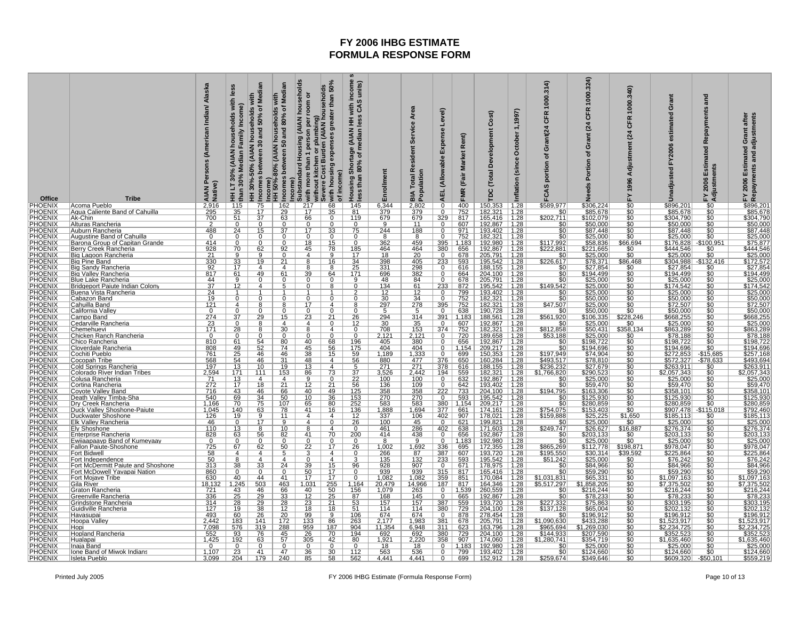| Office<br>PHOENIX             | <b>Tribe</b><br>Acoma Pueblo                                   | Persons (American Indian/ Alaska<br>AIAN P<br>Native) | Les<br>with<br>Income)<br>households<br>Family<br><b>AIAN</b><br>Median<br>HH LT 30%<br>than $30\%$<br>115 | of Median<br>households with<br>50%<br>30 and<br>HH 30%-50% (AIAN<br>s between<br><b>ICOMB</b><br>$\overline{75}$ | ৳<br>Income)<br>HH 50%-80% (AIAN households<br>Incomes between 50 and 80% o' | (AIAN households<br>with more than 1 person per room or<br>without kitchen or plumbing)<br>Severe Cost Burden (AIAN households<br>Substandard Housing<br>icome) | greater than 50%<br>with housing expenses<br>income)<br>$\frac{1}{\sigma}$<br>68 | income<br>units)<br>S.<br>with<br>3 CAS<br>SS <sub>I</sub> H<br>ye (AIAN I<br>median l<br>Housing Shortage<br>less than 80% of m<br>145 | Enrollme<br>6,344         | Service Area<br><b>Total Resident</b><br>Population<br>ВIА | yel)<br>ق<br>Expense<br><b>AEL</b> (Allowable<br>$\overline{0}$ | Rent)<br>(Fair Market<br>FMR | Cost)<br>Development<br>Total<br>TDC.<br>150, 353 | 1,1997)<br>October<br>Inflation (since                                            | 1000.314<br><b>CFR</b><br>Grant(24<br>đ<br>portion<br>FCAS<br>\$589,977 | 1000.324)<br>œ<br>ზ<br>(24)<br>rant<br>ပ<br>৳<br>Portion<br>Ž | 1000.340)<br>CFR<br>(24)<br>Adjustment<br>FY1996 | Grant<br>estimated<br>FY2006<br>Unadjusted | and<br>Repayments<br>3<br>苘<br>Estima<br>Adjustments<br>2006<br>십 | Repayments and adjustments<br>Grant after<br>Estimated<br>2006<br>놊 |  |
|-------------------------------|----------------------------------------------------------------|-------------------------------------------------------|------------------------------------------------------------------------------------------------------------|-------------------------------------------------------------------------------------------------------------------|------------------------------------------------------------------------------|-----------------------------------------------------------------------------------------------------------------------------------------------------------------|----------------------------------------------------------------------------------|-----------------------------------------------------------------------------------------------------------------------------------------|---------------------------|------------------------------------------------------------|-----------------------------------------------------------------|------------------------------|---------------------------------------------------|-----------------------------------------------------------------------------------|-------------------------------------------------------------------------|---------------------------------------------------------------|--------------------------------------------------|--------------------------------------------|-------------------------------------------------------------------|---------------------------------------------------------------------|--|
| PHOENIX                       | Aqua Caliente Band of Cahuilla                                 | $\frac{2,916}{295}$                                   | $\frac{35}{51}$                                                                                            | $\overline{17}$                                                                                                   | $\frac{162}{29}$                                                             | $\frac{217}{17}$                                                                                                                                                | $\overline{35}$                                                                  | 81                                                                                                                                      | 379                       | 2,802<br>379                                               | $\Omega$                                                        | $\frac{400}{752}$            | 182.<br>321                                       | $\frac{1.28}{1.28}$                                                               |                                                                         | \$306,224<br>\$85,678                                         | \$0<br>\$0<br>\$0                                | \$896,201                                  | $\frac{$0}{$0}$                                                   | \$896,201                                                           |  |
| PHOENIX                       | Ak-Chin<br>Alturas Rancheria                                   |                                                       | $\Omega$                                                                                                   | $\overline{37}$                                                                                                   |                                                                              | 66<br>$\Omega$                                                                                                                                                  | $\mathbf 0$<br>$\Omega$                                                          | 119<br>$\mathbf{0}$                                                                                                                     | 679<br>9                  | 679<br>11                                                  | 329<br>$^{\circ}$                                               | 817<br>607                   | 165,416<br>192,867                                | $\sqrt{1.28}$<br>1.28                                                             | \$202,711                                                               | \$102,079                                                     |                                                  | \$304,790<br>\$50,000                      | \$0                                                               | \$304,790                                                           |  |
| PHOENIX<br>PHOENIX            | Auburn Rancheria                                               | 488                                                   | 24                                                                                                         | 15                                                                                                                |                                                                              |                                                                                                                                                                 | 33                                                                               | 75                                                                                                                                      | 244                       | 188                                                        |                                                                 | 971                          |                                                   |                                                                                   |                                                                         | \$50,000<br>\$87,448                                          | $\frac{$0}{$0}{$0}{$0 $$                         |                                            |                                                                   | \$50,000<br>\$87,448                                                |  |
| PHOENIX                       | <b>Augustine Band of Cahuilla</b>                              | $^{\circ}$                                            | $\mathbf{0}$                                                                                               | $\Omega$                                                                                                          | o                                                                            | $\mathbf 0$                                                                                                                                                     | $\Omega$                                                                         | $\mathbf{0}$                                                                                                                            | 8                         | $\overline{8}$                                             | $\mathbf{0}$                                                    | 752                          | 193,402 1.28<br>182,321 1.28                      |                                                                                   | \$0                                                                     | \$25,000                                                      |                                                  | \$87,448<br>\$25,000                       | $\frac{$0}{$0}$                                                   | \$25,000                                                            |  |
| PHOENIX<br><b>PHOENIX</b>     | <u>Barona Group of Capitan Grande</u><br>Berry Creek Rancheria | 414                                                   | $\mathbf{0}$<br>70                                                                                         | $\Omega$<br>62                                                                                                    | o<br><u>92</u>                                                               | <u> 18</u><br>45                                                                                                                                                | <u>15</u><br><u>78</u>                                                           | 0                                                                                                                                       | 362<br>464                | 459                                                        | 395                                                             | 1,183<br>656                 | 192,980<br>192,867                                | 1.28<br>1.28                                                                      | \$117,992<br>\$222,881                                                  | \$58,836                                                      | $\frac{$66.694}{$0}{$0$}$                        | \$176,828<br>6444,546                      | $\frac{-\$100.951}{\$0}$                                          | \$75,877                                                            |  |
| PHOENIX                       | <u>Biq Laqoon Rancheria</u>                                    | $\frac{928}{21}$                                      |                                                                                                            |                                                                                                                   |                                                                              | 4                                                                                                                                                               |                                                                                  | $\frac{185}{17}$                                                                                                                        | 18                        | $\frac{464}{20}$                                           | $\frac{380}{0}$                                                 | 678                          | 205,791                                           |                                                                                   | \$(                                                                     | 221,665<br>\$25,000                                           |                                                  | \$25,000                                   |                                                                   | $\frac{$444,546}{$25,000}$ $\frac{$172,572}{$27,854}$               |  |
| PHOENIX                       | Big Pine Band                                                  | $\frac{330}{92}$                                      | $\frac{9}{33}$<br>$\frac{33}{17}$                                                                          | 19                                                                                                                | 21                                                                           | 8                                                                                                                                                               | 16                                                                               | $\frac{34}{25}$                                                                                                                         | $\frac{398}{331}$         | $\frac{405}{298}$                                          | $\frac{233}{0}$                                                 | 593                          | 195,542                                           | $\frac{1.28}{1.28}$<br>1.28                                                       | <u>\$226,617</u>                                                        | \$78,371<br>\$27,854                                          | $\frac{$86,468}{$0}{$0$                          | \$304,988                                  | $-$ \$132,416<br>\$0                                              |                                                                     |  |
| PHOENIX<br>PHOENIX            | <b>Big Sandy Rancheria</b><br>Big Valley Rancheria             | 817                                                   | 61                                                                                                         | $\overline{\mathbf{4}}$<br>49                                                                                     | $\overline{4}$<br>61                                                         | 8<br>39                                                                                                                                                         | 8<br>64                                                                          | 171                                                                                                                                     | 696                       | 382                                                        | $\mathbf 0$                                                     | 616<br>664                   | 188,155<br>204,100                                | 1.28                                                                              | \$(<br>\$0                                                              | \$194,499                                                     |                                                  | \$27,854<br>\$194,499                      |                                                                   | \$194,499                                                           |  |
|                               | <b>Blue Lake Rancheria</b>                                     | 44                                                    | 9                                                                                                          | $\Omega$                                                                                                          | $\Omega$                                                                     | $\Omega$                                                                                                                                                        | $\Omega$                                                                         | $\mathbf{Q}$                                                                                                                            | 48                        | 84                                                         | $\Omega$                                                        | 678                          | 205,791                                           | 1.28                                                                              | \$0                                                                     |                                                               |                                                  | \$25,000                                   |                                                                   | \$25,000                                                            |  |
| <b>PHOENIX</b><br>PHOENIX     | Bridgeport Paiute Indian Colony                                | 37                                                    | 12                                                                                                         |                                                                                                                   |                                                                              |                                                                                                                                                                 |                                                                                  |                                                                                                                                         | 134                       | $rac{61}{12}$                                              | 233                                                             | 872                          | 195,542                                           | 1.28                                                                              | \$149,542                                                               | \$25,000                                                      | \$0<br>\$0<br>\$0<br>\$0                         | \$174,542                                  | $\frac{$0}{$0}$                                                   | $\frac{$174,542}{$25,000}$                                          |  |
| PHOENIX<br>PHOENIX            | Buena Vista Rancheria                                          | 24<br>19                                              |                                                                                                            |                                                                                                                   |                                                                              | $\Omega$                                                                                                                                                        |                                                                                  |                                                                                                                                         | <u> 12 </u>               |                                                            | $\mathbf 0$<br>$\Omega$                                         | 799                          | 193,402                                           | 1.28                                                                              | \$0<br>\$C                                                              | \$25,000                                                      | \$0                                              | \$25,000                                   | \$0                                                               | \$50,000                                                            |  |
| PHOENIX                       | Cabazon Band                                                   | <u>121</u>                                            | 0<br>4                                                                                                     |                                                                                                                   |                                                                              |                                                                                                                                                                 | 0<br>4                                                                           |                                                                                                                                         | 30<br>297                 | $\frac{34}{278}$                                           |                                                                 | 752<br>752                   | 182,321                                           | 1.28                                                                              | \$47,507                                                                | \$50,000<br>\$25,000                                          |                                                  | \$50,000                                   |                                                                   |                                                                     |  |
| PHOENIX                       | Cahuilla Band<br>California Valley                             | 0                                                     |                                                                                                            |                                                                                                                   |                                                                              | $\overline{0}$                                                                                                                                                  |                                                                                  |                                                                                                                                         |                           |                                                            | $\frac{395}{0}$                                                 | 638                          | 182,321<br>190,728                                | $\frac{1.28}{1.28}$                                                               |                                                                         | \$50,000                                                      | \$0<br>\$0                                       | $$72,507$<br>$$50,000$                     |                                                                   | \$72,507<br>\$50,000                                                |  |
| PHOENIX<br>PHOENIX<br>PHOENIX | <u> Campo Band</u>                                             | $\frac{274}{23}$<br>171                               | $\frac{37}{0}$                                                                                             | 29                                                                                                                | <u>15</u><br>$\Lambda$                                                       | $\frac{23}{4}$                                                                                                                                                  | $\frac{21}{0}$                                                                   | $\frac{26}{12}$                                                                                                                         | $\frac{294}{30}$          | $\frac{314}{35}$<br>153                                    | $\frac{391}{0}$                                                 | $\frac{1,183}{607}$          | 188,561<br>192,867                                | $\begin{array}{ c c }\n\hline\n1.28 \\ \hline\n1.28 \\ \hline\n1.28\n\end{array}$ | <u>\$561,920</u>                                                        | \$106,335<br>\$25,000<br>\$50,431                             | $$228,246$<br>$$0$                               | \$668,255<br>\$25,000                      | $\frac{$0}{$0}$                                                   | \$668,255<br>\$25,000                                               |  |
|                               | Cedarville Rancheria<br>Chemehuevi                             |                                                       | 28                                                                                                         |                                                                                                                   | 30                                                                           | 8                                                                                                                                                               | 4                                                                                | $\Omega$                                                                                                                                | 708                       |                                                            | 374                                                             | 752                          | 182,321                                           |                                                                                   | \$812,858                                                               |                                                               | \$358,134                                        | \$863,289                                  |                                                                   | \$863,289                                                           |  |
|                               | <u>Chicken Ranch Rancheria</u>                                 | $^{\circ}$                                            | $\mathbf 0$                                                                                                | $\Omega$                                                                                                          | $\Omega$                                                                     |                                                                                                                                                                 | $\Omega$                                                                         | $\Omega$                                                                                                                                | 2,121                     | 2,121                                                      | $\Omega$                                                        | $\frac{720}{656}$            | 189,658                                           | 1.28                                                                              | \$53,188                                                                | \$25,000                                                      |                                                  |                                            |                                                                   |                                                                     |  |
| PHOENIX<br>PHOENIX<br>PHOENIX | Chico Rancheria                                                | 810                                                   | $\frac{61}{49}$                                                                                            | 54                                                                                                                | 80                                                                           | 40                                                                                                                                                              | $\frac{68}{56}$                                                                  | $\frac{196}{175}$                                                                                                                       | $\frac{405}{404}$         | $\frac{380}{404}$                                          |                                                                 |                              | 192,867<br>209,217                                | 1.28                                                                              |                                                                         | \$198,722                                                     | $\frac{10}{100}$                                 | \$78,188<br>\$78,188<br>\$198,722          | $\frac{$0}{$0}{$0}{$0 $$                                          | \$78,188<br>\$198,722<br>\$194,696                                  |  |
| PHOENIX                       | Cloverdale Rancheria                                           | 808                                                   | $\overline{25}$                                                                                            | $\overline{52}$<br>46                                                                                             | 74<br>46                                                                     | 45<br>$\overline{38}$                                                                                                                                           |                                                                                  | 59                                                                                                                                      | 1,189                     | 1,333                                                      |                                                                 | 1.154                        | 150,353                                           | 1.28                                                                              |                                                                         | \$194,696<br>\$74,904                                         | $\overline{\$0}$                                 | \$272,853                                  | $-$15,685$                                                        | \$257,168                                                           |  |
| <b>PHOENIX</b>                | Cochiti Pueblo<br>Cocopah Tribe                                | 761<br>568                                            |                                                                                                            | 46                                                                                                                | 31                                                                           | 48                                                                                                                                                              | 15<br>$\overline{4}$                                                             | 56                                                                                                                                      |                           |                                                            | 0<br>376                                                        | 699  <br>650                 |                                                   | $\vert$ 1.28                                                                      | \$197,949                                                               | \$78,810                                                      |                                                  |                                            |                                                                   | \$493,694                                                           |  |
| PHOENIX                       | Cold Springs Rancheria                                         | 197                                                   | $\frac{54}{13}$<br>$\frac{13}{171}$                                                                        | 10                                                                                                                | 19                                                                           | $\frac{13}{86}$                                                                                                                                                 | $\frac{4}{73}$                                                                   |                                                                                                                                         | $\frac{880}{271}$ $3,526$ | $\frac{477}{271}$<br>2,442                                 | 378                                                             | 616                          | 160,284 1.28<br>188,155 1.28                      |                                                                                   | \$493,517<br>\$236,232                                                  | \$27,679<br>\$290,523                                         |                                                  | \$572,327<br>\$263,911                     | $\frac{-\$78,633}{\$0}$                                           |                                                                     |  |
| <b>PHOENIX</b>                | Colorado River Indian Tribes                                   | $\frac{2,594}{71}$                                    |                                                                                                            | 111                                                                                                               | 153                                                                          |                                                                                                                                                                 |                                                                                  | $rac{5}{37}$                                                                                                                            |                           |                                                            | $\frac{194}{0}$                                                 | 559                          | 182,321                                           | $\frac{1.28}{1.28}$<br>1.28                                                       | \$1,766,820                                                             |                                                               |                                                  | \$2,057,343                                | \$0                                                               | $\frac{$263,911}{2,057,343}$                                        |  |
| PHOENIX<br>PHOENIX            | Colusa Rancheria<br>Cortina Rancheria                          | 272                                                   | $\frac{13}{17}$                                                                                            | $\overline{\mathbf{4}}$<br>18                                                                                     | $\overline{4}$<br>$\overline{21}$                                            | $\overline{9}$<br>$\overline{12}$                                                                                                                               | $\overline{0}$<br>$\overline{21}$                                                | $\overline{22}$<br>56                                                                                                                   | 100<br>136                | 100<br>109                                                 | $\overline{0}$                                                  | 632<br>642                   | 192,867<br>193,402                                |                                                                                   | \$                                                                      | $\frac{$25,000}{$59,470}$                                     |                                                  | \$25,000<br>\$59,470                       |                                                                   | $\frac{25.000}{559,470}$                                            |  |
| PHOENIX                       | Covote Valley Band                                             | $\overline{716}$                                      | 43                                                                                                         | 46                                                                                                                | 66                                                                           | 40                                                                                                                                                              | 49                                                                               | 125                                                                                                                                     | 358                       | 358                                                        | 222                                                             | 733                          | 204,100                                           | 1.28                                                                              | \$194,795                                                               | <u>\$163,306</u>                                              |                                                  | <u>\$358,101</u>                           |                                                                   | \$358,101                                                           |  |
| PHOENIX<br>PHOENIX<br>PHOENIX | <u>Death Valley Timba-Sha</u>                                  | 540                                                   | $\frac{69}{70}$                                                                                            | 34                                                                                                                | 50                                                                           | 10                                                                                                                                                              | 36                                                                               | $\frac{153}{252}$<br>136                                                                                                                | 270                       | 270                                                        | $\mathbf 0$                                                     | 593                          | 195,542                                           | 1.28                                                                              | \$0                                                                     | \$125,930                                                     | $\frac{10}{100}$                                 | \$125,930                                  | $\frac{$0}{$0}$                                                   | <u>\$125,930</u>                                                    |  |
|                               | <u>Dry Creek Rancheria</u>                                     | 1,166                                                 |                                                                                                            | 75                                                                                                                | 107                                                                          | 65                                                                                                                                                              | 80                                                                               |                                                                                                                                         | 583                       | $\frac{583}{1,694}$                                        | 380<br>377                                                      | 1,154                        | 209,217                                           | 1.28                                                                              |                                                                         | \$280,859                                                     |                                                  | \$280,859                                  |                                                                   | \$280,859                                                           |  |
| <b>PHOENIX</b>                | Duck Valley Shoshone-Paiute<br>Duckwater Shoshone              | 1,045<br>126                                          | 140<br>19                                                                                                  | 63<br>9                                                                                                           | 78<br>11                                                                     | 41<br>$\overline{4}$                                                                                                                                            | <u>16</u><br>4                                                                   |                                                                                                                                         | 1,888<br>337              | 106                                                        | 402                                                             | 661<br>907                   | 174,161<br>178,021                                | 1.28<br>1.28                                                                      | \$754,075<br>\$159,888                                                  | \$153,403                                                     |                                                  | \$907,478<br>\$185,113                     | $-$115,018$<br>\$0                                                | \$792,460<br>\$185,113                                              |  |
| PHOENIX                       | Elk Valley Rancheria                                           | 46                                                    | $\frac{0}{13}$                                                                                             |                                                                                                                   |                                                                              | 4                                                                                                                                                               | $\overline{0}$                                                                   | $rac{12}{26}$                                                                                                                           | 100                       | $\frac{45}{286}$                                           | $\overline{0}$                                                  | <u>621</u>                   | 199,821                                           | $\frac{1.28}{1.28}$                                                               |                                                                         | \$25,225                                                      | $\frac{$1,650}{$0$}$<br>\$0<br>\$16,887          | \$25,000                                   |                                                                   | $\frac{$25,000}{$276,374}$                                          |  |
| PHOENIX                       | <b>Ely Shoshone</b>                                            | 110                                                   |                                                                                                            |                                                                                                                   | 10                                                                           |                                                                                                                                                                 | 4                                                                                | $\Omega$                                                                                                                                | 461                       |                                                            | $\frac{8}{402}$                                                 | 638                          | 171,603                                           |                                                                                   | \$249,747                                                               | <u>\$26,627</u>                                               |                                                  | \$276,374                                  |                                                                   |                                                                     |  |
| PHOENIX<br>PHOENIX<br>PHOENIX | <u>Enterprise Rancheria</u><br>Ewiiaapaayp Band of Kumeyaay    | 828<br>$\Omega$                                       | $\frac{63}{0}$                                                                                             | <u>56</u><br>n                                                                                                    | $\frac{82}{0}$                                                               | 41<br>$\overline{0}$                                                                                                                                            | $\frac{70}{0}$                                                                   | 200<br>$\Omega$                                                                                                                         | 414<br>$\overline{8}$     | $\frac{438}{9}$                                            | $\overline{0}$<br>$\overline{0}$                                | $\frac{656}{1,183}$          | 192,867<br>192,980                                | $\frac{1.28}{1.28}$                                                               | \$0                                                                     | \$203,133                                                     | $\frac{$0}{$0}$                                  | \$203,133<br>\$25,000                      | $\frac{$0}{$0}$                                                   | \$203,133<br>\$25,000                                               |  |
|                               | Fallon Paiute-Shoshone                                         | 725                                                   | 67                                                                                                         | 62                                                                                                                | 50                                                                           | $\overline{22}$                                                                                                                                                 | 17                                                                               | 26                                                                                                                                      | 1,002                     | 1,692                                                      | 336                                                             | 695                          | $172,355$   1.28                                  |                                                                                   | \$865,269                                                               | \$112,778                                                     | \$198,871                                        | \$978,047                                  |                                                                   | \$978,047                                                           |  |
| <b>PHOENIX</b><br>PHOENIX     | Fort Bidwell                                                   | $\frac{58}{50}$                                       | $\overline{4}$                                                                                             | $\overline{\mathbf{4}}$                                                                                           | 5                                                                            | 3                                                                                                                                                               | $\overline{4}$                                                                   | $\Omega$                                                                                                                                | 266                       |                                                            | $\frac{387}{233}$                                               | 607                          | 193,720<br>195,542                                | 1.28                                                                              |                                                                         |                                                               | \$39,592                                         | \$225,864                                  |                                                                   |                                                                     |  |
| PHOENIX                       | <u>Fort Independence</u><br>Fort McDermitt Paiute and Shoshone | 313                                                   | $\frac{8}{38}$                                                                                             | 33                                                                                                                | 4<br>24                                                                      | 39                                                                                                                                                              | 15                                                                               | 96                                                                                                                                      | $\frac{135}{928}$         | $\frac{87}{132}$<br>907                                    | $\overline{0}$                                                  | 593<br>671                   | 178,975                                           | $\frac{1.28}{1.28}$                                                               | $\frac{$195.550}{$195.550}{$51.242$$                                    | $\frac{$30,314}{$25,000}$                                     | \$0<br>šō                                        | \$76,242                                   |                                                                   | $\frac{$225.864}{$76.242}{$84.966}$                                 |  |
| <b>PHOENIX</b>                | Fort McDowell Yavapai Nation                                   | 860                                                   | $\overline{0}$                                                                                             | 0                                                                                                                 | $\Omega$                                                                     | 50                                                                                                                                                              | 17                                                                               | $\Omega$                                                                                                                                | 939                       | 939                                                        | $\frac{315}{359}$                                               | 817                          | 165,416 1.28                                      |                                                                                   | \$0                                                                     | \$59,290                                                      |                                                  | \$59,290                                   | \$0                                                               |                                                                     |  |
| <b>PHOENIX</b>                | Fort Mojave Tribe                                              | 630                                                   | $\frac{40}{1,245}$                                                                                         | 44                                                                                                                | 41                                                                           | 17                                                                                                                                                              | <u>17</u>                                                                        |                                                                                                                                         | 1,082                     | 1,082                                                      |                                                                 | 851                          | 170,084 1.28<br>164,346 1.28                      |                                                                                   | \$1,031,831<br>\$5,517,297                                              |                                                               | $\frac{$0}{$0}{$0}$                              | <u>1,097,163</u><br>7,375,502              |                                                                   | \$59,290<br>\$59,290,<br>097,163,375,502                            |  |
| PHOENIX<br>PHOENIX            | Gila River<br>Graton Rancheria                                 | <u>18,132</u>                                         |                                                                                                            | 503                                                                                                               | 463                                                                          | 1,031                                                                                                                                                           | 255                                                                              | 1,164                                                                                                                                   | 20,479                    | 14,966                                                     | 187<br>$\overline{0}$                                           | 817                          |                                                   |                                                                                   | \$0                                                                     | 858,205                                                       |                                                  |                                            | $rac{60}{30}$                                                     |                                                                     |  |
| PHOENIX                       | <u>Greenville Rancheria</u>                                    | $\frac{721}{336}$<br>314                              | $\frac{43}{25}$<br>28                                                                                      | $\frac{46}{29}$                                                                                                   | $\frac{66}{33}$                                                              | $\frac{40}{12}$                                                                                                                                                 | $\frac{50}{25}$                                                                  | $\frac{156}{87}$                                                                                                                        | $\frac{1,079}{168}$       | $\frac{263}{145}$                                          | <sup>0</sup>                                                    | $\frac{1,539}{665}$          | 260,559<br>192,867                                | $\frac{1.28}{1.28}$<br>1.28                                                       |                                                                         | \$216,244<br>\$78,233                                         | $\frac{$0}{\$0}$                                 | \$216,244<br>\$78,233<br>\$303,195         |                                                                   | \$216,244<br>\$78,233<br>\$303,195                                  |  |
| <b>PHOENIX</b>                | Grindstone Rancheria                                           |                                                       |                                                                                                            | 29                                                                                                                | 28                                                                           | 23                                                                                                                                                              | 21                                                                               | 53                                                                                                                                      |                           | 157                                                        | 387                                                             | 559                          | 193,720                                           |                                                                                   |                                                                         | \$75,863                                                      |                                                  |                                            |                                                                   |                                                                     |  |
| <b>PHOENIX</b>                | Guidiville Rancheria                                           | 127<br>493                                            | 19                                                                                                         | 38<br>26                                                                                                          | 12<br>20                                                                     | 18                                                                                                                                                              | 18<br>$\overline{9}$                                                             | 51                                                                                                                                      | 114<br>674                | 114<br>674                                                 | 380<br>$\overline{0}$                                           | 729<br>878                   | 204,100                                           | 1.28                                                                              | \$137,128<br>\$0                                                        | \$65,004                                                      | \$0                                              | \$202,132                                  |                                                                   | \$202,132                                                           |  |
| <b>PHOENIX</b><br>PHOENIX     | <b>Havasupai</b><br><b>Hoopa Valley</b>                        | <u>2,442</u>                                          | 60<br>183                                                                                                  | 141                                                                                                               | 172                                                                          | 99<br>133                                                                                                                                                       | 86                                                                               | 106<br>263                                                                                                                              | 2,177                     | 1,983                                                      | 381                                                             | 678                          | 278,454<br>205,791                                | 1.28<br>$\vert$ 1.28                                                              | \$1,090,630                                                             | \$196,912<br>\$433,288                                        | \$C<br>\$C                                       | $$196,912$<br>$$1,523,917$                 |                                                                   | <u>\$196,912</u><br>\$1,523,917                                     |  |
| PHOENIX                       | Hopi                                                           | 7,098                                                 | 576                                                                                                        | 319                                                                                                               | 288                                                                          | 959                                                                                                                                                             | 187                                                                              | 904                                                                                                                                     | 11,354                    | 6,948                                                      | 311                                                             | 623                          | 163,796                                           | 1.28                                                                              | \$965,694                                                               | \$1,269,030                                                   | ŜŌ                                               | \$2,234,725                                |                                                                   | \$2,234,725                                                         |  |
| PHOENIX                       | <u>Hopland Rancheria</u>                                       | 552                                                   | 93                                                                                                         | 76                                                                                                                | 45                                                                           | 26                                                                                                                                                              | 70                                                                               | 194                                                                                                                                     | 692                       | $\frac{692}{2,220}$                                        | 380                                                             | 729                          | 204,100                                           | 1.28                                                                              | \$144,933                                                               |                                                               | \$0                                              | $\frac{$352,523}{$1,635,460}$              |                                                                   | \$352,523                                                           |  |
| <b>PHOENIX</b><br>PHOENIX     | <u>Hualapai</u><br>Inaja Band                                  | 1,425<br>0                                            | 192<br>0                                                                                                   | 63<br>$\Omega$                                                                                                    | 57<br>0                                                                      | 305<br>$\mathbf 0$                                                                                                                                              | 42<br>$\mathbf 0$                                                                | 80                                                                                                                                      | 1,921<br>18               | 18                                                         | 358<br>$\overline{0}$                                           | 907<br>1,183                 | 174,060<br>192,980                                | 1.28<br>1.28                                                                      | \$1,280,741<br>\$0                                                      | \$207,590<br>\$354,719<br>\$354,719                           |                                                  | \$1<br>\$25,000                            |                                                                   | \$25,000                                                            |  |
| PHOENIX                       | Ione Band of Miwok Indians                                     |                                                       | $\frac{23}{204}$                                                                                           | 41                                                                                                                | 47                                                                           |                                                                                                                                                                 |                                                                                  | 112                                                                                                                                     |                           |                                                            | $\overline{0}$                                                  |                              | 193,402                                           |                                                                                   | \$0                                                                     |                                                               |                                                  |                                            | $\frac{$0}{$0}$                                                   |                                                                     |  |
| PHOENIX                       | Isleta Pueblo                                                  | $\frac{1,107}{3,099}$                                 |                                                                                                            | 179                                                                                                               | 240                                                                          | $\frac{36}{85}$                                                                                                                                                 | $\frac{30}{58}$                                                                  | 562                                                                                                                                     | $\frac{563}{4,441}$       | $\frac{536}{4,441}$                                        | $\overline{0}$                                                  |                              | 799 193,402<br>699 152,912                        | $\frac{1.28}{1.28}$                                                               | \$259,674                                                               | \$124,660<br>\$349,646                                        | $\frac{$0}{0}$                                   | \$124,660<br>\$609,320                     | \$50.101                                                          | \$124,660<br>\$559,219                                              |  |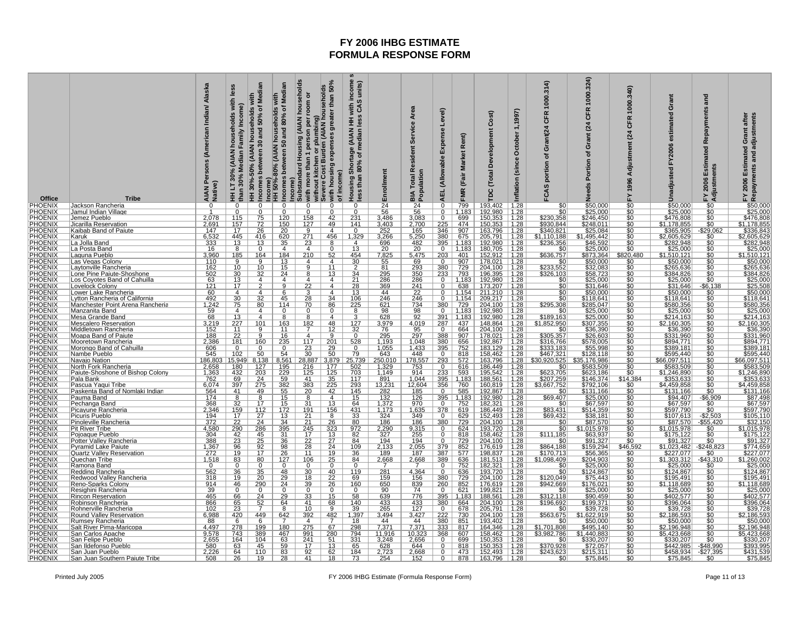| Office                                                                                                                                 | <b>Tribe</b>                                              | Alaska<br>Persons (American Indian/<br>AIAN P<br>Native) | les<br>with<br>Income)<br>households<br>Family<br><b>AIAN</b><br>Median<br>HH LT 30%<br>than 30% | households with<br>0 and 50% of Median<br>30 and<br>HH 30%-50% (AIAN<br>Incomes between | Median<br>with<br>৳<br>Income)<br>HH 50%-80% (AIAN households<br>Incomes between 50 and 80% of | (AIAN households<br>Income)<br>Substanded Housing (AIAN households<br>O without kitchen or plumbing)<br>Severe Cost Burden (AIAN households<br>Severe Cost Burden (AIAN households | income<br>greater than 50%<br>units)<br>ဖ<br>with<br>CAS<br>SS <sub>O</sub><br>je (AIAN  <br>median  <br>with housing expenses<br>Shortage (<br>180% of me<br>of income)<br>less than<br>Housing | Enrollme                     | Service Area<br><b>Total Resident</b><br><b>BIA Total Report</b> | yel)<br>ق<br>Expense<br><b>AEL</b> (Allowable                 | Rent)<br>(Fair Market<br><b>FMR</b> | Cost)<br>Development<br>Total<br>TDC.        | 1,1997)<br>October<br>Inflation (since | 1000.314<br><b>CFR</b><br>Grant(24<br>৳<br>portion<br>FCAS | 1000.324)<br>CFR<br>(24)<br>rant<br>ပ<br>৳<br>Portion | 1000.340)<br>CFR<br>(24)<br>Adjustment<br>FY1996 | rant<br>Ō<br>टु<br>estimat<br>FY2006<br>Unadjusted | and<br>Repayments<br><b>led</b><br>Estimat<br>Adjustments<br>2006<br>Σ, | Grant after<br>Repayments and adjustments<br>g<br>Estimat<br>2006                                                          |
|----------------------------------------------------------------------------------------------------------------------------------------|-----------------------------------------------------------|----------------------------------------------------------|--------------------------------------------------------------------------------------------------|-----------------------------------------------------------------------------------------|------------------------------------------------------------------------------------------------|------------------------------------------------------------------------------------------------------------------------------------------------------------------------------------|--------------------------------------------------------------------------------------------------------------------------------------------------------------------------------------------------|------------------------------|------------------------------------------------------------------|---------------------------------------------------------------|-------------------------------------|----------------------------------------------|----------------------------------------|------------------------------------------------------------|-------------------------------------------------------|--------------------------------------------------|----------------------------------------------------|-------------------------------------------------------------------------|----------------------------------------------------------------------------------------------------------------------------|
| PHOENIX<br>PHOENIX<br>PHOENIX<br>PHOENIX<br>PHOENIX                                                                                    | Jackson Rancheria<br>Jamul Indian Village                 |                                                          | ŋ                                                                                                |                                                                                         | U                                                                                              | $\overline{\Omega}$                                                                                                                                                                | $\Omega$                                                                                                                                                                                         | 24<br>56                     | $\frac{24}{56}$                                                  | $\overline{0}$                                                | $\frac{799}{1,183}$                 | 193,402<br>192,980                           | $\frac{1.28}{1.28}$                    |                                                            | \$50,000<br>\$25,000                                  | $\frac{1}{50}$                                   | \$50,000<br>\$25,000                               |                                                                         | \$50,000<br>\$25,000                                                                                                       |
|                                                                                                                                        | Jemez Pueblo                                              | 2,078                                                    | 115                                                                                              | $\overline{75}$                                                                         | 120                                                                                            | 158                                                                                                                                                                                | 42<br>231                                                                                                                                                                                        | 3,486                        | 3,083                                                            | $\overline{0}$                                                | 699                                 | 150,353                                      | 1.28                                   | \$230,358                                                  | \$246,450                                             | Ŝ0                                               | \$476,808                                          |                                                                         |                                                                                                                            |
|                                                                                                                                        | <u>Jicarilla Reservation</u><br>Kaibab Band of Paiute     | 2,691<br>147                                             | 157<br>17                                                                                        | 72<br>26                                                                                | 150                                                                                            | 127<br>9                                                                                                                                                                           | 49<br>141<br>$\mathbf 0$                                                                                                                                                                         | 3,403                        | 2,700                                                            | 225<br>346                                                    | 474<br>907                          | 150,353 1.28<br>163,796 1.28<br>205,791 1.28 |                                        | $\frac{$930,844}{$340,821}$                                | $\frac{$248,011}{$25,084}$                            |                                                  | \$1,178,855                                        | <u>\$29,062</u>                                                         | \$476,808<br>\$1,178,855<br>\$336,843<br>\$2,605,629                                                                       |
|                                                                                                                                        | <u>Karuk</u>                                              | 6,532                                                    | 445                                                                                              | 416                                                                                     | $\frac{20}{620}$<br>35                                                                         | 271                                                                                                                                                                                | 1,329<br>456                                                                                                                                                                                     | $\frac{252}{3,266}$          | $\frac{165}{5,250}$                                              | 380                                                           | 675                                 |                                              |                                        |                                                            |                                                       | \$0                                              | \$365,905<br>\$2,605,629                           | \$0                                                                     |                                                                                                                            |
| <b>PHOENIX</b><br><b>PHOENIX</b>                                                                                                       | <u>La Jolla Band</u><br>La Posta Band                     | 333<br>16                                                | 13<br>8                                                                                          | 13<br>0                                                                                 | 4                                                                                              | 23<br>$\overline{4}$                                                                                                                                                               | $\overline{4}$<br>8<br>$\frac{13}{454}$<br>$\Omega$                                                                                                                                              | 696<br>$\frac{20}{7,825}$    | $\frac{482}{20}$<br>5,475                                        | $\frac{395}{0}$                                               | 1,183<br>1,183                      | 192,980 1.28<br>180,705 1.28                 |                                        | $\frac{$236,356}{$0}$                                      | \$46,592<br>\$25,000                                  | $rac{$0}{$0}$                                    | \$282,948                                          |                                                                         | $\frac{$2882,948}{$25,000}$                                                                                                |
| PHOENIX                                                                                                                                | Laquna Pueblo                                             | 3,960<br>110                                             | 185<br>9                                                                                         | 164<br>9                                                                                | 184<br>13                                                                                      | 210<br>$\overline{4}$                                                                                                                                                              | $\overline{52}$<br>4                                                                                                                                                                             |                              |                                                                  | $\frac{203}{0}$                                               | 401                                 | 152,912                                      | 1.28                                   | <u>\$636,757</u><br>\$0                                    | \$873,364                                             | \$820,480<br>\$0                                 | \$1,510,121                                        |                                                                         |                                                                                                                            |
| PHOENIX<br>PHOENIX<br>PHOENIX                                                                                                          | <u>Las Veqas Colony</u><br>Laytonville Rancheria          | 162                                                      | $\overline{10}$                                                                                  | 10                                                                                      | 15                                                                                             | 9                                                                                                                                                                                  | $rac{30}{2}$<br>11                                                                                                                                                                               | $\frac{55}{81}$              | $\frac{69}{293}$<br>350                                          | 380                                                           | $\frac{907}{729}$                   | 178,021<br>204,100                           | $\frac{1.28}{1.28}$                    | \$233,552<br>\$326,103                                     | \$50,000<br>\$32,083                                  |                                                  | $\frac{$50,000}{$265,636}$                         | $\frac{$0}{$0}$                                                         | \$50,000<br>\$265,636                                                                                                      |
|                                                                                                                                        | Lone Pine Paiute-Shoshone<br>Los Coyotes Band of Cahuilla | 502<br>63                                                | 30<br>13                                                                                         | $\overline{32}$<br>$\overline{a}$                                                       | 24<br>4                                                                                        | 8<br>$\overline{4}$                                                                                                                                                                | 34<br>13<br>$\overline{4}$<br>21                                                                                                                                                                 | 295<br>286                   | 286                                                              | 233<br>$\mathbf 0$                                            | 793<br>1,183                        | 196,395<br>192,980                           | 1.28<br>1.28                           | \$0                                                        | \$58,723<br>\$25,000                                  | \$0                                              | \$384,826<br>\$25,000                              | \$0<br>$\overline{50}$                                                  | \$384,826                                                                                                                  |
| PHOENIX<br>PHOENIX<br>PHOENIX                                                                                                          | Lovelock Colony                                           | 121                                                      | 17                                                                                               |                                                                                         |                                                                                                | 22                                                                                                                                                                                 | 28<br>$\overline{4}$                                                                                                                                                                             | 369                          | $\frac{241}{22}$                                                 |                                                               | 638                                 | 173,207                                      | 1.28                                   |                                                            | \$31,646                                              | \$0<br>\$0<br>\$0<br>\$0                         | \$31,646<br>\$50,000                               | $\frac{6,138}{0}$                                                       | $\frac{$25,000}{$25,508}$                                                                                                  |
|                                                                                                                                        | Lower Lake Rancheria<br>Lytton Rancheria of California    | 60<br>492                                                | 4<br>30 <sup>2</sup>                                                                             | 32                                                                                      | 45                                                                                             | 3<br><u>28</u>                                                                                                                                                                     | 13<br>$\overline{4}$<br>34                                                                                                                                                                       | 44<br>246                    | 246                                                              | $\mathbf{0}$                                                  | 1,154<br>1,154                      | 211,210<br>209,217                           | 1.28<br><u>1.28</u>                    | $\overline{\$0}$<br>\$0                                    | \$50,000<br>\$118,641                                 | \$0                                              | \$118,641                                          |                                                                         |                                                                                                                            |
| PHOENIX<br>PHOENIX<br>PHOENIX                                                                                                          | Manchester Point Arena Rancheria                          | <u>1,242</u>                                             | <u>75</u>                                                                                        | 80                                                                                      | <u> 114 </u>                                                                                   | <u>70</u>                                                                                                                                                                          | $\frac{106}{225}$<br>86                                                                                                                                                                          | <u>621</u>                   | $\frac{734}{98}$                                                 | $\frac{380}{0}$                                               | 729                                 | 204,100                                      | 1.28                                   | \$295,308                                                  | <u>\$285,047</u>                                      |                                                  | \$580,356                                          |                                                                         | \$118,641<br>\$580,356<br>\$25,000                                                                                         |
|                                                                                                                                        | <u>Manzanita Band</u><br><u>Mesa Grande Band</u>          | 59<br>68                                                 | $\overline{4}$                                                                                   | 4<br>$\overline{4}$                                                                     | 0                                                                                              | $\mathbf 0$<br>8                                                                                                                                                                   | $\overline{0}$<br>$\overline{8}$<br>4                                                                                                                                                            | 98<br>628                    |                                                                  |                                                               | 1,183                               | 192,980<br>192,980                           | 1.28                                   | \$C                                                        | \$25,000                                              |                                                  | \$25,000<br>\$214,163                              | \$0                                                                     | <u>\$214,163</u>                                                                                                           |
| PHOENIX<br>PHOENIX<br>PHOENIX<br>PHOENIX<br>PHOENIX<br>PHOENIX                                                                         | <b>Mescalero Reservation</b>                              | $\frac{3,219}{152}$                                      | $\frac{13}{227}$                                                                                 | 101                                                                                     | $\frac{163}{11}$                                                                               | $\frac{182}{7}$                                                                                                                                                                    | $\frac{3}{127}$<br>$\frac{127}{32}$<br>$\frac{48}{12}$                                                                                                                                           | 3,979<br>76                  | $\frac{92}{4,019}$                                               | $\frac{391}{287}$                                             | $\frac{1,183}{437}$                 | 148,864                                      | $\frac{1.28}{1.28}$<br>1.28            | \$189,163<br>\$1,852,950<br>\$0                            | \$25,000<br>\$307,355<br>\$36,390                     | $\frac{$0}{$0}$                                  | \$2,160,305                                        |                                                                         | 2,160,305<br>\$36,390                                                                                                      |
|                                                                                                                                        | Middletown Rancheria<br>Moapa Band of Paiute              | 188                                                      |                                                                                                  | 9<br>q                                                                                  | 16                                                                                             | 4                                                                                                                                                                                  | $\overline{9}$<br>$\overline{0}$                                                                                                                                                                 | 295                          | 297                                                              |                                                               | 664<br>907                          | 204,100<br>178,021                           | 1.28                                   |                                                            | \$26,603                                              |                                                  |                                                    | \$0                                                                     |                                                                                                                            |
|                                                                                                                                        | <u>Mooretown Rancheria</u>                                | 2,386                                                    | $\frac{22}{181}$                                                                                 | 160                                                                                     | 235                                                                                            | 117                                                                                                                                                                                | 201<br>528                                                                                                                                                                                       |                              | 1,048                                                            | $\frac{388}{380}$                                             | 656                                 | 192,867                                      | 1.28                                   |                                                            | \$578,005<br>\$55,998                                 |                                                  | \$331,960<br>\$894,771                             |                                                                         |                                                                                                                            |
|                                                                                                                                        | <u> Morongo Band of Cahuilla</u><br>Nambe Pueblo          | 606<br>545                                               | 0<br>102                                                                                         | 50                                                                                      | 54                                                                                             | $\frac{23}{30}$                                                                                                                                                                    | $\frac{29}{50}$<br>79                                                                                                                                                                            | $\frac{1,193}{1,055}$<br>643 | 1,433<br>448                                                     | $\frac{395}{0}$                                               | 818                                 | 183,129<br>158,462                           | $\frac{1.28}{1.28}$                    | \$305,357<br>\$316,766<br>\$333,183<br>\$467,321           | \$128,118                                             | \$0<br>\$0<br>\$0<br>\$0                         | \$389,181<br>\$595,440                             |                                                                         |                                                                                                                            |
| PHOENIX<br>PHOENIX<br>PHOENIX<br>PHOENIX<br>PHOENIX<br>PHOENIX                                                                         | <u>Navajo Nation</u>                                      | 186,803                                                  | 15,949                                                                                           | 8,138                                                                                   | 8,561                                                                                          | 28,887                                                                                                                                                                             | 3,879 25,739                                                                                                                                                                                     | 250,010                      | 178,557                                                          |                                                               |                                     | 163,796   1.28                               |                                        | \$30,920,525                                               | \$35,176,986                                          | \$0                                              | \$66,097,511                                       |                                                                         | $\frac{5331,960}{\$894,771}$ $\frac{5389,181}{\$595,440}$ $\frac{566,097,511}{\$583,509}$ $\frac{51,246,890}{\$1,246,893}$ |
|                                                                                                                                        | North Fork Rancheria<br>Paiute-Shoshone of Bishop Colony  | 2,658<br>1,363                                           | $\frac{180}{432}$ $\frac{69}{397}$                                                               |                                                                                         |                                                                                                | $\frac{216}{125}$<br>$\frac{41}{383}$                                                                                                                                              | $\frac{502}{703}$<br><u>177  </u>                                                                                                                                                                | $\frac{1,329}{1,149}$        | $\frac{753}{914}$                                                | $\frac{293}{233}$<br>$\frac{233}{395}$<br>$\frac{356}{0}$     | $\frac{572}{616}$                   | 186,449<br>186,449<br>195,542<br>188,561     | 1.28<br> 1.28                          |                                                            | \$583,509<br>\$623,186                                | $\frac{\frac{36}{100}}{\frac{100}{100}}$         | \$583,509<br>\$1,246,890                           |                                                                         |                                                                                                                            |
|                                                                                                                                        | <u>Pala Bank</u>                                          | 762                                                      |                                                                                                  | $\frac{203}{24}$<br>275                                                                 | $\frac{229}{59}$<br>382                                                                        |                                                                                                                                                                                    | $\frac{125}{35}$<br>117                                                                                                                                                                          | 891<br>13,231                | 1,044                                                            |                                                               | <u>1,183</u>                        |                                              |                                        | \$623,705<br>\$207,259<br>\$3,667,752                      | $\frac{$146,374}{$792,106}$                           |                                                  | $\frac{$353,633}{$4,459,858}$                      |                                                                         | \$353,633<br>4,459,858                                                                                                     |
|                                                                                                                                        | Pascua Yaqui Tribe<br>Paskenta Band of Nomlaki Indian     | 6,074<br>564                                             | 41                                                                                               | 49                                                                                      | 55                                                                                             | 20                                                                                                                                                                                 | $\frac{11}{293}$<br>145<br>42                                                                                                                                                                    | 282                          | 12,604<br>185                                                    |                                                               | 760<br>585                          | 160,819<br>192,867                           | $\frac{1.28}{1.28}$                    | \$0                                                        | \$131,166                                             | \$0                                              | \$131,166                                          | $\frac{60}{100}$                                                        | \$131,166                                                                                                                  |
|                                                                                                                                        | Pauma Band                                                | 174                                                      | 8                                                                                                |                                                                                         | 15                                                                                             | 8                                                                                                                                                                                  | $\overline{4}$<br>15                                                                                                                                                                             | $\frac{132}{1.372}$          | $\frac{126}{970}$                                                | 395                                                           | $\frac{1,183}{752}$                 | 192,980                                      | 1.28                                   | \$69,407                                                   |                                                       |                                                  | \$94,407                                           |                                                                         |                                                                                                                            |
| PHOENIX<br>PHOENIX<br>PHOENIX                                                                                                          | Pechanga Band<br>Picayune Rancheria                       | 368<br>2,346                                             | $\frac{32}{159}$                                                                                 | 17<br>112                                                                               | 15<br>172                                                                                      | 31<br>191                                                                                                                                                                          | 13<br>64<br>431<br>156                                                                                                                                                                           | 1,173                        | 1,635                                                            | $\overline{0}$<br>378                                         | 619                                 | 182,<br>186,449                              | 1.28<br>1.28                           | \$83,431                                                   | \$25,000<br>\$67,597<br>\$514,359                     | \$0<br>\$0<br>\$0<br>\$0                         | \$597,790                                          | $\frac{-$6,909}{$0}$                                                    | \$87,498<br>\$87,597<br>\$67,597                                                                                           |
|                                                                                                                                        | Picuris Pueblo                                            | 194                                                      | 17                                                                                               | $\frac{27}{24}$                                                                         | <u>13</u>                                                                                      | $\frac{21}{1}$                                                                                                                                                                     | 33<br>$\frac{8}{2}$                                                                                                                                                                              | 324                          | 349                                                              | $\overline{0}$                                                | 629                                 | 152,493                                      | 1.28                                   | \$69,432                                                   | \$38,181<br>\$87,570                                  | \$0                                              | \$107,613                                          | $-$2,503$                                                               |                                                                                                                            |
| PHOENIX<br>PHOENIX<br>PHOENIX                                                                                                          | <u>Pinoleville Rancheria</u><br><b>Pit River Tribe</b>    | 372<br>4,580                                             | $\frac{22}{290}$                                                                                 | 286                                                                                     | 34<br>395                                                                                      | $\frac{21}{245}$                                                                                                                                                                   | 80<br>$\frac{26}{323}$<br>972                                                                                                                                                                    | $\frac{186}{2,290}$          | 186<br>9,315                                                     | $\frac{380}{0}$                                               | 729<br>624                          | 204,100<br>193,720                           | 1.28<br>1.28                           | \$0                                                        | \$1,015,978                                           | \$0<br>\$0                                       | \$87,570<br>\$1,015,978                            | $\frac{555,420}{0}$                                                     | $\frac{$105.110}{$105.110}$<br>$\frac{$32.150}{$32.150}$                                                                   |
|                                                                                                                                        | Pojoaque Pueblo                                           |                                                          |                                                                                                  | $\frac{45}{25}$                                                                         | $\frac{31}{36}$                                                                                | 17                                                                                                                                                                                 | $\frac{13}{27}$<br>$\frac{82}{84}$                                                                                                                                                               | $\frac{327}{194}$            | $\frac{255}{194}$                                                |                                                               | $\frac{818}{729}$                   |                                              | $\frac{1.28}{1.28}$                    | <u>\$111,185</u>                                           | \$63,937<br>\$91,327                                  | $\frac{$0}{$0}$                                  | $\frac{$175,122}{$91,327}$                         | $\frac{$0}{$0}$                                                         | \$175,122<br>\$91,327                                                                                                      |
| PHOENIX<br>PHOENIX<br>PHOENIX                                                                                                          | Potter Valley Rancheria<br>Pyramid Lake Paiute            | $\frac{304}{388}$<br>1,367                               | $\frac{42}{23}$<br>96                                                                            | $\overline{92}$                                                                         | 98                                                                                             | $\frac{22}{28}$                                                                                                                                                                    | $\overline{24}$<br>109                                                                                                                                                                           | 2,133                        | 2,055                                                            | 379                                                           | 852                                 | $\frac{158,462}{204,100}$                    | 1.28                                   | \$864,188                                                  | \$159,294                                             | \$46,592                                         | \$1,023,482                                        | $-$ \$248,823                                                           | \$774,659                                                                                                                  |
|                                                                                                                                        | Quartz Valley Reservation                                 | 272                                                      | <u>19</u>                                                                                        | 17                                                                                      | $\overline{26}$                                                                                | 11                                                                                                                                                                                 | 19<br>36                                                                                                                                                                                         | 189                          | 187                                                              | 387                                                           | 577                                 | 198,837 1.28                                 |                                        | \$170,713                                                  | \$56,365<br>\$204,903                                 |                                                  | \$227,077                                          | \$0                                                                     | \$227,077                                                                                                                  |
|                                                                                                                                        | Quechan Tribe<br>Ramona Band                              | 1,518<br>0                                               | 83<br>$\mathbf{0}$                                                                               | 80<br>0                                                                                 | 127<br>0                                                                                       | 106<br>$\mathbf 0$                                                                                                                                                                 | 25<br>84<br>0<br>$\mathbf 0$                                                                                                                                                                     | 2,668<br>$\overline{7}$      | 2,668                                                            | 389<br>$\overline{0}$                                         | 636                                 | 181,513   1.28<br>752 182,321 1.28           |                                        | \$1,098,409<br>\$0                                         | $rac{25,000}{25,000}$                                 | $\frac{$0}{$0}{$0}$                              | ,303,312<br>\$1<br>\$25,000                        | <u>-\$43,310 </u><br>\$0                                                | ,260,002<br>\$25,000                                                                                                       |
| PHOENIX<br>PHOENIX<br>PHOENIX<br>PHOENIX                                                                                               | Redding Rancheria                                         | 562                                                      | $\frac{36}{19}$                                                                                  | $\frac{35}{20}$                                                                         | 48                                                                                             | 30                                                                                                                                                                                 | 119                                                                                                                                                                                              | 281                          | 4,364                                                            | 0                                                             | 636                                 | 193,720   1.28                               |                                        | \$0                                                        | \$124,867                                             | $\frac{$0}{$0}$                                  | \$124,867                                          | $\frac{10}{50}$                                                         | \$124,867<br>\$195,491                                                                                                     |
| <b>PHOENIX</b>                                                                                                                         | Redwood Valley Rancheria<br><u> Reno-Sparks Colony</u>    | 318<br>914                                               | 46                                                                                               | 290                                                                                     | $\frac{29}{24}$                                                                                | 18<br>$\overline{39}$                                                                                                                                                              | $\frac{40}{22}$<br>$\frac{26}{26}$<br>69<br>160                                                                                                                                                  | 159<br>650                   | 156<br>839                                                       | 380<br>260                                                    | 729<br>852                          | 204,100   1.28<br>176,619 1.28               |                                        | \$120,049<br>\$942,669                                     | \$75,443<br>\$176,021                                 |                                                  | \$195,491<br>\$1,118,689                           |                                                                         | \$1,118,689                                                                                                                |
|                                                                                                                                        | <u>Resighini Rancheria</u>                                | 39                                                       | 0                                                                                                | $\overline{0}$                                                                          | 0                                                                                              | 0                                                                                                                                                                                  | 0<br>$\overline{0}$                                                                                                                                                                              | 90                           | <u>74</u>                                                        | $\overline{0}$                                                | 621                                 | 199,821                                      | 1.28                                   | \$0                                                        | \$25,000                                              |                                                  | <u>\$25,000</u>                                    | $\frac{$0}{$0}$                                                         | $$25,000$<br>$$402,577$                                                                                                    |
|                                                                                                                                        | Rincon Reservation<br>Robinson Rancheria                  | 465<br>866                                               | $\frac{66}{65}$<br>23                                                                            | $\frac{24}{52}$                                                                         | $\frac{29}{64}$                                                                                | $\frac{33}{41}$                                                                                                                                                                    | $\frac{58}{140}$<br>$\frac{15}{68}$                                                                                                                                                              | 639<br>433                   | $\frac{776}{433}$<br>127                                         | $\begin{array}{r}\n 395 \\  380 \\  \hline\n 0\n \end{array}$ | $\frac{1,183}{.}$<br>664            | 188,561<br>204,100<br>205,791                | $\frac{1.28}{1.28}$<br>1.28            | \$312,118<br>\$196,692                                     |                                                       |                                                  | \$402,577<br>\$396,064                             |                                                                         |                                                                                                                            |
| <b>PHOENIX<br/>PHOENIX<br/>PHOENIX<br/>PHOENIX<br/>PHOENIX<br/>PHOENIX<br/>PHOENIX<br/>PHOENIX<br/>PHOENIX<br/>PHOENIX<br/>PHOENIX</b> | <u>Rohnerville Rancheria</u>                              | 102                                                      |                                                                                                  |                                                                                         | $\overline{8}$                                                                                 | 10                                                                                                                                                                                 | $\overline{39}$<br>$\overline{9}$                                                                                                                                                                | 265                          |                                                                  |                                                               | 678                                 |                                              |                                        | \$0                                                        | $\frac{$199.371}{\$39,728}$                           | \$C                                              | \$39,728                                           |                                                                         | $\frac{$402.377}{$396.064$}$ $\$39,728$ $\$2,186.593$ $\$50.000$ $\$2,196,948$                                             |
|                                                                                                                                        | Round Valley Reservation<br><u>Rumsey Rancheria</u>       | 6,988<br>88                                              | 420<br>6                                                                                         | 449                                                                                     | 642                                                                                            | 392<br>$\overline{4}$                                                                                                                                                              | 1,397<br>482<br>18                                                                                                                                                                               | 3,494<br>44                  | 3,427<br>44                                                      | 222                                                           | 730                                 | 204,100<br>193,402                           | 1.28<br>1.28                           | \$563,675                                                  | \$1,622,919<br>\$50,000                               | \$0<br>\$0<br>\$0                                | \$2,186,593<br>\$50,000                            |                                                                         |                                                                                                                            |
|                                                                                                                                        | Salt River Pima-Maricopa                                  | 4.497                                                    | 278                                                                                              | 199                                                                                     | 180                                                                                            | 275                                                                                                                                                                                | 298<br>67                                                                                                                                                                                        | 7,371                        | 7,371                                                            | $\frac{380}{333}$                                             | 817                                 | 164,346                                      | 1.28                                   | \$1,701,808                                                | \$495,140                                             |                                                  | \$2,196,948                                        | $\frac{$0}{$0}$                                                         |                                                                                                                            |
|                                                                                                                                        | San Carlos Apache<br><u>San Felipe Pueblo</u>             | 9,578                                                    | 743                                                                                              | 389                                                                                     | 467                                                                                            | 991                                                                                                                                                                                | 280<br>794                                                                                                                                                                                       | 11,916                       | 10,323                                                           | 368<br>$\mathbf{0}$                                           | 607<br>699                          | 158,462                                      | 1.28                                   | \$3,982,786                                                | \$1,440,883                                           | \$0                                              | \$5,423,668<br>\$330,207                           |                                                                         | \$5,423,668<br>\$330,207<br>\$393,995                                                                                      |
|                                                                                                                                        | San Ildefonso Pueblo                                      | 2,655                                                    | $\frac{164}{63}$                                                                                 | $\frac{104}{45}$                                                                        | $\frac{63}{59}$                                                                                | $\frac{241}{17}$                                                                                                                                                                   | $\frac{331}{65}$<br>$\frac{51}{13}$                                                                                                                                                              | $\frac{3,248}{628}$          | $\frac{2,656}{644}$                                              |                                                               | 818                                 | 150,353 1.28<br>150,353 1.28                 |                                        | \$370,928                                                  | \$330,207<br>\$72,057                                 |                                                  | \$442,985                                          | $-$48,990$                                                              |                                                                                                                            |
| PHOENIX<br>PHOENIX                                                                                                                     | San Juan Pueblo<br>San Juan Southern Paiute Tribe         | $\frac{2,226}{508}$                                      | $\frac{64}{26}$                                                                                  | 110<br>19                                                                               | $\frac{83}{28}$                                                                                | $\frac{92}{41}$                                                                                                                                                                    | $\frac{62}{18}$<br>184<br>$\overline{73}$                                                                                                                                                        | $\frac{2,723}{254}$          | $\frac{2,668}{152}$                                              | $\frac{0}{0}$                                                 |                                     | 473 152,493<br>878 163,796                   | $\frac{1.28}{1.28}$                    | $\frac{$243,623}{$0}$                                      | $$215,311$<br>$$75,845$                               | $\frac{$0}{$0}$                                  | $$458,934$<br>$$75,845$                            | $-$27,395$                                                              | \$431,539<br>\$75,845                                                                                                      |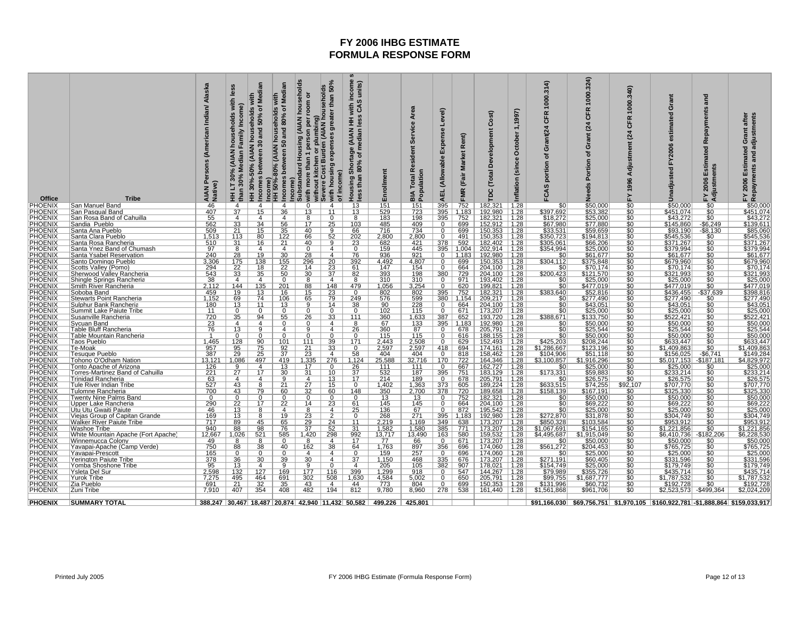| <b>Office</b>                   | <b>Tribe</b>                                                  | Persons (American Indian/ Alaska<br>AIAN P<br>Native) | with<br>Income)<br>holds<br>Family<br>$\leq$<br>ledian<br>₹<br>Σ<br>30%<br>30%<br>5<br>than<br>Ŧ | Medi<br>with<br>৳<br>30%-50% (AIAN households<br>50%<br>and<br>30<br>Incomes between<br>匡 | ॾ<br>Ę<br>Σ<br>৳<br>80%<br>househol<br>and<br>S0<br>80% (AIAN<br>comes<br>Income)<br>HH 50%-<br>Income)<br>≘ | (AIAN households<br>ŏ<br>room<br>ber<br>plumbi<br>person<br>Housing<br>than<br>more<br>with mor<br>without I<br>Severe C<br>Subst | 50%<br>prousenod<br>than<br>greater<br>umbing)<br>(AIAN ho<br>housing expenses<br>kitchen or pl<br>Cost Burden<br>income)<br>with<br>৳ | income<br>units)<br>S<br>with<br>$\ddot{\mathcal{S}}$<br>$\boldsymbol{a}$<br>š ≩<br>je (AIAN<br>median l<br>Shortage<br>৳<br>80%<br>than<br>Housing<br>less | ՟<br>Enrollme                                             | Area<br>Service<br>Resident<br><b>BIA Total I</b><br>Population | yel)<br>Expense<br>(Allowable<br><b>AEL</b> | Rent)<br><b>Market</b><br>(Fair<br>FMR | $\widehat{\mathbf{r}}$<br>ပိ<br>Development<br>Total<br>pc | 1,1997)<br>October<br>(since<br>Inflation | 1000.314<br><b>CFR</b><br>Grant(24<br>৳<br>portion<br>FCAS | .324)<br>1000<br>ĸ<br>ზ<br>$\overline{a}$<br>ō<br>ъ<br>rtion<br>z | 340)<br>1000<br>CFR<br>(24)<br>Adjustment<br>1996<br>모 | Grant<br>estimated<br>FY2006<br>Unadjusted | and<br>Repayments<br><b>a</b><br>timat<br>FY 2006 Estin<br>Adjustments | Grant after<br>Repayments and adjustments<br>Estimated<br>2006<br>놊                      |
|---------------------------------|---------------------------------------------------------------|-------------------------------------------------------|--------------------------------------------------------------------------------------------------|-------------------------------------------------------------------------------------------|--------------------------------------------------------------------------------------------------------------|-----------------------------------------------------------------------------------------------------------------------------------|----------------------------------------------------------------------------------------------------------------------------------------|-------------------------------------------------------------------------------------------------------------------------------------------------------------|-----------------------------------------------------------|-----------------------------------------------------------------|---------------------------------------------|----------------------------------------|------------------------------------------------------------|-------------------------------------------|------------------------------------------------------------|-------------------------------------------------------------------|--------------------------------------------------------|--------------------------------------------|------------------------------------------------------------------------|------------------------------------------------------------------------------------------|
| <b>PHOENIX</b>                  | San Manuel Band                                               | 46                                                    | 4                                                                                                | $\overline{a}$                                                                            | $\overline{4}$                                                                                               | $\Omega$                                                                                                                          | 4                                                                                                                                      | <u> 13</u>                                                                                                                                                  | 151                                                       | $\frac{151}{723}$                                               | 395                                         | 752                                    | 182,321                                                    | 1.28                                      |                                                            | \$50,000<br>\$53,382                                              | sc<br>Sc                                               | \$50,000                                   | $\frac{$0}{$0}$                                                        | \$50,000                                                                                 |
| <b>PHOENI</b><br><b>PHOENIX</b> | San Pasqual Band                                              | 407<br>55                                             | 37<br>4                                                                                          | 15<br>4                                                                                   | 36<br>4                                                                                                      | 13<br>$\overline{8}$                                                                                                              | 11<br>$\mathbf{0}$                                                                                                                     | 13<br>8                                                                                                                                                     | 529<br>183                                                | 198                                                             | 395<br>395                                  | 1,183<br>752                           | 192,980<br>182,321                                         | 1.28<br> 1.28                             | \$397,692<br>\$18,272                                      | \$25,000                                                          | \$0                                                    | \$451,074<br>\$43,272                      | $\overline{50}$                                                        | \$451,074<br>\$43,272                                                                    |
|                                 | San Rosa Band of Cahuilla<br>Sandia Pueblo                    | 562                                                   |                                                                                                  | 34                                                                                        | 56                                                                                                           | 17                                                                                                                                | 25                                                                                                                                     | 103                                                                                                                                                         | 485                                                       | 409                                                             | 0                                           | 699                                    | 152,912   1.28                                             |                                           |                                                            | \$77,880                                                          |                                                        | \$145,860                                  | $-$ \$6,249                                                            | \$139,611                                                                                |
| <b>PHOENIX</b><br>PHOENIX       | Santa Ana Pueblo                                              | 509                                                   | $\frac{33}{21}$                                                                                  | 15                                                                                        | 35                                                                                                           | 40                                                                                                                                | a                                                                                                                                      | 66                                                                                                                                                          | 716                                                       | 734                                                             |                                             | 699                                    | $150,353$   1.28                                           |                                           | $\frac{$67,980}{$33,531}$                                  | \$59,659                                                          | $\frac{\$0}{\$0}$                                      | \$93,190                                   | -\$8,130                                                               | \$85,060<br>\$545,536                                                                    |
| <b>PHOENIX</b>                  | Santa Clara Pueblo                                            | 1,513                                                 | 113                                                                                              | 80                                                                                        | 122                                                                                                          | 66                                                                                                                                | 52                                                                                                                                     | 202                                                                                                                                                         | 2,800                                                     | 2,800                                                           | $\mathbf{0}$                                | 491                                    | $150,353$   1.28                                           |                                           |                                                            | \$194,813                                                         | \$C                                                    | \$545,536                                  | $\overline{50}$                                                        |                                                                                          |
| PHOENIX<br>PHOENIX              | Santa Rosa Rancheria                                          | 510<br>97                                             | 31<br>$\overline{8}$                                                                             | 16<br>$\overline{a}$                                                                      | 21<br>$\overline{4}$                                                                                         | 40<br>$\overline{0}$                                                                                                              | $\overline{9}$<br>$\overline{4}$                                                                                                       | 23                                                                                                                                                          | 682                                                       | 421<br>445                                                      | $\frac{378}{395}$                           | 592                                    | 182,402 1.28<br>202,914 1.28                               |                                           | \$305,061<br>\$354,994                                     | \$66,206<br>\$25,000<br>\$61,677                                  | $\frac{$0}{\$0}$                                       | \$371,267<br>\$379,994<br>\$61,677         | \$0                                                                    | \$371,267<br>\$379,994<br>\$61,677                                                       |
| PHOENIX                         | Santa Ynez Band of Chumash<br>Santa Ysabel Reservation        | $\frac{6}{240}$                                       | $\overline{28}$                                                                                  | 19                                                                                        | 30                                                                                                           | $\overline{28}$                                                                                                                   | $\overline{4}$                                                                                                                         | 0<br>$\overline{76}$                                                                                                                                        | $\frac{159}{936}$                                         | $\frac{1}{921}$                                                 | $\overline{0}$                              | 1.004<br>1,183                         | 192,980                                                    | 1.28                                      | \$C                                                        |                                                                   |                                                        |                                            |                                                                        |                                                                                          |
|                                 | Santo Domingo Pueblo                                          | 3,306                                                 | 175                                                                                              | 138                                                                                       | 155                                                                                                          | 296                                                                                                                               | 20                                                                                                                                     | 392                                                                                                                                                         | 4,492                                                     | 4,807                                                           | 0                                           | 699                                    | 150,353                                                    | 1.28                                      | \$304,112                                                  | \$375,848                                                         | \$0                                                    | \$679,960                                  | \$0                                                                    | \$679,960                                                                                |
| <b>PHOENIX</b><br>PHOENIX       | Scotts Valley (Pomo)                                          | $\frac{294}{543}$                                     | $\frac{22}{33}$                                                                                  | 18                                                                                        | 22                                                                                                           | 14                                                                                                                                | 23                                                                                                                                     | 61                                                                                                                                                          | 147                                                       | 154                                                             |                                             | 664                                    | 204,100                                                    | 1.28                                      | -SC                                                        | \$70,174                                                          |                                                        | \$70,174                                   |                                                                        | \$70,174                                                                                 |
| PHOENIX                         | <b>Sherwood Valley Rancheria</b>                              |                                                       |                                                                                                  | 35                                                                                        | 50                                                                                                           | 30                                                                                                                                | 37                                                                                                                                     | 82                                                                                                                                                          | 393                                                       | 198                                                             | 380                                         | 729                                    | 204,100                                                    | 1.28                                      | \$200,423                                                  | \$121,570                                                         |                                                        | <u>\$321,993</u>                           |                                                                        | \$321,993                                                                                |
| <b>PHOENIX</b><br>PHOENIX       | Shingle Springs Rancheria                                     | 38                                                    | $\overline{4}$                                                                                   | $\overline{4}$                                                                            | $\Omega$                                                                                                     | 8                                                                                                                                 | $\overline{4}$                                                                                                                         | 8                                                                                                                                                           | 310                                                       | 310                                                             | $\Omega$                                    | 971                                    | 193.402                                                    | 1.28                                      | \$0                                                        | \$25,000                                                          | \$C                                                    | \$25,000                                   | $\frac{$0}{$0}$                                                        | \$25,000<br>\$477,019                                                                    |
| <b>PHOENIX</b>                  | Smith River Rancheria<br>Soboba Band                          | 2,112<br>459                                          | 144<br>19                                                                                        | 135<br>13                                                                                 | 201<br>16                                                                                                    | 88<br>15                                                                                                                          | 148<br>23                                                                                                                              | 479<br>$\Omega$                                                                                                                                             | 1,056<br>802                                              | 3,254<br>802                                                    | $\overline{0}$<br>395                       | 620<br>752                             | 199,821<br>182,321                                         | $\overline{11.28}$<br>1.28                | \$383,640                                                  | \$477,019<br>\$52,816                                             |                                                        | \$477,019<br>\$436,455                     | -\$37,639                                                              | \$398,816                                                                                |
|                                 | <b>Stewarts Point Rancheria</b>                               | 1,152                                                 |                                                                                                  | 74                                                                                        | <u>106</u>                                                                                                   | 65                                                                                                                                | 79                                                                                                                                     | 249                                                                                                                                                         | 576                                                       |                                                                 | 380                                         | 1,154                                  | 209,217                                                    | 1.28                                      | <u>\$0</u>                                                 | \$277,490                                                         |                                                        | \$277,490                                  |                                                                        |                                                                                          |
| PHOENIX<br>PHOENIX              | Sulphur Bank Rancheria                                        | 180                                                   | $\frac{69}{13}$                                                                                  | 11                                                                                        | 13                                                                                                           |                                                                                                                                   | 14                                                                                                                                     | 38                                                                                                                                                          | 90                                                        | $\frac{599}{228}$                                               | $\mathbf{0}$                                | 664                                    | 204,100                                                    | $\vert$ 1.28                              |                                                            | \$43,051                                                          | $\frac{$0}{$0}$                                        | \$43,051                                   | $\frac{$0}{$0}$                                                        | \$277,490<br>\$43,051                                                                    |
| PHOENIX                         | Summit Lake Paiute Tribe                                      | 11                                                    | $\overline{0}$                                                                                   | 0                                                                                         | $\Omega$                                                                                                     | 0                                                                                                                                 | $\overline{0}$                                                                                                                         | 0                                                                                                                                                           | 102                                                       | 115                                                             | $\mathbf{0}$                                |                                        | 671   173,207   1.28                                       |                                           | \$0                                                        | \$25,000                                                          | \$C                                                    | \$25,000                                   | $\overline{50}$                                                        | \$25,000                                                                                 |
| PHOENIX<br>PHOENIX              | Susanville Rancheria                                          | 720                                                   | 35                                                                                               | 94                                                                                        | 55                                                                                                           | 26                                                                                                                                | 33                                                                                                                                     | 111                                                                                                                                                         | 360                                                       | 1,633                                                           | 387                                         | 652                                    | 193,720                                                    | $\vert$ 1.28                              | \$388,671                                                  | \$133,750                                                         | <u>\$0</u>                                             | <u>\$522,421</u>                           | <u>\$0</u>                                                             | \$522,421                                                                                |
|                                 | <b>Sycuan Band</b>                                            | <u>23</u>                                             | $\overline{4}$                                                                                   | $\overline{a}$                                                                            |                                                                                                              | O                                                                                                                                 | 4                                                                                                                                      | 8                                                                                                                                                           | 67                                                        | <u>133</u>                                                      | 395                                         | 1.183                                  | 192.980                                                    | $\vert$ 1.28                              | $\frac{$0}{$0}$                                            | <u>\$50,000</u>                                                   |                                                        | \$50,000                                   |                                                                        | \$50,000<br>\$25,544                                                                     |
| <b>PHOENIX</b><br>PHOENIX       | Table Bluff Rancheria                                         | 76<br>$\overline{1}$                                  | 13<br>$\overline{0}$                                                                             | 9                                                                                         | 4                                                                                                            | 9<br>$\Omega$                                                                                                                     | $\overline{4}$<br>$\Omega$                                                                                                             | 26<br>$\Omega$                                                                                                                                              | 360<br>115                                                | 87                                                              | $\overline{0}$<br>$\Omega$                  | 678<br>616                             | 205,791                                                    | 1.28                                      |                                                            | \$25,544<br>\$50,000                                              | \$C                                                    | \$25,544                                   | \$0                                                                    |                                                                                          |
| PHOENIX                         | <b>Table Mountain Rancheria</b><br>Taos Pueblo                | 1,465                                                 |                                                                                                  | 90                                                                                        | 101                                                                                                          | 111                                                                                                                               | 39                                                                                                                                     | 171                                                                                                                                                         |                                                           | $\frac{115}{2,508}$ $2,597$                                     | 0                                           | 629                                    | 188,155<br>152,493                                         | $\frac{1.28}{1.28}$                       | $rac{$0}{1}$<br>\$425,203                                  | \$208,244                                                         | $\frac{$0}{\$0}$                                       | \$50,000<br>\$633,447                      |                                                                        | \$50,000<br>\$633,447                                                                    |
| <b>PHOENIX</b>                  | Te-Moak                                                       |                                                       | $\frac{128}{95}$<br>29                                                                           |                                                                                           |                                                                                                              |                                                                                                                                   | 33                                                                                                                                     |                                                                                                                                                             | $\frac{2,443}{2,597}$                                     |                                                                 | 418                                         | 694                                    | 174,161                                                    | 1.28                                      | \$1,286,667                                                | \$123,196                                                         |                                                        | \$1,409,863                                |                                                                        |                                                                                          |
| PHOENIX                         | Tesuque Pueblo                                                | $\frac{957}{387}$                                     |                                                                                                  | $\frac{75}{25}$                                                                           | $\frac{92}{37}$                                                                                              | $\frac{21}{23}$                                                                                                                   | $\overline{4}$                                                                                                                         | 58                                                                                                                                                          | 404                                                       | 404                                                             | $\overline{0}$                              | 818                                    | 158,462                                                    | 1.28                                      | \$104,906                                                  | \$51,118                                                          | $\overline{\$0}$                                       | \$156,025                                  | $-$6,741$                                                              | \$1,409,863<br>\$149,284                                                                 |
| <b>PHOENIX</b><br>PHOENIX       | Tohono O'Odham Nation                                         | 13,121                                                | 1,086                                                                                            | 497                                                                                       | 419                                                                                                          | 1,335                                                                                                                             | 276                                                                                                                                    | 1,124                                                                                                                                                       | 25,588                                                    | 32,716                                                          | 170                                         | 722                                    | 164,346   1.28                                             |                                           | \$3,100,857                                                | \$1,916,296                                                       | $\overline{\$0}$                                       | \$5,017,153                                | $-$187,181$                                                            | \$4,829,972                                                                              |
| PHOENIX                         | Tonto Apache of Arizona                                       | 126                                                   | 9                                                                                                | $\overline{4}$<br>17                                                                      | 13                                                                                                           | 17                                                                                                                                | $\Omega$<br>10                                                                                                                         | $\frac{26}{37}$                                                                                                                                             | 111<br>532                                                | 111<br>187                                                      | $^{\circ}$                                  | 667                                    | 162,727                                                    | 1.28                                      | \$0                                                        | \$25,000<br>\$59,883                                              | šč                                                     | \$25,000                                   | \$0                                                                    | \$25,000<br>\$233,214                                                                    |
| PHOENIX                         | Torres-Martinez Band of Cahuilla<br><b>Trinidad Rancheria</b> | 221                                                   | 27<br>$\overline{4}$                                                                             | 4                                                                                         | 30<br>q                                                                                                      | 31<br>$\overline{4}$                                                                                                              | 13                                                                                                                                     | 17                                                                                                                                                          | 214                                                       | 189                                                             | 395<br>$\overline{0}$                       | 751<br>678                             | 183,129<br>205,791                                         | $\vert$ 1.28<br>1.28                      | \$173,331<br>\$0                                           | \$26,575                                                          | $\overline{\$0}$                                       | \$233,214<br>\$26,575                      | \$0                                                                    |                                                                                          |
| <b>PHOENIX</b>                  | Tule River Indian Tribe                                       | $\frac{63}{527}$<br>700                               |                                                                                                  |                                                                                           | $\overline{21}$                                                                                              |                                                                                                                                   | 15                                                                                                                                     | $\Omega$                                                                                                                                                    | 1,402                                                     |                                                                 | 373                                         | 605                                    | 189,224                                                    |                                           |                                                            | \$74,255                                                          |                                                        |                                            |                                                                        | $\frac{$26,575}{$707,770}$ \$325,330                                                     |
| PHOENIX                         | Tulomne Rancheria                                             |                                                       | $\frac{43}{43}$                                                                                  | 79                                                                                        | 60                                                                                                           | $\frac{27}{32}$                                                                                                                   | 60                                                                                                                                     | 148                                                                                                                                                         | 350                                                       | $\frac{1,363}{2,700}$                                           | 378                                         | 720                                    | 189,658                                                    | $\frac{1.28}{1.28}$                       | \$633,515<br>\$158,139                                     | \$167,191                                                         | \$92,107<br>\$0                                        | \$707,770<br>\$325,330                     |                                                                        |                                                                                          |
| PHOENIX                         | <b>Twenty Nine Palms Band</b>                                 | $\Omega$                                              | $\Omega$                                                                                         | $\Omega$                                                                                  | $\Omega$                                                                                                     | $\mathbf{0}$                                                                                                                      | $\Omega$                                                                                                                               | <sup>n</sup>                                                                                                                                                | 13                                                        | 13                                                              | $\Omega$                                    | 752                                    | 182,321                                                    | 1.28                                      | \$0                                                        | \$50,000<br>\$69,222                                              | \$0                                                    | \$50,000                                   | \$0                                                                    | \$50,000                                                                                 |
| <b>PHOENIX</b>                  | Upper Lake Rancheria                                          | 290                                                   | 22                                                                                               | 17                                                                                        | 22                                                                                                           | 14                                                                                                                                | 23                                                                                                                                     | 61                                                                                                                                                          | 145                                                       | 145                                                             |                                             | 664                                    | 204,100   1.28                                             |                                           | \$C                                                        |                                                                   |                                                        | \$69,222                                   |                                                                        | \$69,222                                                                                 |
| <b>PHOENIX</b><br>PHOENIX       | Utu Utu Gwaiti Paiute<br>Viejas Group of Capitan Grande       | 46<br>169                                             | 13<br><u>13</u>                                                                                  | 8<br>8                                                                                    | 4<br>19                                                                                                      | 8<br><u>23</u>                                                                                                                    | 4<br>$\mathcal{P}$                                                                                                                     | 25<br>$\Omega$                                                                                                                                              | 136<br>268                                                | 67<br>271                                                       | $\Omega$<br>395                             | 872<br>1,183                           | 195,542 1.28<br>192,980                                    | $\vert$ 1.28                              | \$0                                                        | \$25,000                                                          | \$C                                                    | \$25,000<br>\$304,749                      | \$0                                                                    | \$25,000                                                                                 |
| <b>PHOENIX</b>                  | <b>Walker River Paiute Tribe</b>                              | 717                                                   | 89                                                                                               | 45                                                                                        | 65                                                                                                           | 29                                                                                                                                | 24                                                                                                                                     | 11                                                                                                                                                          | 2,219                                                     | 1,169                                                           | 349                                         | 638                                    | 173,207   1.28                                             |                                           | \$272,870<br>\$850,328                                     | \$31,878<br>\$103,584                                             | $\frac{$0}{\$0}$                                       | \$953,912                                  | $\frac{$0}{$0}$                                                        | \$304,749<br>\$953,912                                                                   |
| PHOENIX                         | <b>Washoe Tribe</b>                                           | 940                                                   | 88                                                                                               | 98                                                                                        | 76                                                                                                           | $\overline{37}$                                                                                                                   | 52                                                                                                                                     | $\overline{31}$                                                                                                                                             | 1,582                                                     | 1,580                                                           | 385                                         | 771                                    | 173,207                                                    | $\sqrt{1.28}$                             | \$1,067,691                                                | \$154,165                                                         | \$C                                                    | \$1,221,856                                | \$0                                                                    | \$1,221,856                                                                              |
| PHOENIX<br>PHOENIX              | White Mountain Apache (Fort Apache)                           | 12,667                                                | 1,026                                                                                            | 521                                                                                       | 585                                                                                                          | 1,420                                                                                                                             | 298                                                                                                                                    | $\frac{992}{17}$                                                                                                                                            | $\frac{13,717}{77}$                                       | 13,490                                                          | 163                                         | 580                                    | 159,532 1.28<br>173,207 1.28                               |                                           | \$4,495,687                                                | \$1,915,049<br>\$50,000                                           | <u>\$0</u>                                             | \$6,410,736 - \$182,206                    |                                                                        | $\frac{$6,228,530}{$50,000}$                                                             |
|                                 | <b>Winnemucca Colony</b>                                      | 49                                                    | 8                                                                                                | 8                                                                                         | <sup>0</sup>                                                                                                 | 8                                                                                                                                 | $\overline{4}$                                                                                                                         |                                                                                                                                                             |                                                           | <u>66</u>                                                       | $\Omega$                                    | 671                                    |                                                            |                                           |                                                            |                                                                   |                                                        | \$50,000                                   |                                                                        |                                                                                          |
| PHOENIX<br><b>PHOENIX</b>       | Yavapai-Apache (Camp Verde)                                   | 750<br>165                                            | 88<br>$\mathbf{0}$                                                                               | 38<br>$\Omega$                                                                            | 40<br><sup>o</sup>                                                                                           | 162<br>4                                                                                                                          | 38<br>4                                                                                                                                | 64<br>0                                                                                                                                                     | 1,763<br>159                                              | 897                                                             | 356<br>$\mathbf{0}$                         | 696<br>696                             | 174,060<br>174,060                                         | $\vert$ 1.28<br>1.28                      | \$561,272<br>\$0                                           | \$204,453                                                         | \$C<br>\$0                                             | \$765,725                                  | \$0                                                                    | \$765,725                                                                                |
| PHOENIX                         | Yavapai-Prescott<br>Yerington Paiute Tribe                    | 378                                                   | 36                                                                                               | 30                                                                                        | 39                                                                                                           | 30                                                                                                                                | 4                                                                                                                                      | 37                                                                                                                                                          | 1.150                                                     | <u>257</u><br>468                                               | 335                                         | 676                                    | 173,207                                                    | 1.28                                      | \$271,191                                                  | \$25,000<br><u>\$60,405</u>                                       |                                                        | $\frac{$25,000}{$331,596}$                 |                                                                        | \$25,000<br>\$331,596                                                                    |
| <b>PHOENIX</b>                  | <u>Yomba Shoshone Tribe</u>                                   | 95                                                    | 13                                                                                               | $\overline{4}$                                                                            | 9                                                                                                            | 9                                                                                                                                 | $\Omega$                                                                                                                               | 4                                                                                                                                                           | 205                                                       | 105                                                             | 382                                         | 907                                    | 178,021                                                    | 1.28                                      | \$154,749                                                  | <b>\$25,000</b>                                                   | \$C                                                    | \$179,749                                  | \$0                                                                    | \$179,749                                                                                |
| PHOENIX                         | Ysleta Del Sur                                                | 2,598                                                 | 132                                                                                              | 127                                                                                       | 169                                                                                                          | 177                                                                                                                               | 116                                                                                                                                    | 399                                                                                                                                                         | $\frac{1,299}{4,584}$                                     | 918                                                             | $\Omega$                                    | 547                                    | 144.267                                                    | 1.28                                      | \$79,989<br>\$99,755                                       | \$355,726                                                         |                                                        | \$435.714                                  | \$0                                                                    | \$435,714                                                                                |
| <b>PHOENI</b>                   | <b>Yurok Tribe</b>                                            | $\frac{7,275}{691}$                                   | $\frac{495}{21}$                                                                                 | $\frac{464}{32}$                                                                          | $\frac{691}{35}$                                                                                             | $\frac{302}{43}$                                                                                                                  | 508                                                                                                                                    | 1,630                                                                                                                                                       |                                                           | 5,002                                                           | 0                                           | 650                                    | 205,791                                                    | 1.28                                      |                                                            | \$1,687,777                                                       | \$0<br>\$0<br>\$0                                      | \$1,787,532<br>\$192,728                   | \$0                                                                    | $\frac{1,787,532}{1,787,728}$                                                            |
| PHOENIX                         | Zia Pueblo                                                    |                                                       |                                                                                                  |                                                                                           |                                                                                                              |                                                                                                                                   | 4                                                                                                                                      | 44                                                                                                                                                          |                                                           | 804                                                             | $\mathbf{0}$                                | 699                                    | 150,353                                                    | 1.28                                      | \$131,996                                                  | \$60,732                                                          |                                                        |                                            | \$0                                                                    |                                                                                          |
| <b>PHOENIX</b>                  | Zuni Tribe                                                    | 7,910                                                 | 407                                                                                              | 354                                                                                       | 408                                                                                                          | 482                                                                                                                               | 194                                                                                                                                    | 812                                                                                                                                                         | 9,780                                                     | 8,960                                                           | 278                                         |                                        | 538 161,440 1.28                                           |                                           | \$1,561,868                                                | \$961,706                                                         | \$0                                                    | \$2,523,573                                | $-$499,364$                                                            | \$2,024,209                                                                              |
| <b>PHOENIX</b>                  | SUMMARY TOTAL                                                 |                                                       |                                                                                                  |                                                                                           |                                                                                                              |                                                                                                                                   |                                                                                                                                        |                                                                                                                                                             | 388,247 30,467 18,487 20,874 42,940 11,432 50,582 499,226 | 425,801                                                         |                                             |                                        |                                                            |                                           |                                                            |                                                                   |                                                        |                                            |                                                                        | \$91,166,030   \$69,756,751   \$1,970,105   \$160,922,781   -\$1,888,864   \$159,033,917 |